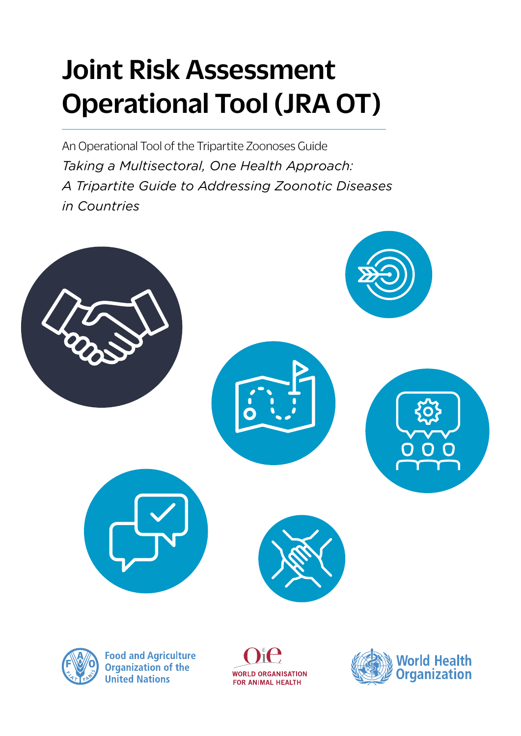# Joint Risk Assessment Operational Tool (JRA OT)

An Operational Tool of the Tripartite Zoonoses Guide *Taking a Multisectoral, One Health Approach: A Tripartite Guide to Addressing Zoonotic Diseases in Countries*





**Food and Agriculture Organization of the United Nations** 

**WORLD ORGANISATION** FOR ANIMAL HEALTH

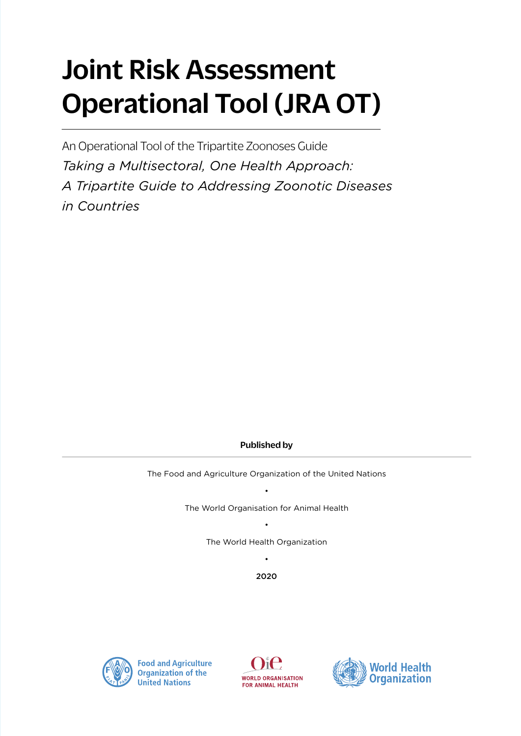# Joint Risk Assessment Operational Tool (JRA OT)

An Operational Tool of the Tripartite Zoonoses Guide *Taking a Multisectoral, One Health Approach: A Tripartite Guide to Addressing Zoonotic Diseases in Countries*

### Published by

The Food and Agriculture Organization of the United Nations

• The World Organisation for Animal Health

> • The World Health Organization

> > • 2020





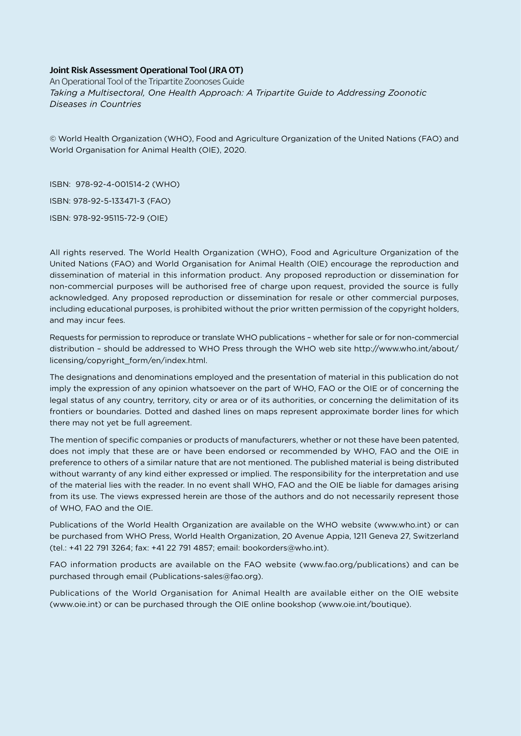### Joint Risk Assessment Operational Tool (JRA OT)

An Operational Tool of the Tripartite Zoonoses Guide *Taking a Multisectoral, One Health Approach: A Tripartite Guide to Addressing Zoonotic Diseases in Countries*

© World Health Organization (WHO), Food and Agriculture Organization of the United Nations (FAO) and World Organisation for Animal Health (OIE), 2020.

ISBN: 978-92-4-001514-2 (WHO) ISBN: 978-92-5-133471-3 (FAO) ISBN: 978-92-95115-72-9 (OIE)

All rights reserved. The World Health Organization (WHO), Food and Agriculture Organization of the United Nations (FAO) and World Organisation for Animal Health (OIE) encourage the reproduction and dissemination of material in this information product. Any proposed reproduction or dissemination for non-commercial purposes will be authorised free of charge upon request, provided the source is fully acknowledged. Any proposed reproduction or dissemination for resale or other commercial purposes, including educational purposes, is prohibited without the prior written permission of the copyright holders, and may incur fees.

Requests for permission to reproduce or translate WHO publications – whether for sale or for non-commercial distribution – should be addressed to WHO Press through the WHO web site http://www.who.int/about/ licensing/copyright\_form/en/index.html.

The designations and denominations employed and the presentation of material in this publication do not imply the expression of any opinion whatsoever on the part of WHO, FAO or the OIE or of concerning the legal status of any country, territory, city or area or of its authorities, or concerning the delimitation of its frontiers or boundaries. Dotted and dashed lines on maps represent approximate border lines for which there may not yet be full agreement.

The mention of specific companies or products of manufacturers, whether or not these have been patented, does not imply that these are or have been endorsed or recommended by WHO, FAO and the OIE in preference to others of a similar nature that are not mentioned. The published material is being distributed without warranty of any kind either expressed or implied. The responsibility for the interpretation and use of the material lies with the reader. In no event shall WHO, FAO and the OIE be liable for damages arising from its use. The views expressed herein are those of the authors and do not necessarily represent those of WHO, FAO and the OIE.

Publications of the World Health Organization are available on the WHO website ([www.who.int](http://www.who.int)) or can be purchased from WHO Press, World Health Organization, 20 Avenue Appia, 1211 Geneva 27, Switzerland (tel.: +41 22 791 3264; fax: +41 22 791 4857; email: [bookorders@who.int\)](mailto:bookorders@who.int).

FAO information products are available on the FAO website [\(www.fao.org/publications](http://www.fao.org/publications)) and can be purchased through email ([Publications-sales@fao.org\)](mailto:Publications-sales@fao.org).

Publications of the World Organisation for Animal Health are available either on the OIE website ([www.oie.int](http://www.oie.int)) or can be purchased through the OIE online bookshop [\(www.oie.int/boutique](http://www.oie.int/boutique)).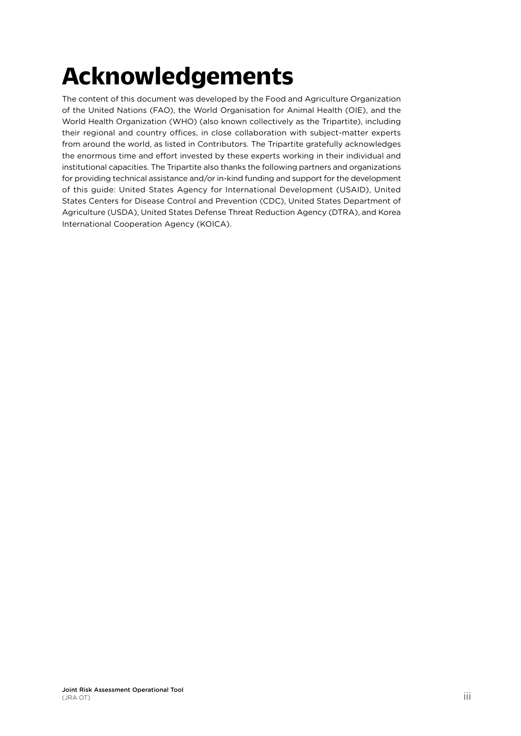# **Acknowledgements**

The content of this document was developed by the Food and Agriculture Organization of the United Nations (FAO), the World Organisation for Animal Health (OIE), and the World Health Organization (WHO) (also known collectively as the Tripartite), including their regional and country offices, in close collaboration with subject-matter experts from around the world, as listed in Contributors. The Tripartite gratefully acknowledges the enormous time and effort invested by these experts working in their individual and institutional capacities. The Tripartite also thanks the following partners and organizations for providing technical assistance and/or in-kind funding and support for the development of this guide: United States Agency for International Development (USAID), United States Centers for Disease Control and Prevention (CDC), United States Department of Agriculture (USDA), United States Defense Threat Reduction Agency (DTRA), and Korea International Cooperation Agency (KOICA).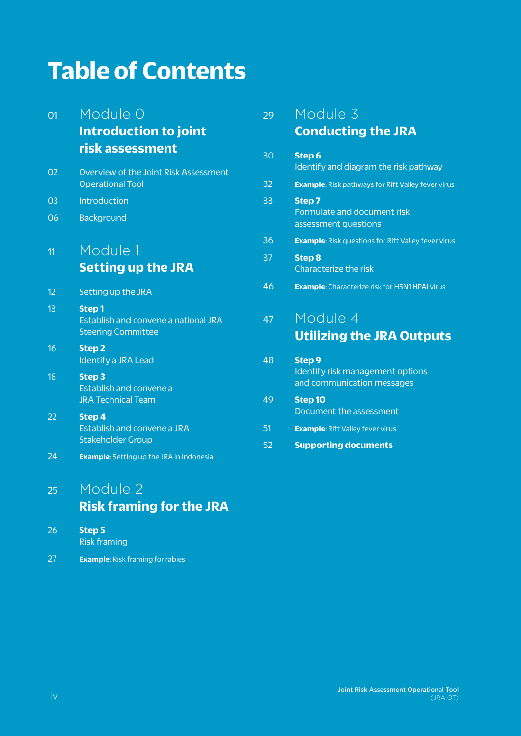## <span id="page-5-0"></span>**Table of Contents**

| 01       | Module 0                                                                          | 29 | Module 3                                                                           |
|----------|-----------------------------------------------------------------------------------|----|------------------------------------------------------------------------------------|
|          | <b>Introduction to joint</b>                                                      |    | <b>Conducting the JRA</b>                                                          |
|          | risk assessment                                                                   | 30 | Step 6<br>Identify and diagram the risk pathway                                    |
| 02       | Overview of the Joint Risk Assessment<br><b>Operational Tool</b>                  | 32 | <b>Example:</b> Risk pathways for Rift Valley fever virus                          |
| 03<br>06 | Introduction<br><b>Background</b>                                                 | 33 | Step 7<br>Formulate and document risk                                              |
|          |                                                                                   | 36 | assessment questions<br><b>Example:</b> Risk questions for Rift Valley fever virus |
| 11       | Module 1<br><b>Setting up the JRA</b>                                             | 37 | <b>Step 8</b><br>Characterize the risk                                             |
| 12       | Setting up the JRA                                                                | 46 | <b>Example:</b> Characterize risk for H5N1 HPAI virus                              |
| 13       | <b>Step1</b><br>Establish and convene a national JRA<br><b>Steering Committee</b> | 47 | Module 4<br><b>Utilizing the JRA Outputs</b>                                       |
| 16       | <b>Step 2</b><br><b>Identify a JRA Lead</b>                                       | 48 | <b>Step 9</b>                                                                      |
| 18       | <b>Step 3</b><br>Establish and convene a                                          |    | Identify risk management options<br>and communication messages                     |
| 22       | <b>JRA Technical Team</b><br>Step 4                                               | 49 | <b>Step 10</b><br>Document the assessment                                          |
|          | Establish and convene a JRA<br><b>Stakeholder Group</b>                           | 51 | <b>Example: Rift Valley fever virus</b>                                            |
| 24       | <b>Example:</b> Setting up the JRA in Indonesia                                   | 52 | <b>Supporting documents</b>                                                        |

## 25 [Module 2](#page-32-0)

## **[Risk framing for the JRA](#page-32-0)**

| -26 | Step 5              |
|-----|---------------------|
|     | <b>Risk framing</b> |

27 **Example**[: Risk framing for rabies](#page-34-0)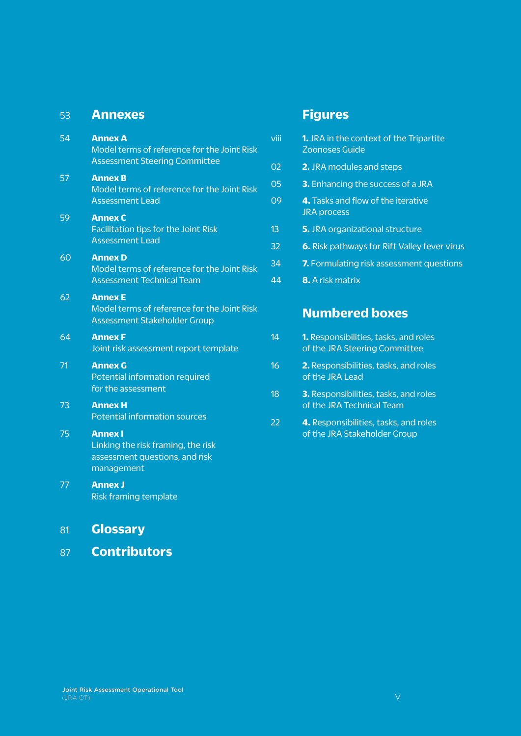### <span id="page-6-0"></span>53 **[Annexes](#page-60-0)**

| 54 | <b>Annex A</b><br>Model terms of reference for the Joint Risk<br><b>Assessment Steering Committee</b> |
|----|-------------------------------------------------------------------------------------------------------|
| 57 | <b>Annex B</b><br>Model terms of reference for the Joint Risk<br><b>Assessment Lead</b>               |
| 59 | <b>Annex C</b><br>Facilitation tips for the Joint Risk<br><b>Assessment Lead</b>                      |
| 60 | <b>Annex D</b><br>Model terms of reference for the Joint Risk<br><b>Assessment Technical Team</b>     |
| 62 | <b>Annex E</b><br>Model terms of reference for the Joint Risk<br><b>Assessment Stakeholder Group</b>  |
| 64 | <b>Annex F</b><br>Joint risk assessment report template                                               |
| 71 | <b>Annex G</b><br>Potential information required<br>for the assessment                                |
| 73 | <b>Annex H</b><br><b>Potential information sources</b>                                                |
| 75 | <b>Annex I</b><br>Linking the risk framing, the risk<br>assessment questions, and risk<br>management  |
| 77 | <b>Annex J</b><br>Risk framing template                                                               |
| 81 | Glossarv                                                                                              |

87 **[Contributors](#page-94-0)** 

## 00 **Figures**

| viii | <b>1.</b> JRA in the context of the Tripartite<br><b>Zoonoses Guide</b> |
|------|-------------------------------------------------------------------------|
| 02   | 2. JRA modules and steps                                                |
| 05   | <b>3.</b> Enhancing the success of a JRA                                |
| 09   | 4. Tasks and flow of the iterative<br><b>JRA</b> process                |
| 13   | 5. JRA organizational structure                                         |
| 32   | 6. Risk pathways for Rift Valley fever virus                            |
| 34   | 7. Formulating risk assessment questions                                |
| 44   | <b>8.</b> A risk matrix                                                 |

## **Numbered boxes**

- 14 **1.** [Responsibilities, tasks, and roles](#page-21-0) [of the JRA Steering Committee](#page-21-0)
- 16 **2.** [Responsibilities, tasks, and roles](#page-23-0) [of the JRA Lead](#page-23-0)
- 18 **3.** [Responsibilities, tasks, and roles](#page-25-0) [of the JRA Technical Team](#page-25-0)
- 22 **4.** [Responsibilities, tasks, and roles](#page-29-0) [of the JRA Stakeholder Group](#page-29-0)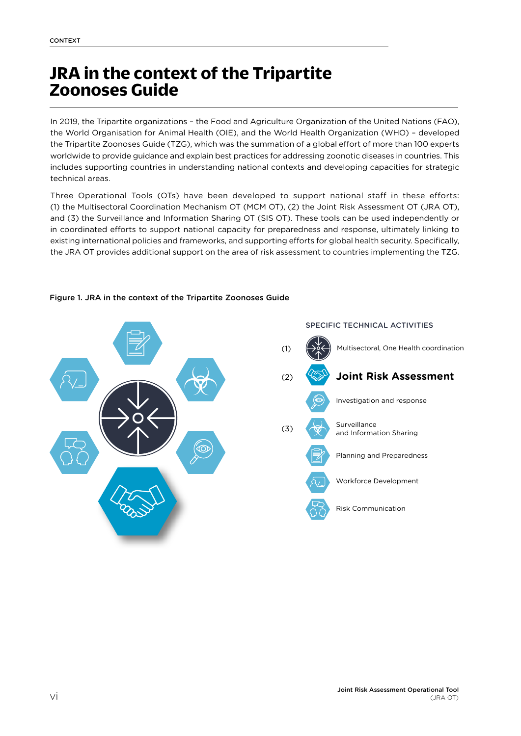## <span id="page-7-0"></span>**JRA in the context of the Tripartite Zoonoses Guide**

In 2019, the Tripartite organizations – the Food and Agriculture Organization of the United Nations (FAO), the World Organisation for Animal Health (OIE), and the World Health Organization (WHO) – developed the Tripartite Zoonoses Guide (TZG), which was the summation of a global effort of more than 100 experts worldwide to provide guidance and explain best practices for addressing zoonotic diseases in countries. This includes supporting countries in understanding national contexts and developing capacities for strategic technical areas.

Three Operational Tools (OTs) have been developed to support national staff in these efforts: (1) the Multisectoral Coordination Mechanism OT (MCM OT), (2) the Joint Risk Assessment OT (JRA OT), and (3) the Surveillance and Information Sharing OT (SIS OT). These tools can be used independently or in coordinated efforts to support national capacity for preparedness and response, ultimately linking to existing international policies and frameworks, and supporting efforts for global health security. Specifically, the JRA OT provides additional support on the area of risk assessment to countries implementing the TZG.



#### Figure 1. JRA in the context of the Tripartite Zoonoses Guide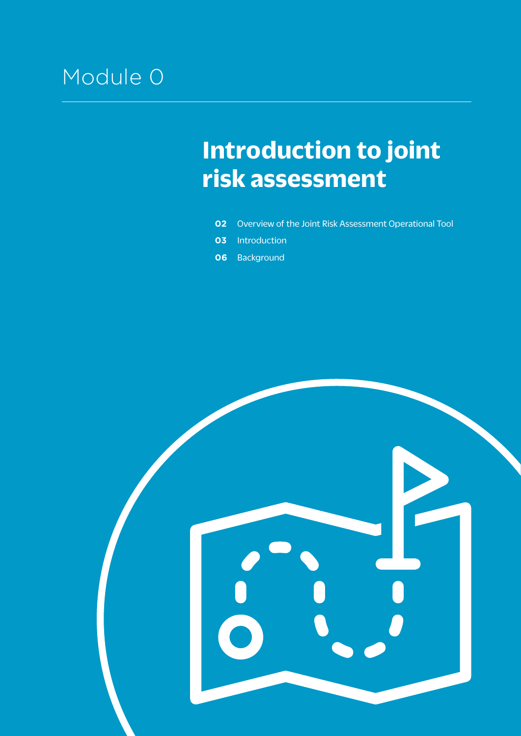## <span id="page-8-0"></span>Module 0

## **Introduction to joint risk assessment**

- **02** [Overview of the](#page-9-0) Joint Risk Assessment Operational Tool
- **03** [Introduction](#page-10-0)
- **06** [Background](#page-13-0)

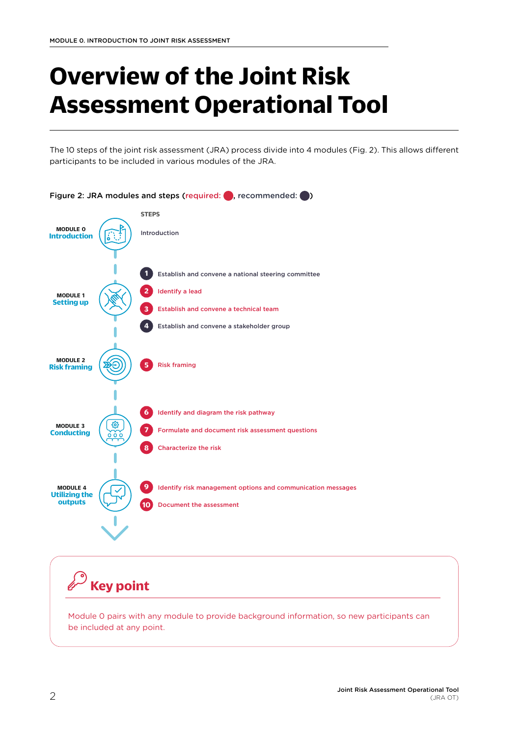# <span id="page-9-0"></span>**Overview of the Joint Risk Assessment Operational Tool**

The 10 steps of the joint risk assessment (JRA) process divide into 4 modules (Fig. 2). This allows different participants to be included in various modules of the JRA.



**Key point**

Module 0 pairs with any module to provide background information, so new participants can be included at any point.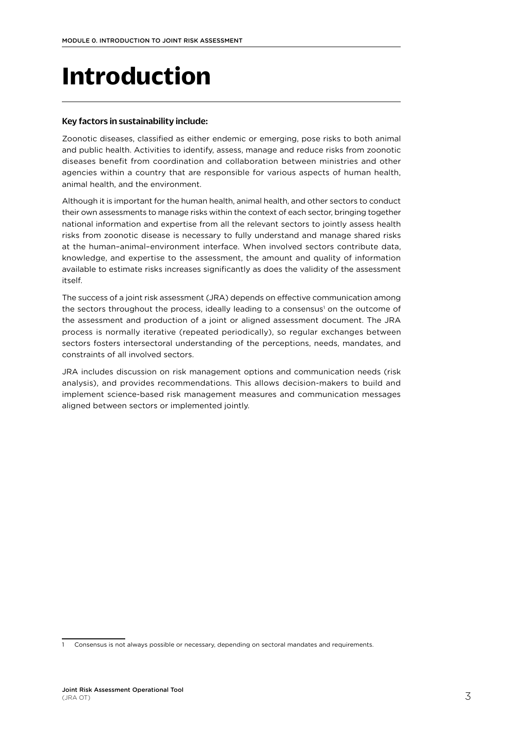# <span id="page-10-0"></span>**Introduction**

### Key factors in sustainability include:

Zoonotic diseases, classified as either endemic or emerging, pose risks to both animal and public health. Activities to identify, assess, manage and reduce risks from zoonotic diseases benefit from coordination and collaboration between ministries and other agencies within a country that are responsible for various aspects of human health, animal health, and the environment.

Although it is important for the human health, animal health, and other sectors to conduct their own assessments to manage risks within the context of each sector, bringing together national information and expertise from all the relevant sectors to jointly assess health risks from zoonotic disease is necessary to fully understand and manage shared risks at the human–animal–environment interface. When involved sectors contribute data, knowledge, and expertise to the assessment, the amount and quality of information available to estimate risks increases significantly as does the validity of the assessment itself.

The success of a joint risk assessment (JRA) depends on effective communication among the sectors throughout the process, ideally leading to a consensus<sup>1</sup> on the outcome of the assessment and production of a joint or aligned assessment document. The JRA process is normally iterative (repeated periodically), so regular exchanges between sectors fosters intersectoral understanding of the perceptions, needs, mandates, and constraints of all involved sectors.

JRA includes discussion on risk management options and communication needs (risk analysis), and provides recommendations. This allows decision-makers to build and implement science-based risk management measures and communication messages aligned between sectors or implemented jointly.

Consensus is not always possible or necessary, depending on sectoral mandates and requirements.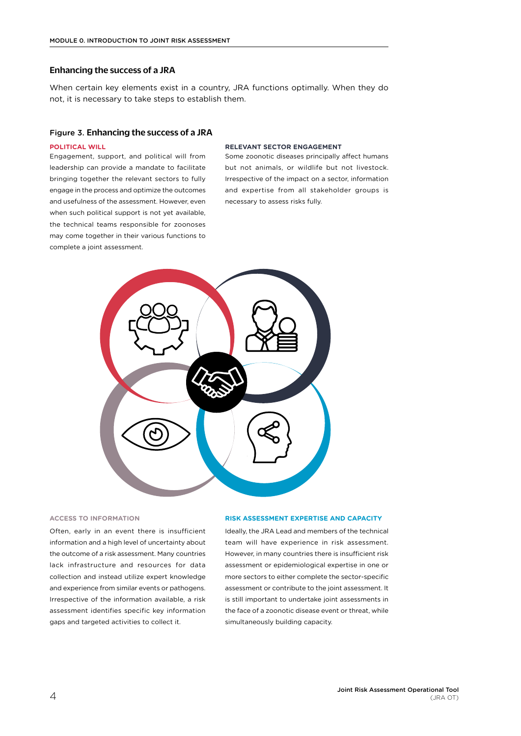#### Enhancing the success of a JRA

When certain key elements exist in a country, JRA functions optimally. When they do not, it is necessary to take steps to establish them.

#### Figure 3. Enhancing the success of a JRA

#### **POLITICAL WILL**

Engagement, support, and political will from leadership can provide a mandate to facilitate bringing together the relevant sectors to fully engage in the process and optimize the outcomes and usefulness of the assessment. However, even when such political support is not yet available, the technical teams responsible for zoonoses may come together in their various functions to complete a joint assessment.

#### **RELEVANT SECTOR ENGAGEMENT**

Some zoonotic diseases principally affect humans but not animals, or wildlife but not livestock. Irrespective of the impact on a sector, information and expertise from all stakeholder groups is necessary to assess risks fully.



#### **ACCESS TO INFORMATION**

Often, early in an event there is insufficient information and a high level of uncertainty about the outcome of a risk assessment. Many countries lack infrastructure and resources for data collection and instead utilize expert knowledge and experience from similar events or pathogens. Irrespective of the information available, a risk assessment identifies specific key information gaps and targeted activities to collect it.

#### **RISK ASSESSMENT EXPERTISE AND CAPACITY**

Ideally, the JRA Lead and members of the technical team will have experience in risk assessment. However, in many countries there is insufficient risk assessment or epidemiological expertise in one or more sectors to either complete the sector-specific assessment or contribute to the joint assessment. It is still important to undertake joint assessments in the face of a zoonotic disease event or threat, while simultaneously building capacity.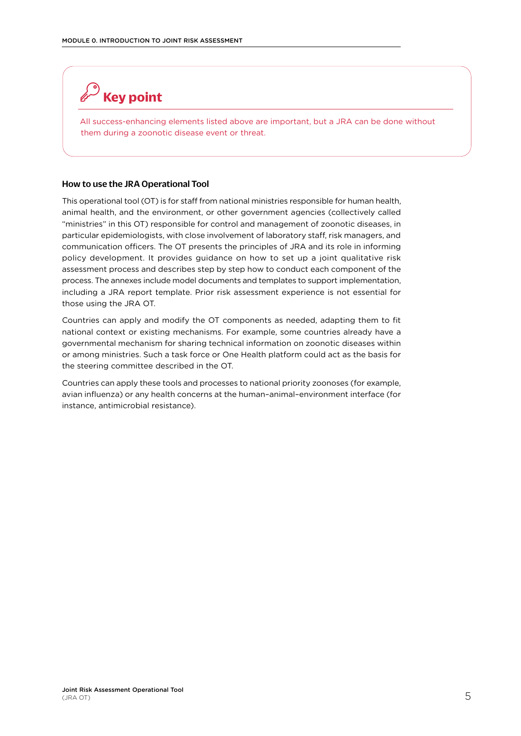## <span id="page-12-0"></span>**Key point**

All success-enhancing elements listed above are important, but a JRA can be done without them during a zoonotic disease event or threat.

### How to use the JRA Operational Tool

This operational tool (OT) is for staff from national ministries responsible for human health, animal health, and the environment, or other government agencies (collectively called "ministries" in this OT) responsible for control and management of zoonotic diseases, in particular epidemiologists, with close involvement of laboratory staff, risk managers, and communication officers. The OT presents the principles of JRA and its role in informing policy development. It provides guidance on how to set up a joint qualitative risk assessment process and describes step by step how to conduct each component of the process. The annexes include model documents and templates to support implementation, including a JRA report template. Prior risk assessment experience is not essential for those using the JRA OT.

Countries can apply and modify the OT components as needed, adapting them to fit national context or existing mechanisms. For example, some countries already have a governmental mechanism for sharing technical information on zoonotic diseases within or among ministries. Such a task force or One Health platform could act as the basis for the steering committee described in the OT.

Countries can apply these tools and processes to national priority zoonoses (for example, avian influenza) or any health concerns at the human–animal–environment interface (for instance, antimicrobial resistance).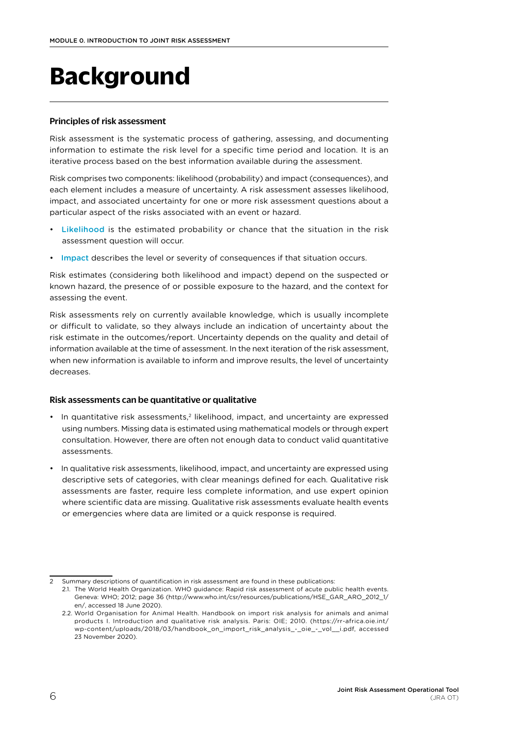# <span id="page-13-0"></span>**Background**

### Principles of risk assessment

Risk assessment is the systematic process of gathering, assessing, and documenting information to estimate the risk level for a specific time period and location. It is an iterative process based on the best information available during the assessment.

Risk comprises two components: likelihood (probability) and impact (consequences), and each element includes a measure of uncertainty. A risk assessment assesses likelihood, impact, and associated uncertainty for one or more risk assessment questions about a particular aspect of the risks associated with an event or hazard.

- Likelihood is the estimated probability or chance that the situation in the risk assessment question will occur.
- Impact describes the level or severity of consequences if that situation occurs.

Risk estimates (considering both likelihood and impact) depend on the suspected or known hazard, the presence of or possible exposure to the hazard, and the context for assessing the event.

Risk assessments rely on currently available knowledge, which is usually incomplete or difficult to validate, so they always include an indication of uncertainty about the risk estimate in the outcomes/report. Uncertainty depends on the quality and detail of information available at the time of assessment. In the next iteration of the risk assessment, when new information is available to inform and improve results, the level of uncertainty decreases.

#### Risk assessments can be quantitative or qualitative

- In quantitative risk assessments,<sup>2</sup> likelihood, impact, and uncertainty are expressed using numbers. Missing data is estimated using mathematical models or through expert consultation. However, there are often not enough data to conduct valid quantitative assessments.
- In qualitative risk assessments, likelihood, impact, and uncertainty are expressed using descriptive sets of categories, with clear meanings defined for each. Qualitative risk assessments are faster, require less complete information, and use expert opinion where scientific data are missing. Qualitative risk assessments evaluate health events or emergencies where data are limited or a quick response is required.

Summary descriptions of quantification in risk assessment are found in these publications:

<sup>2.1.</sup> The World Health Organization. WHO guidance: Rapid risk assessment of acute public health events. Geneva: WHO; 2012; page 36 ([http://www.who.int/csr/resources/publications/HSE\\_GAR\\_ARO\\_2012\\_1/](http://www.who.int/csr/resources/publications/HSE_GAR_ARO_2012_1/en/) [en/](http://www.who.int/csr/resources/publications/HSE_GAR_ARO_2012_1/en/), accessed 18 June 2020).

<sup>2.2.</sup> World Organisation for Animal Health. Handbook on import risk analysis for animals and animal products I. Introduction and qualitative risk analysis. Paris: OIE; 2010. ([https://rr-africa.oie.int/](https://rr-africa.oie.int/wp-content/uploads/2018/03/handbook_on_import_risk_analysis_-_oie_-_vol__i.pdf) wp-content/uploads/2018/03/handbook on import risk analysis - oie - vol i.pdf, accessed 23 November 2020).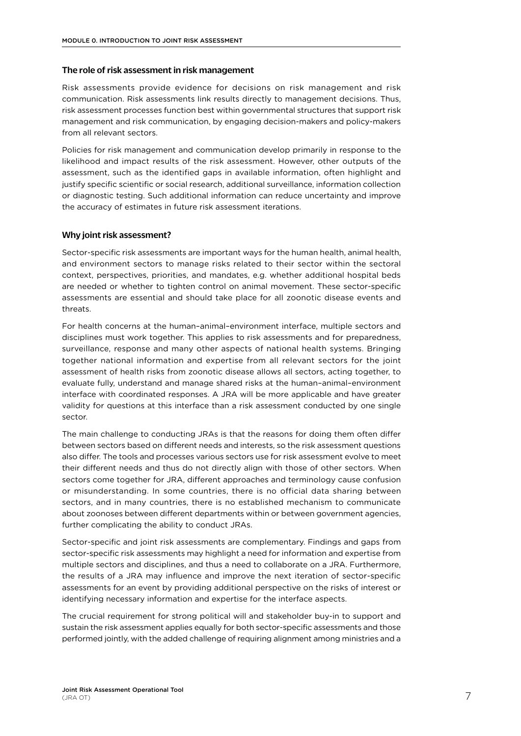#### The role of risk assessment in risk management

Risk assessments provide evidence for decisions on risk management and risk communication. Risk assessments link results directly to management decisions. Thus, risk assessment processes function best within governmental structures that support risk management and risk communication, by engaging decision-makers and policy-makers from all relevant sectors.

Policies for risk management and communication develop primarily in response to the likelihood and impact results of the risk assessment. However, other outputs of the assessment, such as the identified gaps in available information, often highlight and justify specific scientific or social research, additional surveillance, information collection or diagnostic testing. Such additional information can reduce uncertainty and improve the accuracy of estimates in future risk assessment iterations.

#### Why joint risk assessment?

Sector-specific risk assessments are important ways for the human health, animal health, and environment sectors to manage risks related to their sector within the sectoral context, perspectives, priorities, and mandates, e.g. whether additional hospital beds are needed or whether to tighten control on animal movement. These sector-specific assessments are essential and should take place for all zoonotic disease events and threats.

For health concerns at the human–animal–environment interface, multiple sectors and disciplines must work together. This applies to risk assessments and for preparedness, surveillance, response and many other aspects of national health systems. Bringing together national information and expertise from all relevant sectors for the joint assessment of health risks from zoonotic disease allows all sectors, acting together, to evaluate fully, understand and manage shared risks at the human–animal–environment interface with coordinated responses. A JRA will be more applicable and have greater validity for questions at this interface than a risk assessment conducted by one single sector.

The main challenge to conducting JRAs is that the reasons for doing them often differ between sectors based on different needs and interests, so the risk assessment questions also differ. The tools and processes various sectors use for risk assessment evolve to meet their different needs and thus do not directly align with those of other sectors. When sectors come together for JRA, different approaches and terminology cause confusion or misunderstanding. In some countries, there is no official data sharing between sectors, and in many countries, there is no established mechanism to communicate about zoonoses between different departments within or between government agencies, further complicating the ability to conduct JRAs.

Sector-specific and joint risk assessments are complementary. Findings and gaps from sector-specific risk assessments may highlight a need for information and expertise from multiple sectors and disciplines, and thus a need to collaborate on a JRA. Furthermore, the results of a JRA may influence and improve the next iteration of sector-specific assessments for an event by providing additional perspective on the risks of interest or identifying necessary information and expertise for the interface aspects.

The crucial requirement for strong political will and stakeholder buy-in to support and sustain the risk assessment applies equally for both sector-specific assessments and those performed jointly, with the added challenge of requiring alignment among ministries and a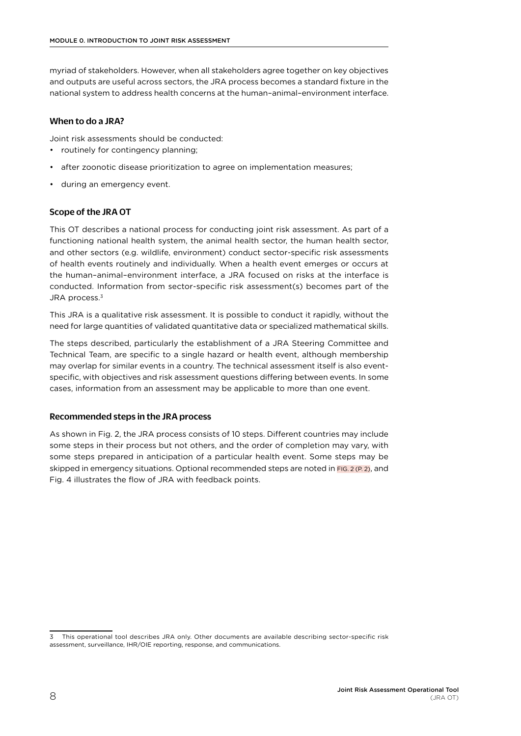myriad of stakeholders. However, when all stakeholders agree together on key objectives and outputs are useful across sectors, the JRA process becomes a standard fixture in the national system to address health concerns at the human–animal–environment interface.

### When to do a JRA?

Joint risk assessments should be conducted:

- routinely for contingency planning:
- after zoonotic disease prioritization to agree on implementation measures;
- during an emergency event.

### Scope of the JRA OT

This OT describes a national process for conducting joint risk assessment. As part of a functioning national health system, the animal health sector, the human health sector, and other sectors (e.g. wildlife, environment) conduct sector-specific risk assessments of health events routinely and individually. When a health event emerges or occurs at the human–animal–environment interface, a JRA focused on risks at the interface is conducted. Information from sector-specific risk assessment(s) becomes part of the JRA process.<sup>3</sup>

This JRA is a qualitative risk assessment. It is possible to conduct it rapidly, without the need for large quantities of validated quantitative data or specialized mathematical skills.

The steps described, particularly the establishment of a JRA Steering Committee and Technical Team, are specific to a single hazard or health event, although membership may overlap for similar events in a country. The technical assessment itself is also eventspecific, with objectives and risk assessment questions differing between events. In some cases, information from an assessment may be applicable to more than one event.

#### Recommended steps in the JRA process

As shown in Fig. 2, the JRA process consists of 10 steps. Different countries may include some steps in their process but not others, and the order of completion may vary, with some steps prepared in anticipation of a particular health event. Some steps may be skipped in emergency situations. Optional recommended steps are noted in  $FIG. 2 (P. 2)$ , and Fig. 4 illustrates the flow of JRA with feedback points.

<sup>3</sup> This operational tool describes JRA only. Other documents are available describing sector-specific risk assessment, surveillance, IHR/OIE reporting, response, and communications.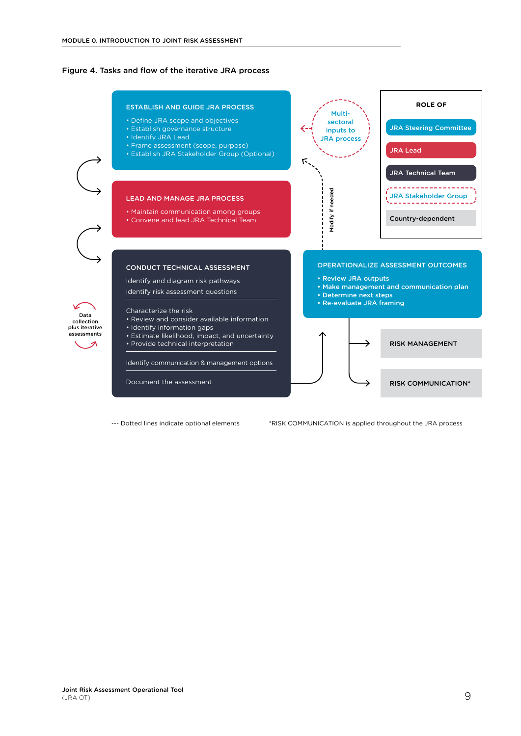#### <span id="page-16-0"></span>Figure 4. Tasks and flow of the iterative JRA process

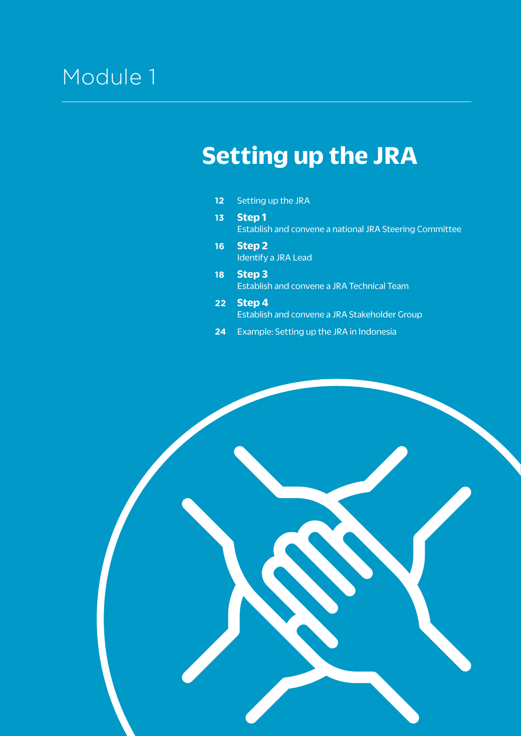## <span id="page-18-0"></span>Module<sub>1</sub>

## **Setting up the JRA**

- **12** [Setting up the JRA](#page-19-0)
- **13 [Step 1](#page-20-0)** [Establish and convene a national JRA Steering Committee](#page-20-0)
- **16 [Step 2](#page-23-0)** [Identify a JRA Lead](#page-23-0)
- **18 [Step 3](#page-25-0)** [Establish and convene a JRA Technical Team](#page-25-0)
- **22 [Step 4](#page-29-0)** [Establish and convene a JRA Stakeholder Group](#page-29-0)
- **24** [Example: Setting up the JRA in Indonesia](#page-31-0)

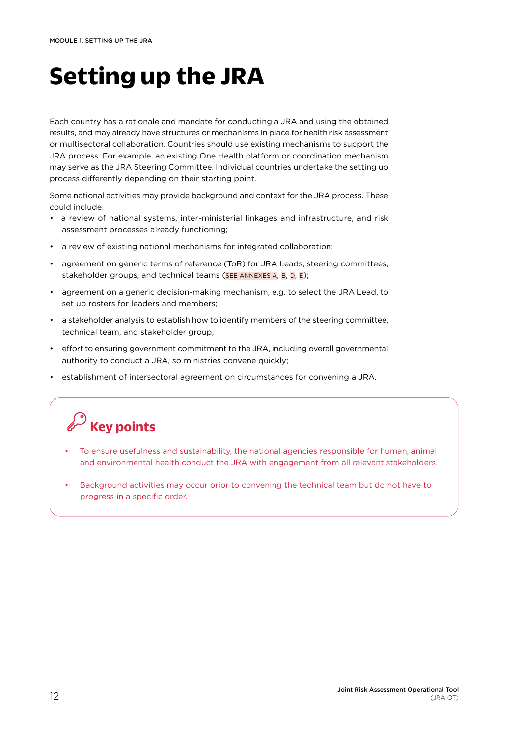# <span id="page-19-0"></span>**Setting up the JRA**

Each country has a rationale and mandate for conducting a JRA and using the obtained results, and may already have structures or mechanisms in place for health risk assessment or multisectoral collaboration. Countries should use existing mechanisms to support the JRA process. For example, an existing One Health platform or coordination mechanism may serve as the JRA Steering Committee. Individual countries undertake the setting up process differently depending on their starting point.

Some national activities may provide background and context for the JRA process. These could include:

- a review of national systems, inter-ministerial linkages and infrastructure, and risk assessment processes already functioning;
- a review of existing national mechanisms for integrated collaboration;
- agreement on generic terms of reference (ToR) for JRA Leads, steering committees, stakeholder groups, and technical teams ([SEE ANNEXES A,](#page-61-0) [B,](#page-64-0) [D](#page-67-0), [E\)](#page-69-0);
- agreement on a generic decision-making mechanism, e.g. to select the JRA Lead, to set up rosters for leaders and members;
- a stakeholder analysis to establish how to identify members of the steering committee, technical team, and stakeholder group;
- effort to ensuring government commitment to the JRA, including overall governmental authority to conduct a JRA, so ministries convene quickly;
- establishment of intersectoral agreement on circumstances for convening a JRA.

## **Key points**

- To ensure usefulness and sustainability, the national agencies responsible for human, animal and environmental health conduct the JRA with engagement from all relevant stakeholders.
- Background activities may occur prior to convening the technical team but do not have to progress in a specific order.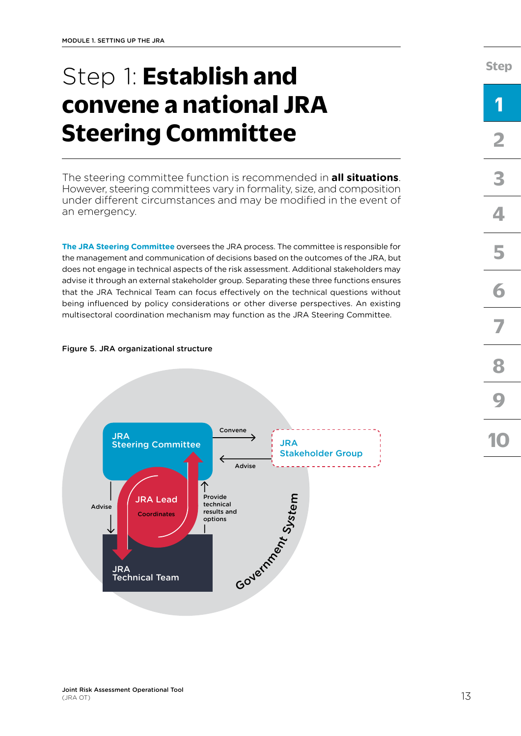# <span id="page-20-0"></span>Step 1: **Establish and convene a national JRA Steering Committee**

The steering committee function is recommended in **all situations**. However, steering committees vary in formality, size, and composition under different circumstances and may be modified in the event of an emergency.

**The JRA Steering Committee** oversees the JRA process. The committee is responsible for the management and communication of decisions based on the outcomes of the JRA, but does not engage in technical aspects of the risk assessment. Additional stakeholders may advise it through an external stakeholder group. Separating these three functions ensures that the JRA Technical Team can focus effectively on the technical questions without being influenced by policy considerations or other diverse perspectives. An existing multisectoral coordination mechanism may function as the JRA Steering Committee.

### Figure 5. JRA organizational structure



**[Step](#page-18-0)**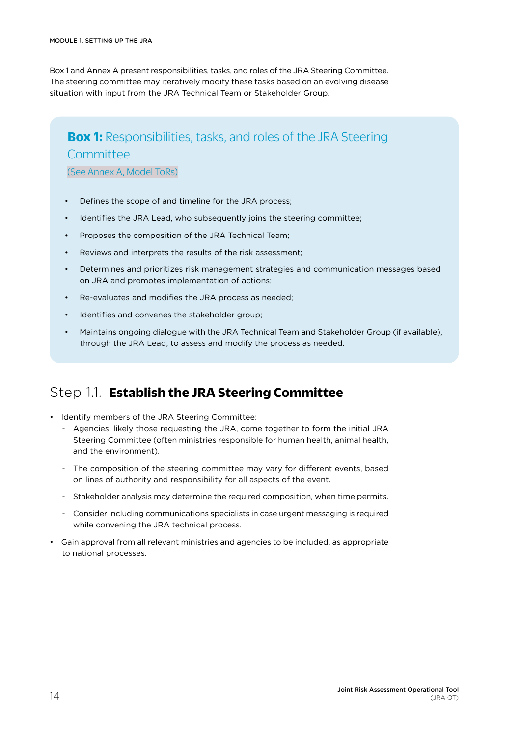<span id="page-21-0"></span>Box 1 and Annex A present responsibilities, tasks, and roles of the JRA Steering Committee. The steering committee may iteratively modify these tasks based on an evolving disease situation with input from the JRA Technical Team or Stakeholder Group.

### **Box 1:** Responsibilities, tasks, and roles of the JRA Steering **Committee**

[\(See Annex A, Model ToRs\)](#page-61-0)

- Defines the scope of and timeline for the JRA process;
- Identifies the JRA Lead, who subsequently joins the steering committee;
- Proposes the composition of the JRA Technical Team;
- Reviews and interprets the results of the risk assessment;
- Determines and prioritizes risk management strategies and communication messages based on JRA and promotes implementation of actions;
- Re-evaluates and modifies the JRA process as needed;
- Identifies and convenes the stakeholder group;
- Maintains ongoing dialogue with the JRA Technical Team and Stakeholder Group (if available), through the JRA Lead, to assess and modify the process as needed.

### Step 1.1. **Establish the JRA Steering Committee**

- Identify members of the JRA Steering Committee:
	- Agencies, likely those requesting the JRA, come together to form the initial JRA Steering Committee (often ministries responsible for human health, animal health, and the environment).
	- The composition of the steering committee may vary for different events, based on lines of authority and responsibility for all aspects of the event.
	- Stakeholder analysis may determine the required composition, when time permits.
	- Consider including communications specialists in case urgent messaging is required while convening the JRA technical process.
- Gain approval from all relevant ministries and agencies to be included, as appropriate to national processes.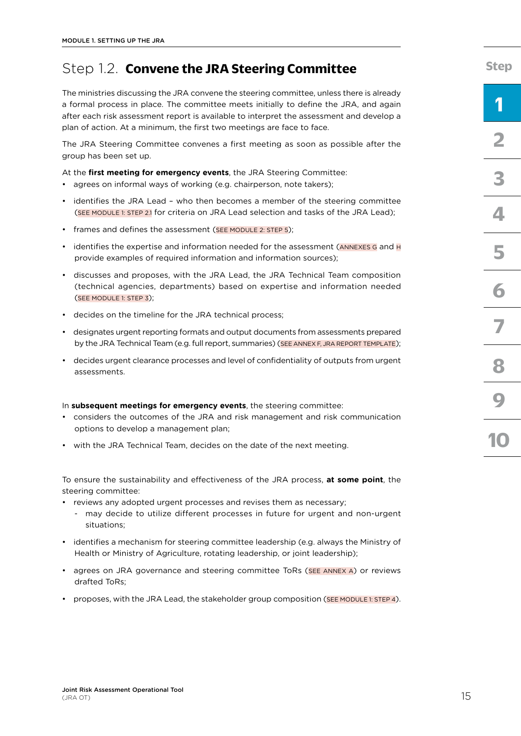## Step 1.2. **Convene the JRA Steering Committee**

The ministries discussing the JRA convene the steering committee, unless there is already a formal process in place. The committee meets initially to define the JRA, and again after each risk assessment report is available to interpret the assessment and develop a plan of action. At a minimum, the first two meetings are face to face.

The JRA Steering Committee convenes a first meeting as soon as possible after the group has been set up.

At the **first meeting for emergency events**, the JRA Steering Committee:

- agrees on informal ways of working (e.g. chairperson, note takers);
- identifies the JRA Lead who then becomes a member of the steering committee ([SEE MODULE 1: STEP 2.1](#page-23-0) for criteria on JRA Lead selection and tasks of the JRA Lead);
- frames and defines the assessment ([SEE MODULE 2: STEP 5](#page-23-0));
- identifies the expertise and information needed for the assessment ( $\overline{ANNEXES}$  G and  $\overline{H}$ provide examples of required information and information sources);
- discusses and proposes, with the JRA Lead, the JRA Technical Team composition (technical agencies, departments) based on expertise and information needed ([SEE MODULE 1: STEP 3\)](#page-25-0);
- decides on the timeline for the JRA technical process;
- designates urgent reporting formats and output documents from assessments prepared by the JRA Technical Team (e.g. full report, summaries) [\(SEE ANNEX F, JRA REPORT TEMPLATE](#page-71-0));
- decides urgent clearance processes and level of confidentiality of outputs from urgent assessments.

#### In **subsequent meetings for emergency events**, the steering committee:

- considers the outcomes of the JRA and risk management and risk communication options to develop a management plan;
- with the JRA Technical Team, decides on the date of the next meeting.

To ensure the sustainability and effectiveness of the JRA process, **at some point**, the steering committee:

- reviews any adopted urgent processes and revises them as necessary;
	- may decide to utilize different processes in future for urgent and non-urgent situations;
- identifies a mechanism for steering committee leadership (e.g. always the Ministry of Health or Ministry of Agriculture, rotating leadership, or joint leadership);
- agrees on JRA governance and steering committee ToRs ([SEE ANNEX A](#page-61-0)) or reviews drafted ToRs;
- proposes, with the JRA Lead, the stakeholder group composition [\(SEE MODULE 1: STEP 4](#page-29-0)).

**[Step](#page-18-0)**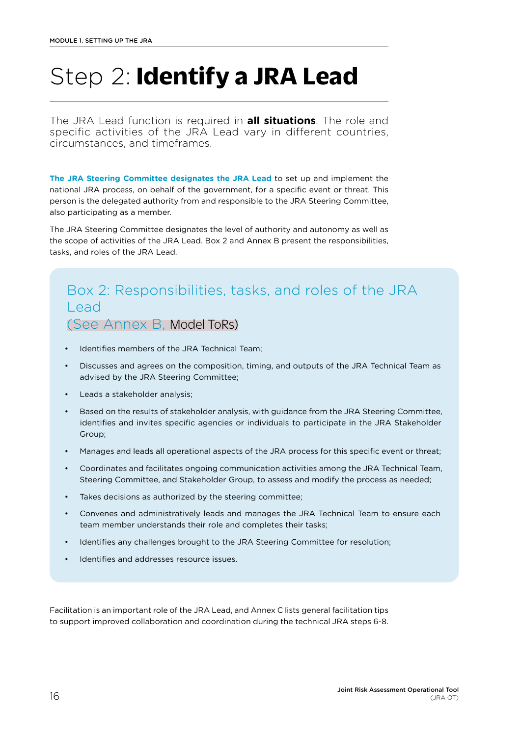# <span id="page-23-0"></span>Step 2: **Identify a JRA Lead**

The JRA Lead function is required in **all situations**. The role and specific activities of the JRA Lead vary in different countries, circumstances, and timeframes.

**The JRA Steering Committee designates the JRA Lead** to set up and implement the national JRA process, on behalf of the government, for a specific event or threat. This person is the delegated authority from and responsible to the JRA Steering Committee, also participating as a member.

The JRA Steering Committee designates the level of authority and autonomy as well as the scope of activities of the JRA Lead. Box 2 and Annex B present the responsibilities, tasks, and roles of the JRA Lead.

## Box 2: Responsibilities, tasks, and roles of the JRA Lead [\(See Annex B,](#page-64-0) Model ToRs)

- Identifies members of the JRA Technical Team;
- Discusses and agrees on the composition, timing, and outputs of the JRA Technical Team as advised by the JRA Steering Committee;
- Leads a stakeholder analysis;
- Based on the results of stakeholder analysis, with guidance from the JRA Steering Committee, identifies and invites specific agencies or individuals to participate in the JRA Stakeholder Group;
- Manages and leads all operational aspects of the JRA process for this specific event or threat;
- Coordinates and facilitates ongoing communication activities among the JRA Technical Team, Steering Committee, and Stakeholder Group, to assess and modify the process as needed;
- Takes decisions as authorized by the steering committee;
- Convenes and administratively leads and manages the JRA Technical Team to ensure each team member understands their role and completes their tasks;
- Identifies any challenges brought to the JRA Steering Committee for resolution;
- Identifies and addresses resource issues.

Facilitation is an important role of the JRA Lead, and Annex C lists general facilitation tips to support improved collaboration and coordination during the technical JRA steps 6-8.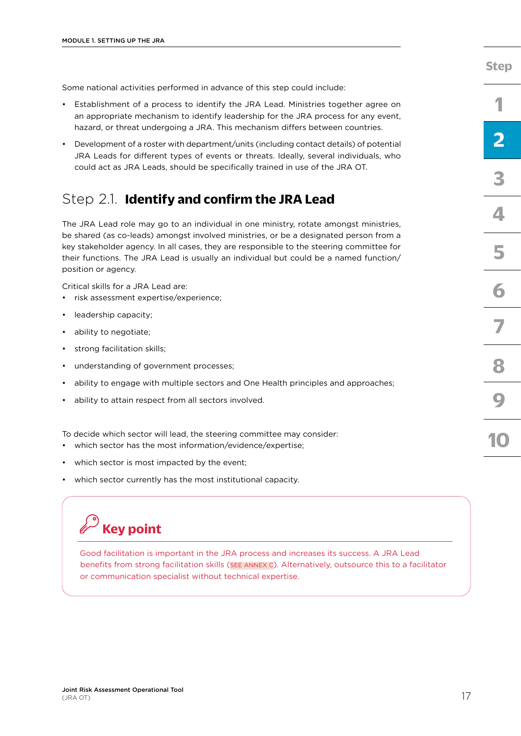Some national activities performed in advance of this step could include:

- Establishment of a process to identify the JRA Lead. Ministries together agree on an appropriate mechanism to identify leadership for the JRA process for any event, hazard, or threat undergoing a JRA. This mechanism differs between countries.
- Development of a roster with department/units (including contact details) of potential JRA Leads for different types of events or threats. Ideally, several individuals, who could act as JRA Leads, should be specifically trained in use of the JRA OT.

### Step 2.1. **Identify and confirm the JRA Lead**

The JRA Lead role may go to an individual in one ministry, rotate amongst ministries, be shared (as co-leads) amongst involved ministries, or be a designated person from a key stakeholder agency. In all cases, they are responsible to the steering committee for their functions. The JRA Lead is usually an individual but could be a named function/ position or agency.

Critical skills for a JRA Lead are:

- risk assessment expertise/experience;
- leadership capacity;
- ability to negotiate;
- strong facilitation skills;
- understanding of government processes;
- ability to engage with multiple sectors and One Health principles and approaches;
- ability to attain respect from all sectors involved.

To decide which sector will lead, the steering committee may consider:

- which sector has the most information/evidence/expertise;
- which sector is most impacted by the event;
- which sector currently has the most institutional capacity.

## **Key point**

Good facilitation is important in the JRA process and increases its success. A JRA Lead benefits from strong facilitation skills [\(SEE ANNEX C\)](#page-66-0). Alternatively, outsource this to a facilitator or communication specialist without technical expertise.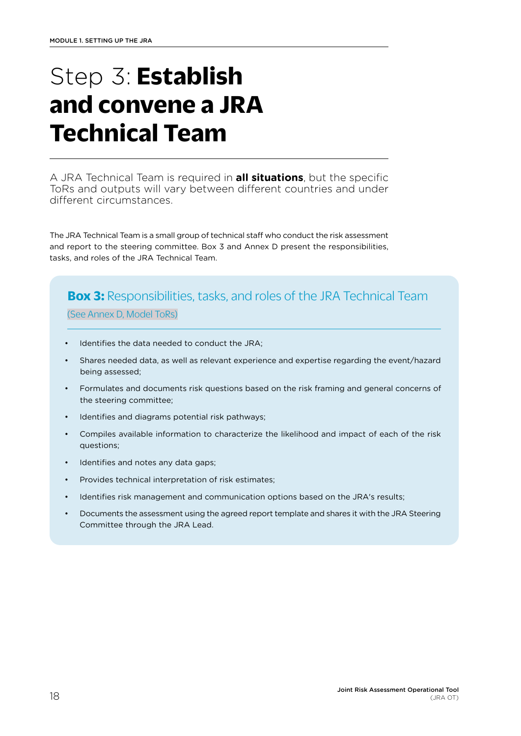# <span id="page-25-0"></span>Step 3: **Establish and convene a JRA Technical Team**

A JRA Technical Team is required in **all situations**, but the specific ToRs and outputs will vary between different countries and under different circumstances.

The JRA Technical Team is a small group of technical staff who conduct the risk assessment and report to the steering committee. Box 3 and Annex D present the responsibilities, tasks, and roles of the JRA Technical Team.

### **Box 3:** Responsibilities, tasks, and roles of the JRA Technical Team

[\(See Annex D, Model ToRs\)](#page-67-0)

- Identifies the data needed to conduct the JRA;
- Shares needed data, as well as relevant experience and expertise regarding the event/hazard being assessed;
- Formulates and documents risk questions based on the risk framing and general concerns of the steering committee;
- Identifies and diagrams potential risk pathways;
- Compiles available information to characterize the likelihood and impact of each of the risk questions;
- Identifies and notes any data gaps;
- Provides technical interpretation of risk estimates;
- Identifies risk management and communication options based on the JRA's results;
- Documents the assessment using the agreed report template and shares it with the JRA Steering Committee through the JRA Lead.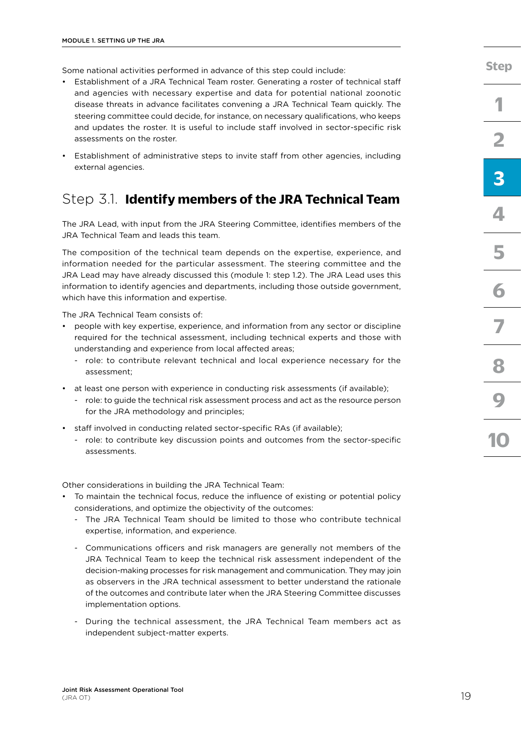Some national activities performed in advance of this step could include:

- Establishment of a JRA Technical Team roster. Generating a roster of technical staff and agencies with necessary expertise and data for potential national zoonotic disease threats in advance facilitates convening a JRA Technical Team quickly. The steering committee could decide, for instance, on necessary qualifications, who keeps and updates the roster. It is useful to include staff involved in sector-specific risk assessments on the roster.
- Establishment of administrative steps to invite staff from other agencies, including external agencies.

### Step 3.1. **Identify members of the JRA Technical Team**

The JRA Lead, with input from the JRA Steering Committee, identifies members of the JRA Technical Team and leads this team.

The composition of the technical team depends on the expertise, experience, and information needed for the particular assessment. The steering committee and the JRA Lead may have already discussed this (module 1: step 1.2). The JRA Lead uses this information to identify agencies and departments, including those outside government, which have this information and expertise.

The JRA Technical Team consists of:

- people with key expertise, experience, and information from any sector or discipline required for the technical assessment, including technical experts and those with understanding and experience from local affected areas;
	- role: to contribute relevant technical and local experience necessary for the assessment;
- at least one person with experience in conducting risk assessments (if available);
	- role: to guide the technical risk assessment process and act as the resource person for the JRA methodology and principles;
- staff involved in conducting related sector-specific RAs (if available);
	- role: to contribute key discussion points and outcomes from the sector-specific assessments.

Other considerations in building the JRA Technical Team:

- To maintain the technical focus, reduce the influence of existing or potential policy considerations, and optimize the objectivity of the outcomes:
	- The JRA Technical Team should be limited to those who contribute technical expertise, information, and experience.
	- Communications officers and risk managers are generally not members of the JRA Technical Team to keep the technical risk assessment independent of the decision-making processes for risk management and communication. They may join as observers in the JRA technical assessment to better understand the rationale of the outcomes and contribute later when the JRA Steering Committee discusses implementation options.
	- During the technical assessment, the JRA Technical Team members act as independent subject-matter experts.

**[3](#page-25-0)**

**[4](#page-29-0)**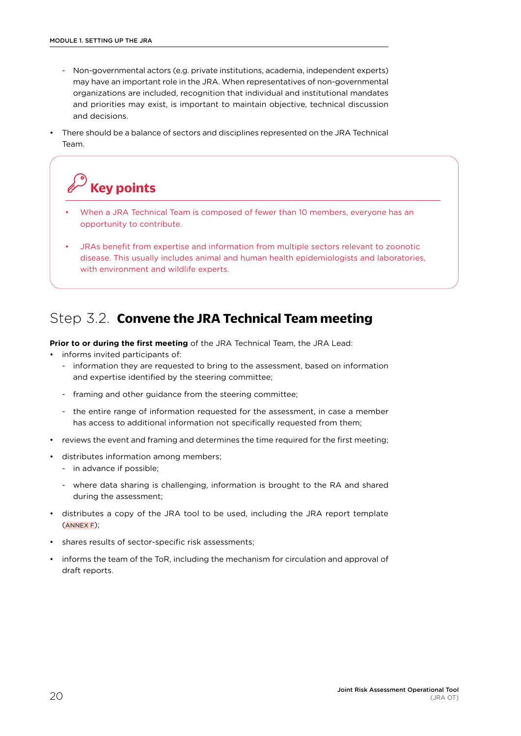- Non-governmental actors (e.g. private institutions, academia, independent experts) may have an important role in the JRA. When representatives of non-governmental organizations are included, recognition that individual and institutional mandates and priorities may exist, is important to maintain objective, technical discussion and decisions.
- There should be a balance of sectors and disciplines represented on the JRA Technical Team.

## **Key points**

- When a JRA Technical Team is composed of fewer than 10 members, everyone has an opportunity to contribute.
- JRAs benefit from expertise and information from multiple sectors relevant to zoonotic disease. This usually includes animal and human health epidemiologists and laboratories, with environment and wildlife experts.

### Step 3.2. **Convene the JRA Technical Team meeting**

**Prior to or during the first meeting** of the JRA Technical Team, the JRA Lead:

- informs invited participants of:
	- information they are requested to bring to the assessment, based on information and expertise identified by the steering committee;
	- framing and other guidance from the steering committee;
	- the entire range of information requested for the assessment, in case a member has access to additional information not specifically requested from them;
- reviews the event and framing and determines the time required for the first meeting;
- distributes information among members;
	- in advance if possible;
	- where data sharing is challenging, information is brought to the RA and shared during the assessment;
- distributes a copy of the JRA tool to be used, including the JRA report template ([ANNEX F\)](#page-71-0);
- shares results of sector-specific risk assessments;
- informs the team of the ToR, including the mechanism for circulation and approval of draft reports.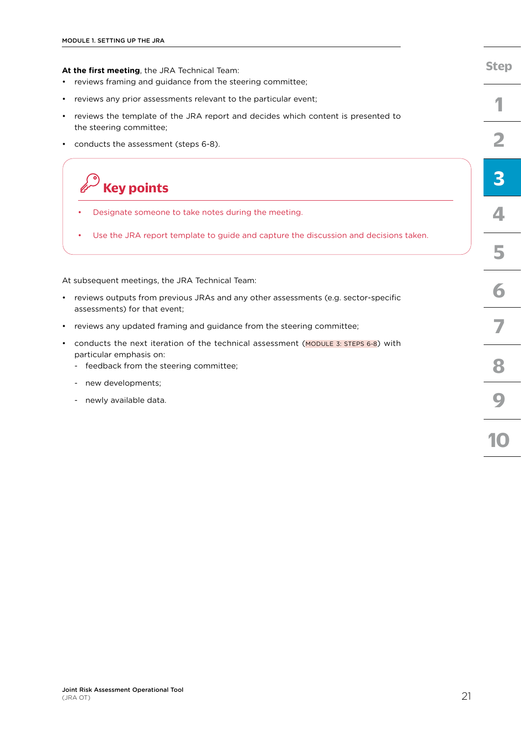| At the first meeting, the JRA Technical Team:                                                                                                          |
|--------------------------------------------------------------------------------------------------------------------------------------------------------|
| reviews framing and guidance from the steering committee;                                                                                              |
| reviews any prior assessments relevant to the particular event;                                                                                        |
| reviews the template of the JRA report and decides which content is presented to<br>the steering committee;                                            |
| conducts the assessment (steps 6-8).                                                                                                                   |
| <b>Key points</b>                                                                                                                                      |
| Designate someone to take notes during the meeting.                                                                                                    |
| Use the JRA report template to guide and capture the discussion and decisions taken.                                                                   |
| At subsequent meetings, the JRA Technical Team:                                                                                                        |
| reviews outputs from previous JRAs and any other assessments (e.g. sector-specific<br>assessments) for that event;                                     |
| reviews any updated framing and guidance from the steering committee;                                                                                  |
| conducts the next iteration of the technical assessment (MODULE 3: STEPS 6-8) with<br>particular emphasis on:<br>feedback from the steering committee; |
| new developments;                                                                                                                                      |
| newly available data.                                                                                                                                  |

**[Step](#page-18-0)**

**[1](#page-20-0)**

**[2](#page-23-0)**

**[3](#page-25-0)**

**[4](#page-29-0)**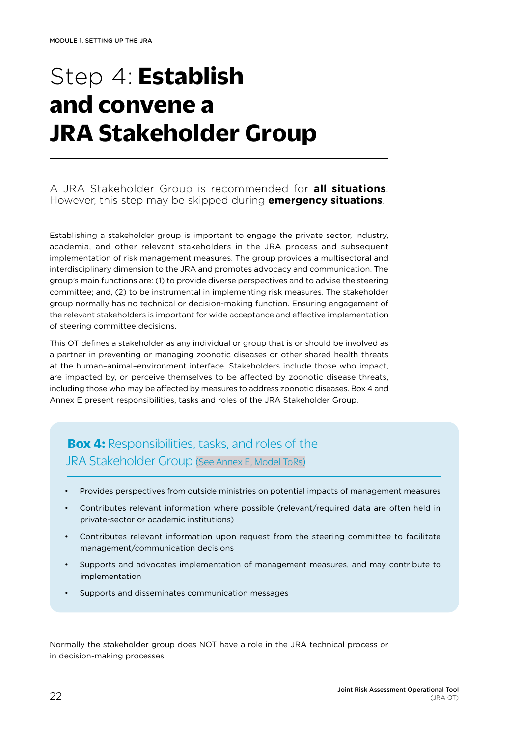# <span id="page-29-0"></span>Step 4: **Establish and convene a JRA Stakeholder Group**

### A JRA Stakeholder Group is recommended for **all situations**. However, this step may be skipped during **emergency situations**.

Establishing a stakeholder group is important to engage the private sector, industry, academia, and other relevant stakeholders in the JRA process and subsequent implementation of risk management measures. The group provides a multisectoral and interdisciplinary dimension to the JRA and promotes advocacy and communication. The group's main functions are: (1) to provide diverse perspectives and to advise the steering committee; and, (2) to be instrumental in implementing risk measures. The stakeholder group normally has no technical or decision-making function. Ensuring engagement of the relevant stakeholders is important for wide acceptance and effective implementation of steering committee decisions.

This OT defines a stakeholder as any individual or group that is or should be involved as a partner in preventing or managing zoonotic diseases or other shared health threats at the human–animal–environment interface. Stakeholders include those who impact, are impacted by, or perceive themselves to be affected by zoonotic disease threats, including those who may be affected by measures to address zoonotic diseases. Box 4 and Annex E present responsibilities, tasks and roles of the JRA Stakeholder Group.

## **Box 4:** Responsibilities, tasks, and roles of the JRA Stakeholder Group [\(See Annex E, Model ToRs\)](#page-69-0)

- Provides perspectives from outside ministries on potential impacts of management measures
- Contributes relevant information where possible (relevant/required data are often held in private-sector or academic institutions)
- Contributes relevant information upon request from the steering committee to facilitate management/communication decisions
- Supports and advocates implementation of management measures, and may contribute to implementation
- Supports and disseminates communication messages

Normally the stakeholder group does NOT have a role in the JRA technical process or in decision-making processes.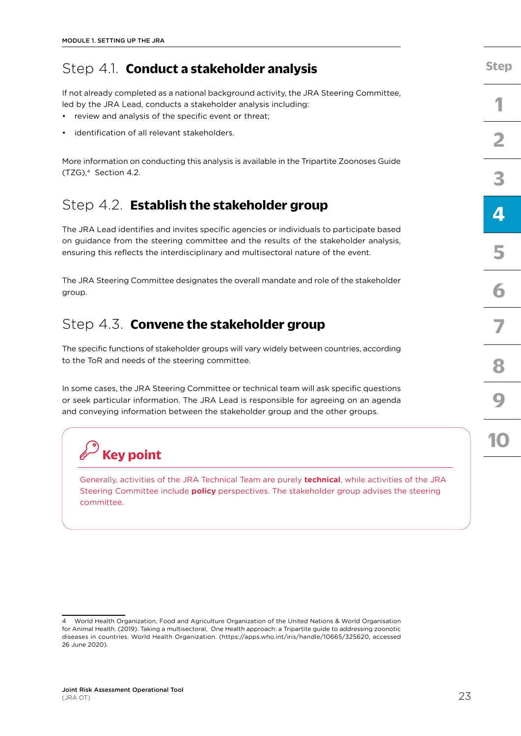## Step 4.1. **Conduct a stakeholder analysis**

If not already completed as a national background activity, the JRA Steering Committee, led by the JRA Lead, conducts a stakeholder analysis including:

- review and analysis of the specific event or threat;
- identification of all relevant stakeholders.

More information on conducting this analysis is available in the Tripartite Zoonoses Guide (TZG),4 Section 4.2.

### Step 4.2. **Establish the stakeholder group**

The JRA Lead identifies and invites specific agencies or individuals to participate based on guidance from the steering committee and the results of the stakeholder analysis, ensuring this reflects the interdisciplinary and multisectoral nature of the event.

The JRA Steering Committee designates the overall mandate and role of the stakeholder group.

### Step 4.3. **Convene the stakeholder group**

The specific functions of stakeholder groups will vary widely between countries, according to the ToR and needs of the steering committee.

In some cases, the JRA Steering Committee or technical team will ask specific questions or seek particular information. The JRA Lead is responsible for agreeing on an agenda and conveying information between the stakeholder group and the other groups.



Generally, activities of the JRA Technical Team are purely **technical**, while activities of the JRA Steering Committee include **policy** perspectives. The stakeholder group advises the steering committee.

**[Step](#page-18-0)**

<sup>4</sup> World Health Organization, Food and Agriculture Organization of the United Nations & World Organisation for Animal Health. (2019). Taking a multisectoral, One Health approach: a Tripartite guide to addressing zoonotic diseases in countries. World Health Organization. [\(https://apps.who.int/iris/handle/10665/325620,](https://apps.who.int/iris/handle/10665/325620) accessed 26 June 2020).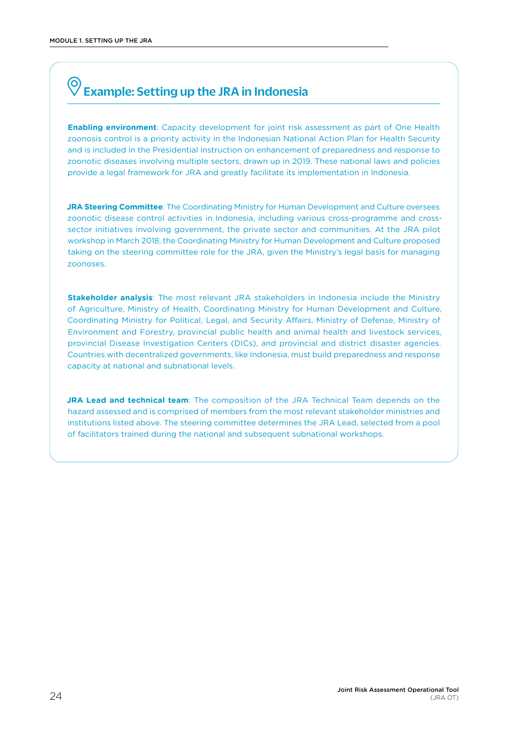## <span id="page-31-0"></span>Example: Setting up the JRA in Indonesia

**Enabling environment**: Capacity development for joint risk assessment as part of One Health zoonosis control is a priority activity in the Indonesian National Action Plan for Health Security and is included in the Presidential instruction on enhancement of preparedness and response to zoonotic diseases involving multiple sectors, drawn up in 2019. These national laws and policies provide a legal framework for JRA and greatly facilitate its implementation in Indonesia.

**JRA Steering Committee**: The Coordinating Ministry for Human Development and Culture oversees zoonotic disease control activities in Indonesia, including various cross-programme and crosssector initiatives involving government, the private sector and communities. At the JRA pilot workshop in March 2018, the Coordinating Ministry for Human Development and Culture proposed taking on the steering committee role for the JRA, given the Ministry's legal basis for managing zoonoses.

**Stakeholder analysis**: The most relevant JRA stakeholders in Indonesia include the Ministry of Agriculture, Ministry of Health, Coordinating Ministry for Human Development and Culture, Coordinating Ministry for Political, Legal, and Security Affairs, Ministry of Defense, Ministry of Environment and Forestry, provincial public health and animal health and livestock services, provincial Disease Investigation Centers (DICs), and provincial and district disaster agencies. Countries with decentralized governments, like Indonesia, must build preparedness and response capacity at national and subnational levels.

**JRA Lead and technical team**: The composition of the JRA Technical Team depends on the hazard assessed and is comprised of members from the most relevant stakeholder ministries and institutions listed above. The steering committee determines the JRA Lead, selected from a pool of facilitators trained during the national and subsequent subnational workshops.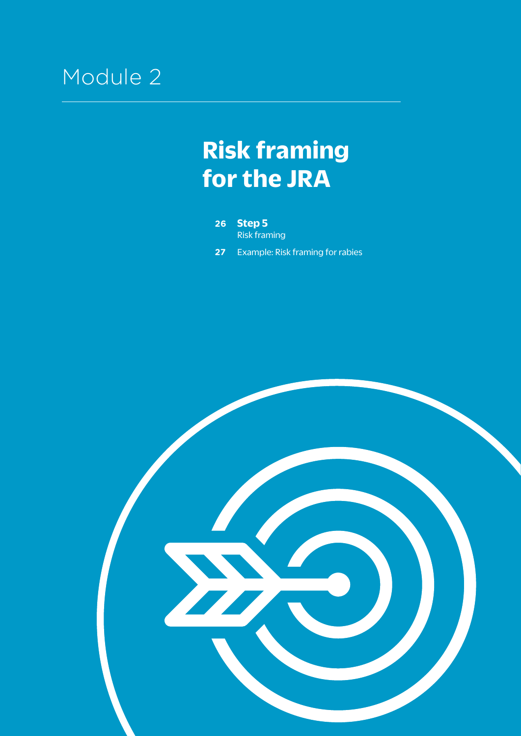## <span id="page-32-0"></span>Module 2

## **Risk framing for the JRA**

**26 [Step 5](#page-33-0)** [Risk framing](#page-33-0)

**27** [Example: Risk framing for rabies](#page-34-0) 

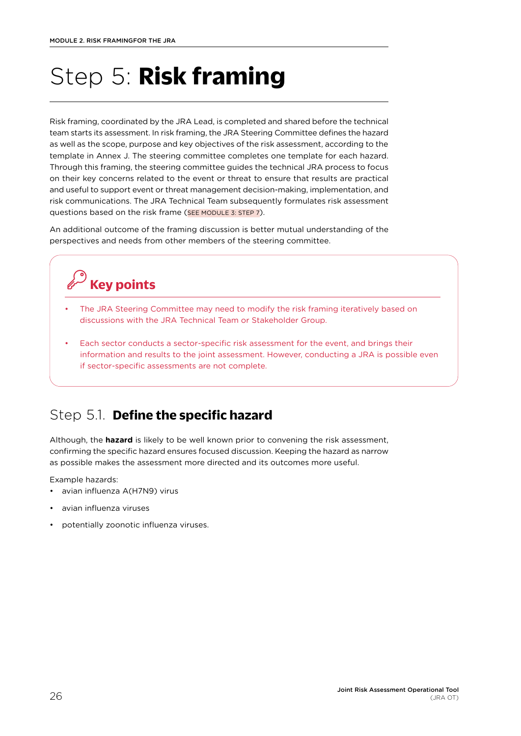# <span id="page-33-0"></span>Step 5: **Risk framing**

Risk framing, coordinated by the JRA Lead, is completed and shared before the technical team starts its assessment. In risk framing, the JRA Steering Committee defines the hazard as well as the scope, purpose and key objectives of the risk assessment, according to the template in Annex J. The steering committee completes one template for each hazard. Through this framing, the steering committee guides the technical JRA process to focus on their key concerns related to the event or threat to ensure that results are practical and useful to support event or threat management decision-making, implementation, and risk communications. The JRA Technical Team subsequently formulates risk assessment questions based on the risk frame [\(SEE MODULE 3: STEP 7\)](#page-40-0).

An additional outcome of the framing discussion is better mutual understanding of the perspectives and needs from other members of the steering committee.

## **Key points**

- The JRA Steering Committee may need to modify the risk framing iteratively based on discussions with the JRA Technical Team or Stakeholder Group.
- Each sector conducts a sector-specific risk assessment for the event, and brings their information and results to the joint assessment. However, conducting a JRA is possible even if sector-specific assessments are not complete.

### Step 5.1. **Define the specific hazard**

Although, the **hazard** is likely to be well known prior to convening the risk assessment, confirming the specific hazard ensures focused discussion. Keeping the hazard as narrow as possible makes the assessment more directed and its outcomes more useful.

Example hazards:

- avian influenza A(H7N9) virus
- avian influenza viruses
- potentially zoonotic influenza viruses.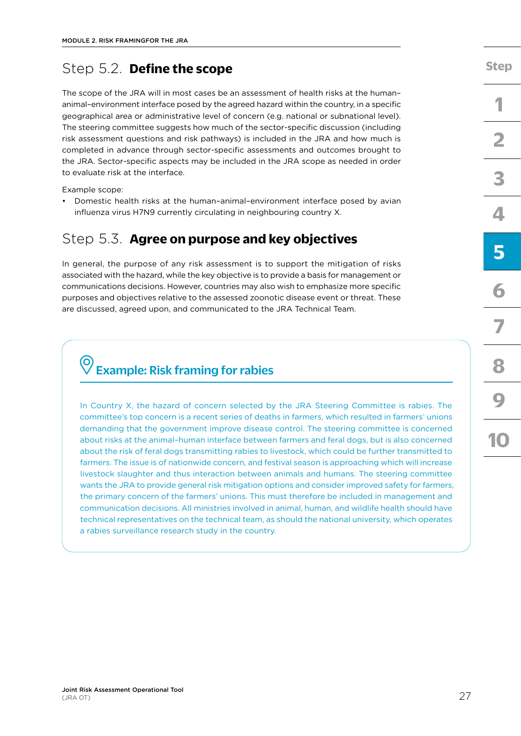### <span id="page-34-0"></span>Step 5.2. **Define the scope**

The scope of the JRA will in most cases be an assessment of health risks at the human– animal–environment interface posed by the agreed hazard within the country, in a specific geographical area or administrative level of concern (e.g. national or subnational level). The steering committee suggests how much of the sector-specific discussion (including risk assessment questions and risk pathways) is included in the JRA and how much is completed in advance through sector-specific assessments and outcomes brought to the JRA. Sector-specific aspects may be included in the JRA scope as needed in order to evaluate risk at the interface.

Example scope:

• Domestic health risks at the human–animal–environment interface posed by avian influenza virus H7N9 currently circulating in neighbouring country X.

### Step 5.3. **Agree on purpose and key objectives**

In general, the purpose of any risk assessment is to support the mitigation of risks associated with the hazard, while the key objective is to provide a basis for management or communications decisions. However, countries may also wish to emphasize more specific purposes and objectives relative to the assessed zoonotic disease event or threat. These are discussed, agreed upon, and communicated to the JRA Technical Team.

## Example: Risk framing for rabies

In Country X, the hazard of concern selected by the JRA Steering Committee is rabies. The committee's top concern is a recent series of deaths in farmers, which resulted in farmers' unions demanding that the government improve disease control. The steering committee is concerned about risks at the animal–human interface between farmers and feral dogs, but is also concerned about the risk of feral dogs transmitting rabies to livestock, which could be further transmitted to farmers. The issue is of nationwide concern, and festival season is approaching which will increase livestock slaughter and thus interaction between animals and humans. The steering committee wants the JRA to provide general risk mitigation options and consider improved safety for farmers, the primary concern of the farmers' unions. This must therefore be included in management and communication decisions. All ministries involved in animal, human, and wildlife health should have technical representatives on the technical team, as should the national university, which operates a rabies surveillance research study in the country.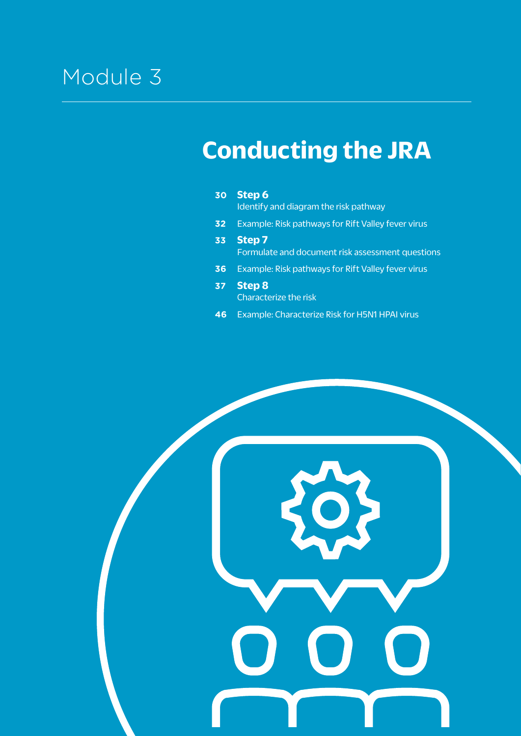# Module 3

# **Conducting the JRA**

| 30              | Step 6<br>Identify and diagram the risk pathway                   |
|-----------------|-------------------------------------------------------------------|
| 32 <sub>2</sub> | Example: Risk pathways for Rift Valley fever virus                |
| 33              | <b>Step 7</b><br>Formulate and document risk assessment questions |
| 36              | Example: Risk pathways for Rift Valley fever virus                |
| 37              | <b>Step 8</b><br>Characterize the risk                            |
| 46              | Example: Characterize Risk for H5N1 HPAI virus                    |

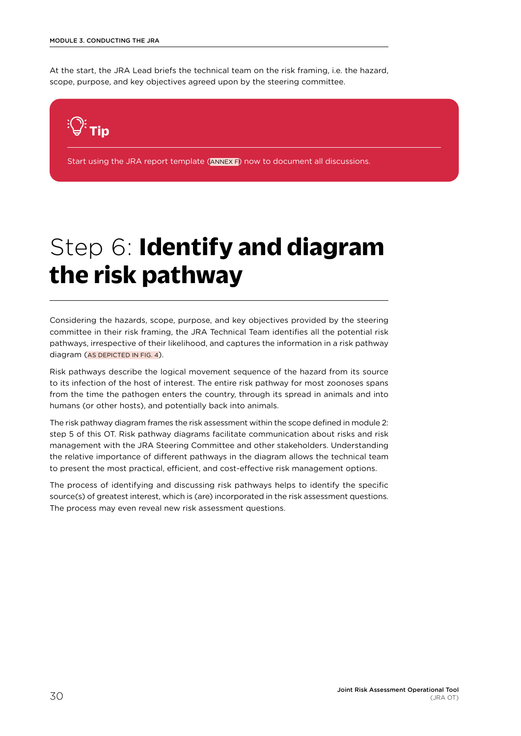<span id="page-37-0"></span>At the start, the JRA Lead briefs the technical team on the risk framing, i.e. the hazard, scope, purpose, and key objectives agreed upon by the steering committee.



Start using the JRA report template (ANNEX F) now to document all discussions.

# Step 6: **Identify and diagram the risk pathway**

Considering the hazards, scope, purpose, and key objectives provided by the steering committee in their risk framing, the JRA Technical Team identifies all the potential risk pathways, irrespective of their likelihood, and captures the information in a risk pathway diagram [\(AS DEPICTED IN FIG. 4](#page-16-0)).

Risk pathways describe the logical movement sequence of the hazard from its source to its infection of the host of interest. The entire risk pathway for most zoonoses spans from the time the pathogen enters the country, through its spread in animals and into humans (or other hosts), and potentially back into animals.

The risk pathway diagram frames the risk assessment within the scope defined in module 2: step 5 of this OT. Risk pathway diagrams facilitate communication about risks and risk management with the JRA Steering Committee and other stakeholders. Understanding the relative importance of different pathways in the diagram allows the technical team to present the most practical, efficient, and cost-effective risk management options.

The process of identifying and discussing risk pathways helps to identify the specific source(s) of greatest interest, which is (are) incorporated in the risk assessment questions. The process may even reveal new risk assessment questions.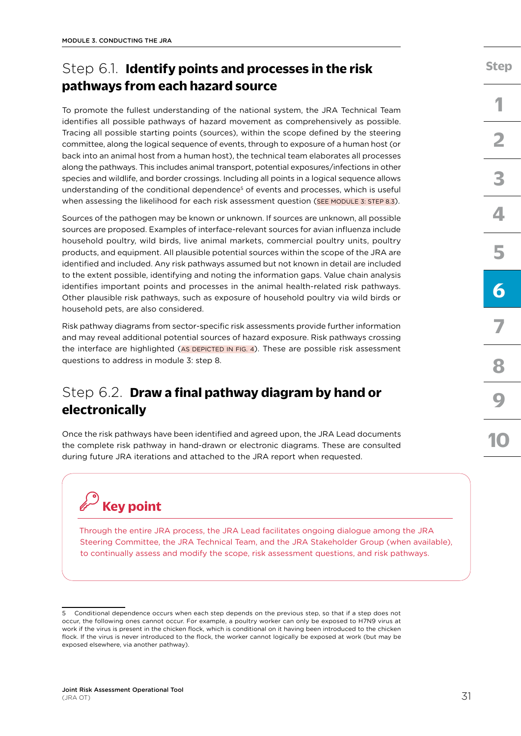# Step 6.1. **Identify points and processes in the risk pathways from each hazard source**

To promote the fullest understanding of the national system, the JRA Technical Team identifies all possible pathways of hazard movement as comprehensively as possible. Tracing all possible starting points (sources), within the scope defined by the steering committee, along the logical sequence of events, through to exposure of a human host (or back into an animal host from a human host), the technical team elaborates all processes along the pathways. This includes animal transport, potential exposures/infections in other species and wildlife, and border crossings. Including all points in a logical sequence allows understanding of the conditional dependence<sup>5</sup> of events and processes, which is useful when assessing the likelihood for each risk assessment question (SEE MODULE 3: STEP 8.3).

Sources of the pathogen may be known or unknown. If sources are unknown, all possible sources are proposed. Examples of interface-relevant sources for avian influenza include household poultry, wild birds, live animal markets, commercial poultry units, poultry products, and equipment. All plausible potential sources within the scope of the JRA are identified and included. Any risk pathways assumed but not known in detail are included to the extent possible, identifying and noting the information gaps. Value chain analysis identifies important points and processes in the animal health-related risk pathways. Other plausible risk pathways, such as exposure of household poultry via wild birds or household pets, are also considered.

Risk pathway diagrams from sector-specific risk assessments provide further information and may reveal additional potential sources of hazard exposure. Risk pathways crossing the interface are highlighted ([AS DEPICTED IN FIG. 4\)](#page-16-0). These are possible risk assessment questions to address in module 3: step 8.

## Step 6.2. **Draw a final pathway diagram by hand or electronically**

Once the risk pathways have been identified and agreed upon, the JRA Lead documents the complete risk pathway in hand-drawn or electronic diagrams. These are consulted during future JRA iterations and attached to the JRA report when requested.

# **Key point**

Through the entire JRA process, the JRA Lead facilitates ongoing dialogue among the JRA Steering Committee, the JRA Technical Team, and the JRA Stakeholder Group (when available), to continually assess and modify the scope, risk assessment questions, and risk pathways.

**[Step](#page-18-0)**

<sup>5</sup> Conditional dependence occurs when each step depends on the previous step, so that if a step does not occur, the following ones cannot occur. For example, a poultry worker can only be exposed to H7N9 virus at work if the virus is present in the chicken flock, which is conditional on it having been introduced to the chicken flock. If the virus is never introduced to the flock, the worker cannot logically be exposed at work (but may be exposed elsewhere, via another pathway).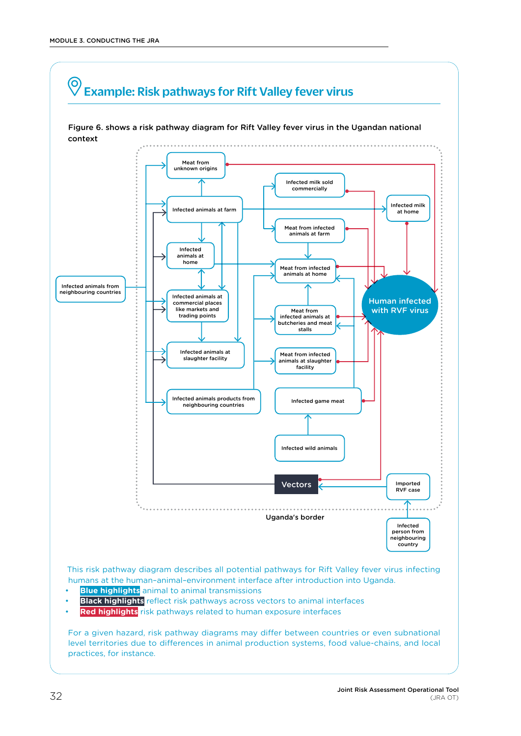<span id="page-39-0"></span>

• **Red highlights** risk pathways related to human exposure interfaces

For a given hazard, risk pathway diagrams may differ between countries or even subnational level territories due to differences in animal production systems, food value-chains, and local practices, for instance.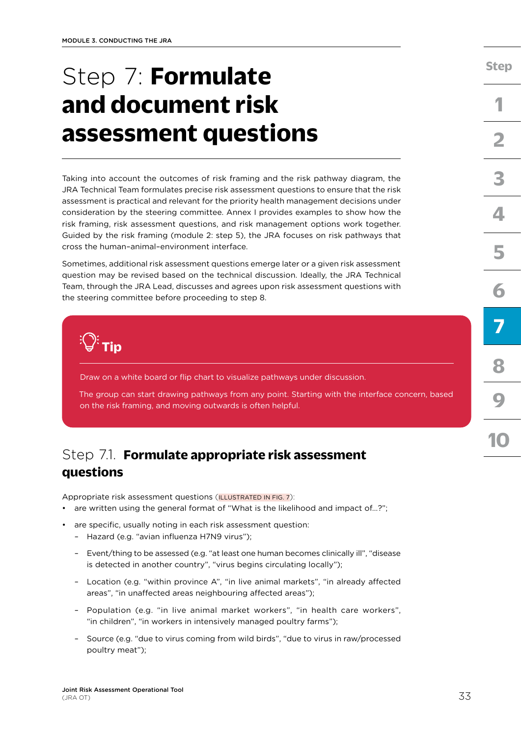# <span id="page-40-0"></span>Step 7: **Formulate and document risk assessment questions**

Taking into account the outcomes of risk framing and the risk pathway diagram, the JRA Technical Team formulates precise risk assessment questions to ensure that the risk assessment is practical and relevant for the priority health management decisions under consideration by the steering committee. Annex I provides examples to show how the risk framing, risk assessment questions, and risk management options work together. Guided by the risk framing (module 2: step 5), the JRA focuses on risk pathways that cross the human–animal–environment interface.

Sometimes, additional risk assessment questions emerge later or a given risk assessment question may be revised based on the technical discussion. Ideally, the JRA Technical Team, through the JRA Lead, discusses and agrees upon risk assessment questions with the steering committee before proceeding to step 8.



Draw on a white board or flip chart to visualize pathways under discussion.

The group can start drawing pathways from any point. Starting with the interface concern, based on the risk framing, and moving outwards is often helpful.

## Step 7.1. **Formulate appropriate risk assessment questions**

Appropriate risk assessment questions ([ILLUSTRATED IN FIG. 7](#page-41-0)):

- are written using the general format of "What is the likelihood and impact of...?";
- are specific, usually noting in each risk assessment question:
	- Hazard (e.g. "avian influenza H7N9 virus");
	- Event/thing to be assessed (e.g. "at least one human becomes clinically ill", "disease is detected in another country", "virus begins circulating locally");
	- Location (e.g. "within province A", "in live animal markets", "in already affected areas", "in unaffected areas neighbouring affected areas");
	- Population (e.g. "in live animal market workers", "in health care workers", "in children", "in workers in intensively managed poultry farms");
	- Source (e.g. "due to virus coming from wild birds", "due to virus in raw/processed poultry meat");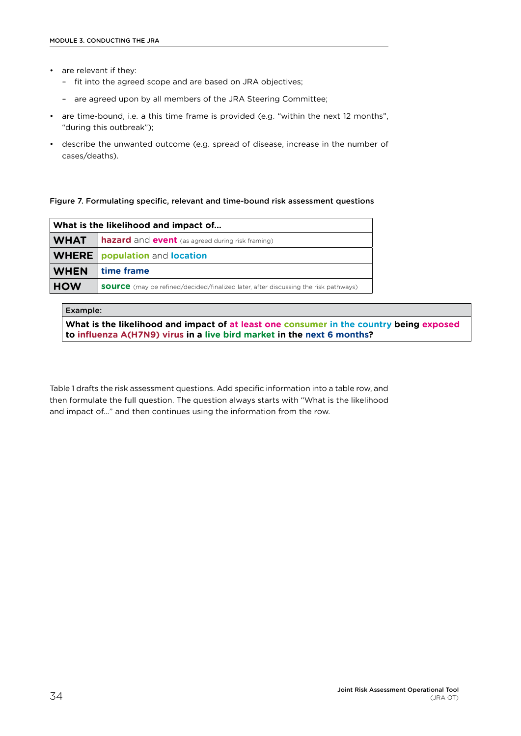- <span id="page-41-0"></span>• are relevant if they:
	- fit into the agreed scope and are based on JRA objectives;
	- are agreed upon by all members of the JRA Steering Committee;
- are time-bound, i.e. a this time frame is provided (e.g. "within the next 12 months", "during this outbreak");
- describe the unwanted outcome (e.g. spread of disease, increase in the number of cases/deaths).

#### Figure 7. Formulating specific, relevant and time-bound risk assessment questions

| What is the likelihood and impact of |                                                                                            |  |
|--------------------------------------|--------------------------------------------------------------------------------------------|--|
| <b>WHAT</b>                          | <b>hazard</b> and <b>event</b> (as agreed during risk framing)                             |  |
|                                      | <b>WHERE</b> population and location                                                       |  |
| <b>WHEN</b>                          | time frame                                                                                 |  |
| <b>HOW</b>                           | <b>SOUrce</b> (may be refined/decided/finalized later, after discussing the risk pathways) |  |

#### Example:

**What is the likelihood and impact of at least one consumer in the country being exposed to influenza A(H7N9) virus in a live bird market in the next 6 months?**

Table 1 drafts the risk assessment questions. Add specific information into a table row, and then formulate the full question. The question always starts with "What is the likelihood and impact of…" and then continues using the information from the row.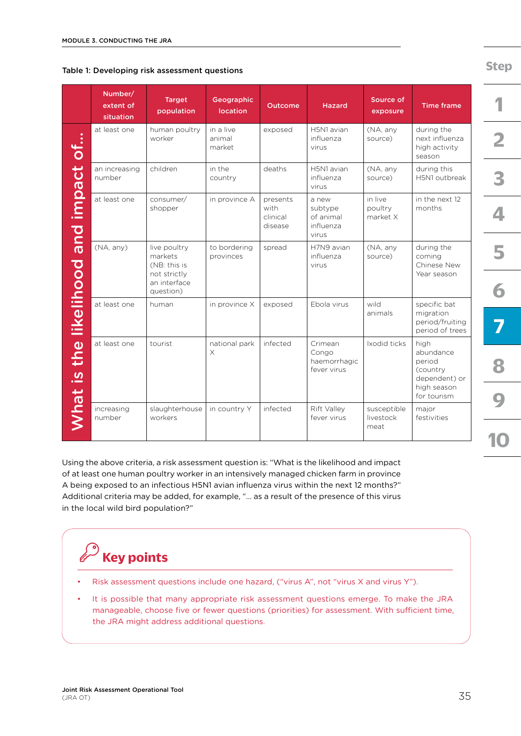| Table 1: Developing risk assessment questions |  |
|-----------------------------------------------|--|
|-----------------------------------------------|--|

|                                      | Number/<br>extent of<br>situation | <b>Target</b><br>population                                                          | Geographic<br><b>location</b> | <b>Outcome</b>                          | <b>Hazard</b>                                       | Source of<br>exposure            | <b>Time frame</b>                                                                      |
|--------------------------------------|-----------------------------------|--------------------------------------------------------------------------------------|-------------------------------|-----------------------------------------|-----------------------------------------------------|----------------------------------|----------------------------------------------------------------------------------------|
|                                      | at least one                      | human poultry<br>worker                                                              | in a live<br>animal<br>market | exposed                                 | H5N1 avian<br>influenza<br>virus                    | (NA, any<br>source)              | during the<br>next influenza<br>high activity<br>season                                |
|                                      | an increasing<br>number           | children                                                                             | in the<br>country             | deaths                                  | H5N1 avian<br>influenza<br>virus                    | (NA, any<br>source)              | during this<br>H5N1 outbreak                                                           |
|                                      | at least one                      | consumer/<br>shopper                                                                 | in province A                 | presents<br>with<br>clinical<br>disease | a new<br>subtype<br>of animal<br>influenza<br>virus | in live<br>poultry<br>market X   | in the next 12<br>months                                                               |
|                                      | (NA, any)                         | live poultry<br>markets<br>(NB: this is<br>not strictly<br>an interface<br>question) | to bordering<br>provinces     | spread                                  | H7N9 avian<br>influenza<br>virus                    | (NA, any<br>source)              | during the<br>coming<br>Chinese New<br>Year season                                     |
|                                      | at least one                      | human                                                                                | in province X                 | exposed                                 | Ebola virus                                         | wild<br>animals                  | specific bat<br>migration<br>period/fruiting<br>period of trees                        |
| What is the likelihood and impact of | at least one                      | tourist                                                                              | national park<br>X            | infected                                | Crimean<br>Congo<br>haemorrhagic<br>fever virus     | Ixodid ticks                     | high<br>abundance<br>period<br>(country<br>dependent) or<br>high season<br>for tourism |
|                                      | increasing<br>number              | slaughterhouse<br>workers                                                            | in country Y                  | infected                                | Rift Valley<br>fever virus                          | susceptible<br>livestock<br>meat | major<br>festivities                                                                   |

Using the above criteria, a risk assessment question is: "What is the likelihood and impact of at least one human poultry worker in an intensively managed chicken farm in province A being exposed to an infectious H5N1 avian influenza virus within the next 12 months?" Additional criteria may be added, for example, "… as a result of the presence of this virus in the local wild bird population?"

# **Key points**

- Risk assessment questions include one hazard, ("virus A", not "virus X and virus Y").
- It is possible that many appropriate risk assessment questions emerge. To make the JRA manageable, choose five or fewer questions (priorities) for assessment. With sufficient time, the JRA might address additional questions.

**[Step](#page-18-0)**

**[1](#page-20-0)**

**[10](#page-56-0)**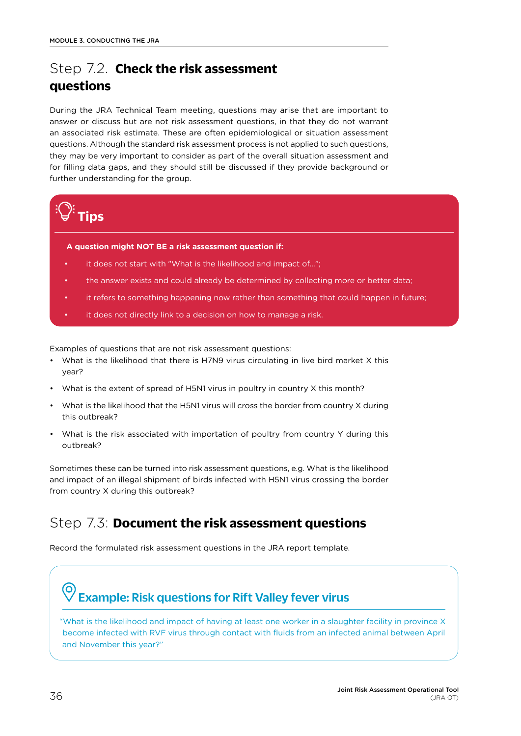# <span id="page-43-0"></span>Step 7.2. **Check the risk assessment questions**

During the JRA Technical Team meeting, questions may arise that are important to answer or discuss but are not risk assessment questions, in that they do not warrant an associated risk estimate. These are often epidemiological or situation assessment questions. Although the standard risk assessment process is not applied to such questions, they may be very important to consider as part of the overall situation assessment and for filling data gaps, and they should still be discussed if they provide background or further understanding for the group.



#### **A question might NOT BE a risk assessment question if:**

- it does not start with "What is the likelihood and impact of...";
- the answer exists and could already be determined by collecting more or better data;
- it refers to something happening now rather than something that could happen in future;
- it does not directly link to a decision on how to manage a risk.

Examples of questions that are not risk assessment questions:

- What is the likelihood that there is H7N9 virus circulating in live bird market X this year?
- What is the extent of spread of H5N1 virus in poultry in country X this month?
- What is the likelihood that the H5N1 virus will cross the border from country X during this outbreak?
- What is the risk associated with importation of poultry from country Y during this outbreak?

Sometimes these can be turned into risk assessment questions, e.g. What is the likelihood and impact of an illegal shipment of birds infected with H5N1 virus crossing the border from country X during this outbreak?

## Step 7.3: **Document the risk assessment questions**

Record the formulated risk assessment questions in the JRA report template.

## Example: Risk questions for Rift Valley fever virus

"What is the likelihood and impact of having at least one worker in a slaughter facility in province X become infected with RVF virus through contact with fluids from an infected animal between April and November this year?"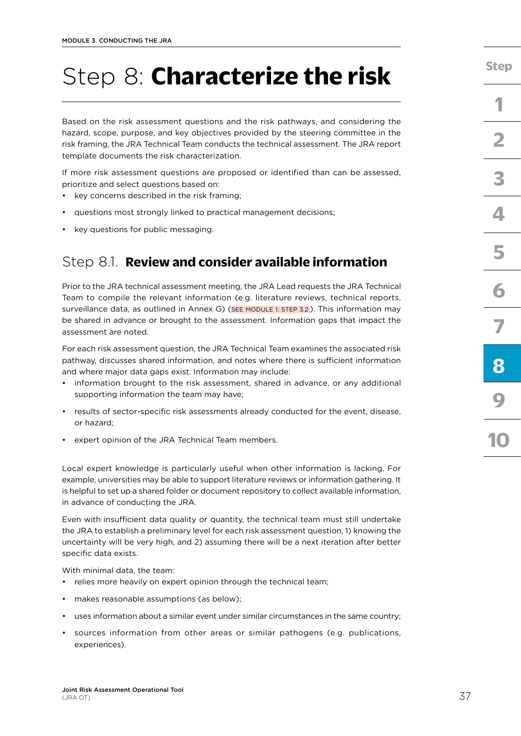# <span id="page-44-0"></span>Step 8: **Characterize the risk**

Based on the risk assessment questions and the risk pathways, and considering the hazard, scope, purpose, and key objectives provided by the steering committee in the risk framing, the JRA Technical Team conducts the technical assessment. The JRA report template documents the risk characterization.

If more risk assessment questions are proposed or identified than can be assessed, prioritize and select questions based on:

- key concerns described in the risk framing;
- questions most strongly linked to practical management decisions;
- key questions for public messaging.

## Step 8.1. **Review and consider available information**

Prior to the JRA technical assessment meeting, the JRA Lead requests the JRA Technical Team to compile the relevant information (e.g. literature reviews, technical reports, surveillance data, as outlined in Annex G) [\(SEE MODULE 1: STEP 3.2.](#page-25-0)). This information may be shared in advance or brought to the assessment. Information gaps that impact the assessment are noted.

For each risk assessment question, the JRA Technical Team examines the associated risk pathway, discusses shared information, and notes where there is sufficient information and where major data gaps exist. Information may include:

- information brought to the risk assessment, shared in advance, or any additional supporting information the team may have;
- results of sector-specific risk assessments already conducted for the event, disease, or hazard;
- expert opinion of the JRA Technical Team members.

Local expert knowledge is particularly useful when other information is lacking. For example, universities may be able to support literature reviews or information gathering. It is helpful to set up a shared folder or document repository to collect available information, in advance of conducting the JRA.

Even with insufficient data quality or quantity, the technical team must still undertake the JRA to establish a preliminary level for each risk assessment question, 1) knowing the uncertainty will be very high, and 2) assuming there will be a next iteration after better specific data exists.

With minimal data, the team:

- relies more heavily on expert opinion through the technical team;
- makes reasonable assumptions (as below);
- uses information about a similar event under similar circumstances in the same country;
- sources information from other areas or similar pathogens (e.g. publications, experiences).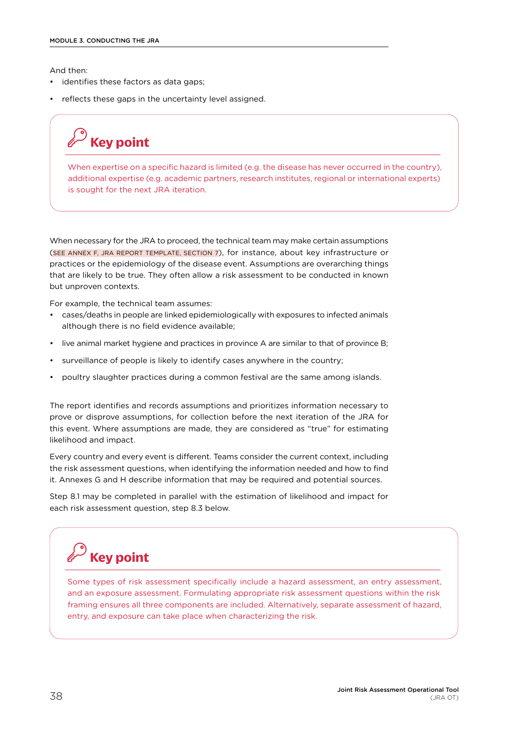And then:

- identifies these factors as data gaps;
- reflects these gaps in the uncertainty level assigned.

**Key point**

When expertise on a specific hazard is limited (e.g. the disease has never occurred in the country), additional expertise (e.g. academic partners, research institutes, regional or international experts) is sought for the next JRA iteration.

When necessary for the JRA to proceed, the technical team may make certain assumptions ([SEE ANNEX F, JRA REPORT TEMPLATE, SECTION 7\)](#page-71-0), for instance, about key infrastructure or practices or the epidemiology of the disease event. Assumptions are overarching things that are likely to be true. They often allow a risk assessment to be conducted in known but unproven contexts.

For example, the technical team assumes:

- cases/deaths in people are linked epidemiologically with exposures to infected animals although there is no field evidence available;
- live animal market hygiene and practices in province A are similar to that of province B;
- surveillance of people is likely to identify cases anywhere in the country;
- poultry slaughter practices during a common festival are the same among islands.

The report identifies and records assumptions and prioritizes information necessary to prove or disprove assumptions, for collection before the next iteration of the JRA for this event. Where assumptions are made, they are considered as "true" for estimating likelihood and impact.

Every country and every event is different. Teams consider the current context, including the risk assessment questions, when identifying the information needed and how to find it. Annexes G and H describe information that may be required and potential sources.

Step 8.1 may be completed in parallel with the estimation of likelihood and impact for each risk assessment question, step 8.3 below.

# **Key point**

Some types of risk assessment specifically include a hazard assessment, an entry assessment, and an exposure assessment. Formulating appropriate risk assessment questions within the risk framing ensures all three components are included. Alternatively, separate assessment of hazard, entry, and exposure can take place when characterizing the risk.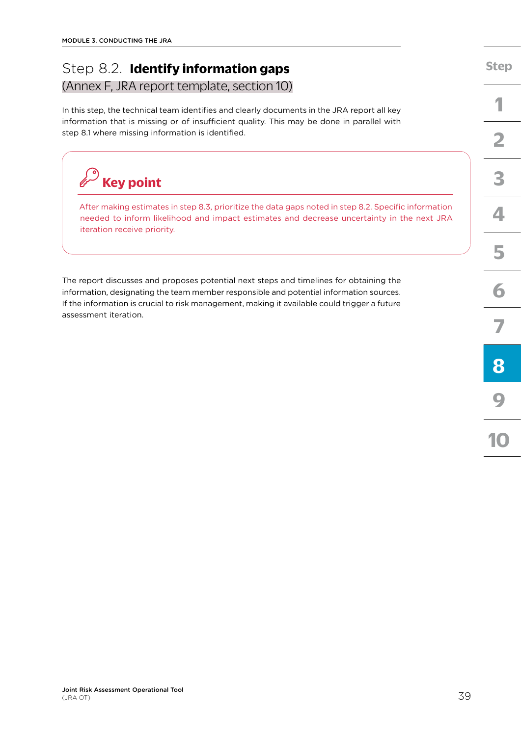## Step 8.2. **Identify information gaps** [\(Annex F, JRA report template, section 10\)](#page-71-0)

In this step, the technical team identifies and clearly documents in the JRA report all key information that is missing or of insufficient quality. This may be done in parallel with step 8.1 where missing information is identified.



After making estimates in step 8.3, prioritize the data gaps noted in step 8.2. Specific information needed to inform likelihood and impact estimates and decrease uncertainty in the next JRA iteration receive priority.

The report discusses and proposes potential next steps and timelines for obtaining the information, designating the team member responsible and potential information sources. If the information is crucial to risk management, making it available could trigger a future assessment iteration.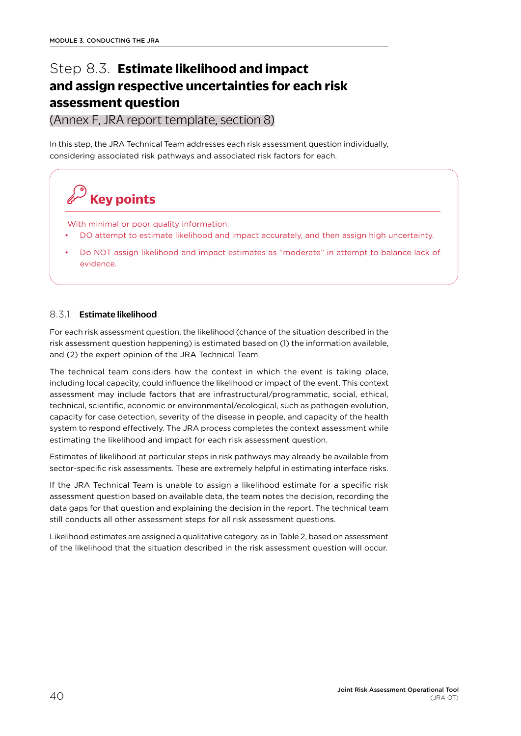# Step 8.3. **Estimate likelihood and impact and assign respective uncertainties for each risk assessment question**

[\(Annex F, JRA report template, section 8\)](#page-71-0)

In this step, the JRA Technical Team addresses each risk assessment question individually, considering associated risk pathways and associated risk factors for each.

With minimal or poor quality information:

**Key points**

- DO attempt to estimate likelihood and impact accurately, and then assign high uncertainty.
- Do NOT assign likelihood and impact estimates as "moderate" in attempt to balance lack of evidence.

### 8.3.1. Estimate likelihood

For each risk assessment question, the likelihood (chance of the situation described in the risk assessment question happening) is estimated based on (1) the information available, and (2) the expert opinion of the JRA Technical Team.

The technical team considers how the context in which the event is taking place, including local capacity, could influence the likelihood or impact of the event. This context assessment may include factors that are infrastructural/programmatic, social, ethical, technical, scientific, economic or environmental/ecological, such as pathogen evolution, capacity for case detection, severity of the disease in people, and capacity of the health system to respond effectively. The JRA process completes the context assessment while estimating the likelihood and impact for each risk assessment question.

Estimates of likelihood at particular steps in risk pathways may already be available from sector-specific risk assessments. These are extremely helpful in estimating interface risks.

If the JRA Technical Team is unable to assign a likelihood estimate for a specific risk assessment question based on available data, the team notes the decision, recording the data gaps for that question and explaining the decision in the report. The technical team still conducts all other assessment steps for all risk assessment questions.

Likelihood estimates are assigned a qualitative category, as in Table 2, based on assessment of the likelihood that the situation described in the risk assessment question will occur.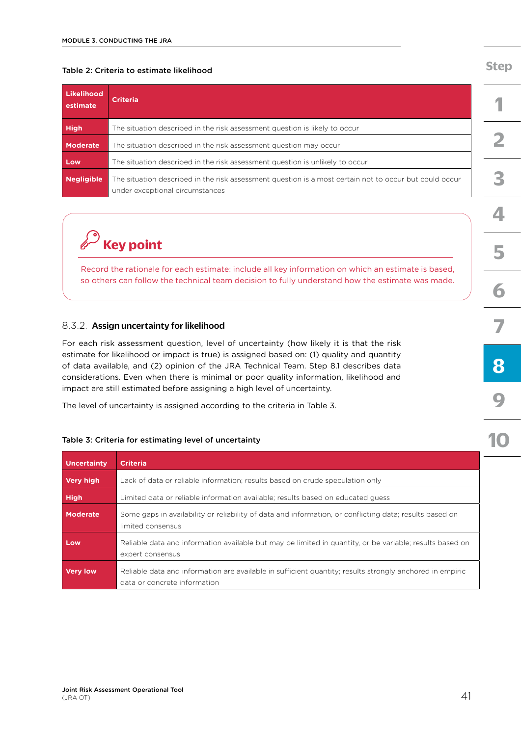#### Table 2: Criteria to estimate likelihood

| Likelihood<br>estimate | <b>Criteria</b>                                                                                                                           |  |  |  |
|------------------------|-------------------------------------------------------------------------------------------------------------------------------------------|--|--|--|
| <b>High</b>            | The situation described in the risk assessment question is likely to occur                                                                |  |  |  |
| Moderate               | The situation described in the risk assessment question may occur                                                                         |  |  |  |
| Low                    | The situation described in the risk assessment question is unlikely to occur                                                              |  |  |  |
| <b>Negligible</b>      | The situation described in the risk assessment question is almost certain not to occur but could occur<br>under exceptional circumstances |  |  |  |

# **Key point**

Record the rationale for each estimate: include all key information on which an estimate is based, so others can follow the technical team decision to fully understand how the estimate was made.

#### 8.3.2. Assign uncertainty for likelihood

For each risk assessment question, level of uncertainty (how likely it is that the risk estimate for likelihood or impact is true) is assigned based on: (1) quality and quantity of data available, and (2) opinion of the JRA Technical Team. Step 8.1 describes data considerations. Even when there is minimal or poor quality information, likelihood and impact are still estimated before assigning a high level of uncertainty.

The level of uncertainty is assigned according to the criteria in Table 3.

#### Table 3: Criteria for estimating level of uncertainty

| <b>Uncertainty</b> | <b>Criteria</b>                                                                                                                          |
|--------------------|------------------------------------------------------------------------------------------------------------------------------------------|
| <b>Very high</b>   | Lack of data or reliable information; results based on crude speculation only                                                            |
| <b>High</b>        | Limited data or reliable information available; results based on educated quess                                                          |
| <b>Moderate</b>    | Some gaps in availability or reliability of data and information, or conflicting data; results based on<br>limited consensus             |
| Low                | Reliable data and information available but may be limited in quantity, or be variable; results based on<br>expert consensus             |
| <b>Very low</b>    | Reliable data and information are available in sufficient quantity; results strongly anchored in empiric<br>data or concrete information |

## **[Step](#page-18-0)**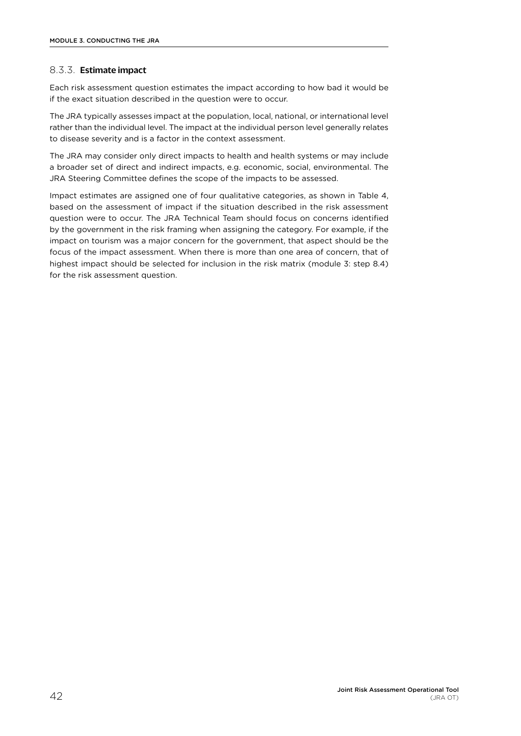### 8.3.3. Estimate impact

Each risk assessment question estimates the impact according to how bad it would be if the exact situation described in the question were to occur.

The JRA typically assesses impact at the population, local, national, or international level rather than the individual level. The impact at the individual person level generally relates to disease severity and is a factor in the context assessment.

The JRA may consider only direct impacts to health and health systems or may include a broader set of direct and indirect impacts, e.g. economic, social, environmental. The JRA Steering Committee defines the scope of the impacts to be assessed.

Impact estimates are assigned one of four qualitative categories, as shown in Table 4, based on the assessment of impact if the situation described in the risk assessment question were to occur. The JRA Technical Team should focus on concerns identified by the government in the risk framing when assigning the category. For example, if the impact on tourism was a major concern for the government, that aspect should be the focus of the impact assessment. When there is more than one area of concern, that of highest impact should be selected for inclusion in the risk matrix (module 3: step 8.4) for the risk assessment question.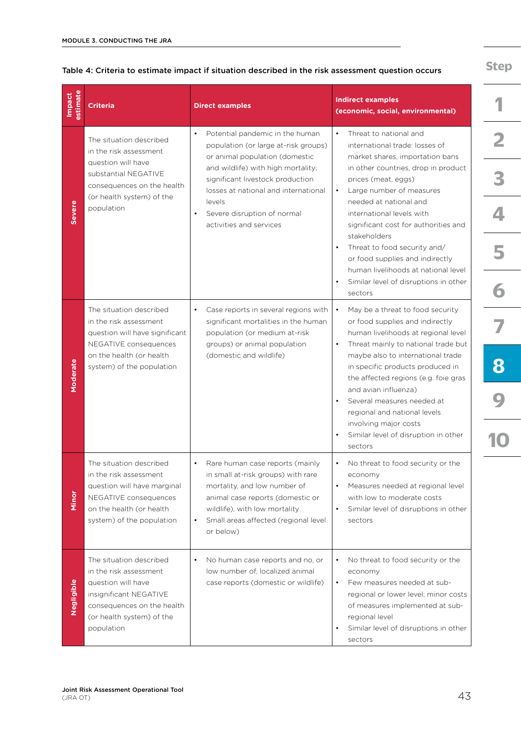| estimate<br>Impact | <b>Criteria</b>                                                                                                                                                            | <b>Direct examples</b>                                                                                                                                                                                                          | <b>Indirect examples</b><br>(economic, social, environmental)                                                                                                                                                                                                                                                                       |  |
|--------------------|----------------------------------------------------------------------------------------------------------------------------------------------------------------------------|---------------------------------------------------------------------------------------------------------------------------------------------------------------------------------------------------------------------------------|-------------------------------------------------------------------------------------------------------------------------------------------------------------------------------------------------------------------------------------------------------------------------------------------------------------------------------------|--|
|                    | The situation described<br>in the risk assessment                                                                                                                          | Potential pandemic in the human<br>population (or large at-risk groups)<br>or animal population (domestic                                                                                                                       | Threat to national and<br>international trade: losses of<br>market shares, importation bans                                                                                                                                                                                                                                         |  |
|                    | question will have<br>substantial NEGATIVE<br>consequences on the health<br>(or health system) of the                                                                      | and wildlife) with high mortality;<br>significant livestock production<br>losses at national and international                                                                                                                  | in other countries, drop in product<br>prices (meat, eggs)<br>Large number of measures                                                                                                                                                                                                                                              |  |
| <b>Severe</b>      | population                                                                                                                                                                 | levels<br>Severe disruption of normal<br>activities and services                                                                                                                                                                | needed at national and<br>international levels with<br>significant cost for authorities and                                                                                                                                                                                                                                         |  |
|                    |                                                                                                                                                                            |                                                                                                                                                                                                                                 | stakeholders<br>Threat to food security and/<br>or food supplies and indirectly<br>human livelihoods at national level                                                                                                                                                                                                              |  |
|                    |                                                                                                                                                                            |                                                                                                                                                                                                                                 | Similar level of disruptions in other<br>sectors                                                                                                                                                                                                                                                                                    |  |
|                    | The situation described<br>in the risk assessment<br>question will have significant                                                                                        | Case reports in several regions with<br>$\bullet$<br>significant mortalities in the human<br>population (or medium at-risk                                                                                                      | May be a threat to food security<br>$\bullet$<br>or food supplies and indirectly<br>human livelihoods at regional level                                                                                                                                                                                                             |  |
| Moderate           | NEGATIVE consequences<br>on the health (or health<br>system) of the population                                                                                             | groups) or animal population<br>(domestic and wildlife)                                                                                                                                                                         | Threat mainly to national trade but<br>$\bullet$<br>maybe also to international trade<br>in specific products produced in<br>the affected regions (e.g. foie gras<br>and avian influenza)<br>Several measures needed at<br>regional and national levels<br>involving major costs<br>Similar level of disruption in other<br>sectors |  |
| Minor              | The situation described<br>in the risk assessment<br>question will have marginal<br>NEGATIVE consequences<br>on the health (or health<br>system) of the population         | Rare human case reports (mainly<br>in small at-risk groups) with rare<br>mortality, and low number of<br>animal case reports (domestic or<br>wildlife), with low mortality<br>Small areas affected (regional level<br>or below) | No threat to food security or the<br>economy<br>Measures needed at regional level<br>with low to moderate costs<br>Similar level of disruptions in other<br>$\bullet$<br>sectors                                                                                                                                                    |  |
| Negligible         | The situation described<br>in the risk assessment<br>question will have<br>insignificant NEGATIVE<br>consequences on the health<br>(or health system) of the<br>population | No human case reports and no, or<br>low number of, localized animal<br>case reports (domestic or wildlife)                                                                                                                      | No threat to food security or the<br>economy<br>Few measures needed at sub-<br>$\bullet$<br>regional or lower level; minor costs<br>of measures implemented at sub-<br>regional level<br>Similar level of disruptions in other<br>$\bullet$<br>sectors                                                                              |  |

#### Table 4: Criteria to estimate impact if situation described in the risk assessment question occurs

**[Step](#page-18-0)**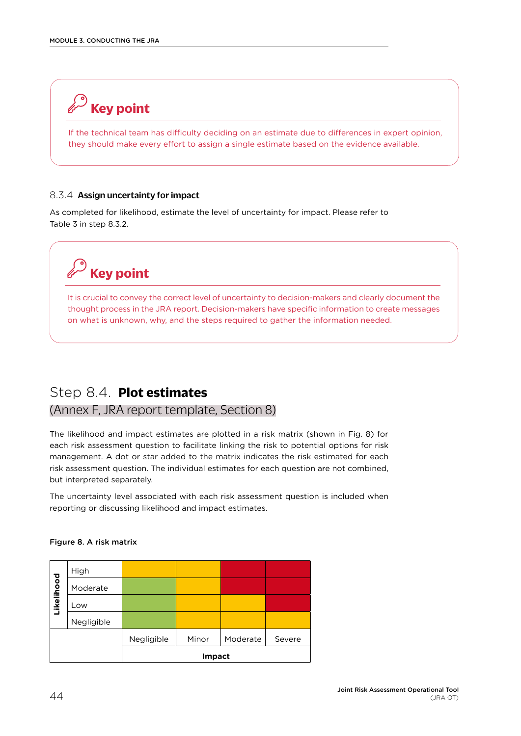# **Key point**

If the technical team has difficulty deciding on an estimate due to differences in expert opinion, they should make every effort to assign a single estimate based on the evidence available.

#### 8.3.4 Assign uncertainty for impact

As completed for likelihood, estimate the level of uncertainty for impact. Please refer to Table 3 in step 8.3.2.

# **Key point**

It is crucial to convey the correct level of uncertainty to decision-makers and clearly document the thought process in the JRA report. Decision-makers have specific information to create messages on what is unknown, why, and the steps required to gather the information needed.

## Step 8.4. **Plot estimates**

## [\(Annex F, JRA report template, Section 8\)](#page-71-0)

The likelihood and impact estimates are plotted in a risk matrix (shown in Fig. 8) for each risk assessment question to facilitate linking the risk to potential options for risk management. A dot or star added to the matrix indicates the risk estimated for each risk assessment question. The individual estimates for each question are not combined, but interpreted separately.

The uncertainty level associated with each risk assessment question is included when reporting or discussing likelihood and impact estimates.

## High ikelihood **Likelihood** Moderate Low Negligible Negligible | Minor | Moderate | Severe **Impact**

#### Figure 8. A risk matrix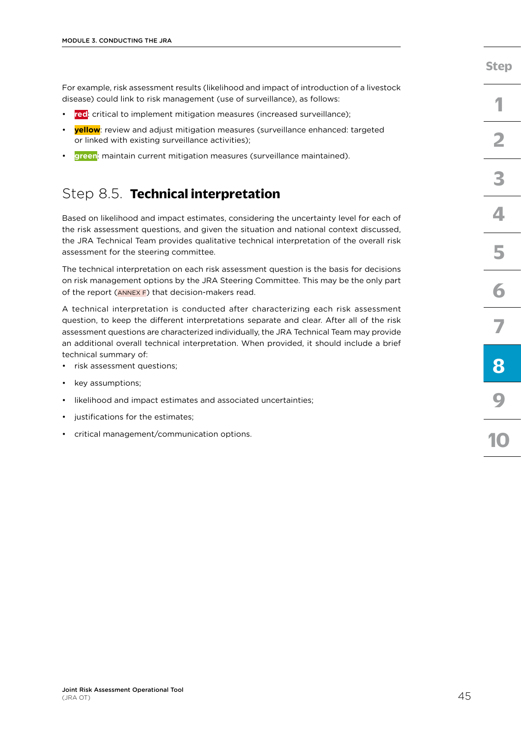For example, risk assessment results (likelihood and impact of introduction of a livestock disease) could link to risk management (use of surveillance), as follows:

- **red**: critical to implement mitigation measures (increased surveillance);
- **yellow**: review and adjust mitigation measures (surveillance enhanced: targeted or linked with existing surveillance activities);
- **green**: maintain current mitigation measures (surveillance maintained).

## Step 8.5. **Technical interpretation**

Based on likelihood and impact estimates, considering the uncertainty level for each of the risk assessment questions, and given the situation and national context discussed, the JRA Technical Team provides qualitative technical interpretation of the overall risk assessment for the steering committee.

The technical interpretation on each risk assessment question is the basis for decisions on risk management options by the JRA Steering Committee. This may be the only part of the report  $(ANNEX)$  that decision-makers read.

A technical interpretation is conducted after characterizing each risk assessment question, to keep the different interpretations separate and clear. After all of the risk assessment questions are characterized individually, the JRA Technical Team may provide an additional overall technical interpretation. When provided, it should include a brief technical summary of:

- risk assessment questions;
- key assumptions;
- likelihood and impact estimates and associated uncertainties;
- justifications for the estimates;
- critical management/communication options.

**[Step](#page-18-0)**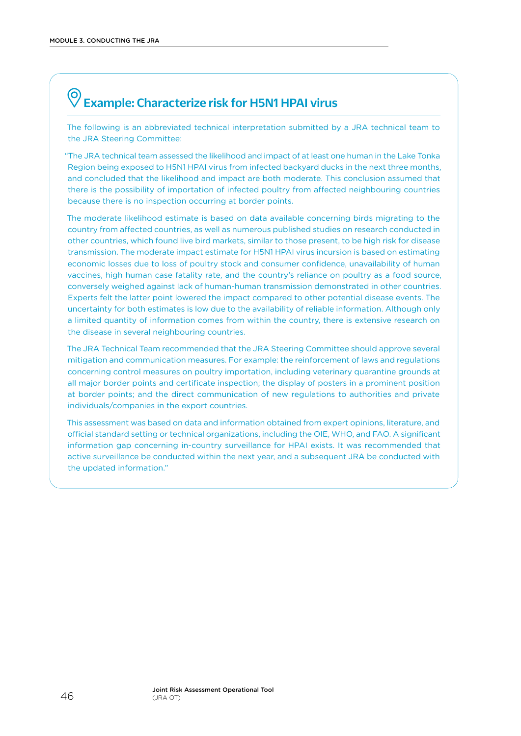### <span id="page-53-0"></span> $\bigodot$ Example: Characterize risk for H5N1 HPAI virus

The following is an abbreviated technical interpretation submitted by a JRA technical team to the JRA Steering Committee:

"The JRA technical team assessed the likelihood and impact of at least one human in the Lake Tonka Region being exposed to H5N1 HPAI virus from infected backyard ducks in the next three months, and concluded that the likelihood and impact are both moderate. This conclusion assumed that there is the possibility of importation of infected poultry from affected neighbouring countries because there is no inspection occurring at border points.

The moderate likelihood estimate is based on data available concerning birds migrating to the country from affected countries, as well as numerous published studies on research conducted in other countries, which found live bird markets, similar to those present, to be high risk for disease transmission. The moderate impact estimate for H5N1 HPAI virus incursion is based on estimating economic losses due to loss of poultry stock and consumer confidence, unavailability of human vaccines, high human case fatality rate, and the country's reliance on poultry as a food source, conversely weighed against lack of human-human transmission demonstrated in other countries. Experts felt the latter point lowered the impact compared to other potential disease events. The uncertainty for both estimates is low due to the availability of reliable information. Although only a limited quantity of information comes from within the country, there is extensive research on the disease in several neighbouring countries.

The JRA Technical Team recommended that the JRA Steering Committee should approve several mitigation and communication measures. For example: the reinforcement of laws and regulations concerning control measures on poultry importation, including veterinary quarantine grounds at all major border points and certificate inspection; the display of posters in a prominent position at border points; and the direct communication of new regulations to authorities and private individuals/companies in the export countries.

This assessment was based on data and information obtained from expert opinions, literature, and official standard setting or technical organizations, including the OIE, WHO, and FAO. A significant information gap concerning in-country surveillance for HPAI exists. It was recommended that active surveillance be conducted within the next year, and a subsequent JRA be conducted with the updated information."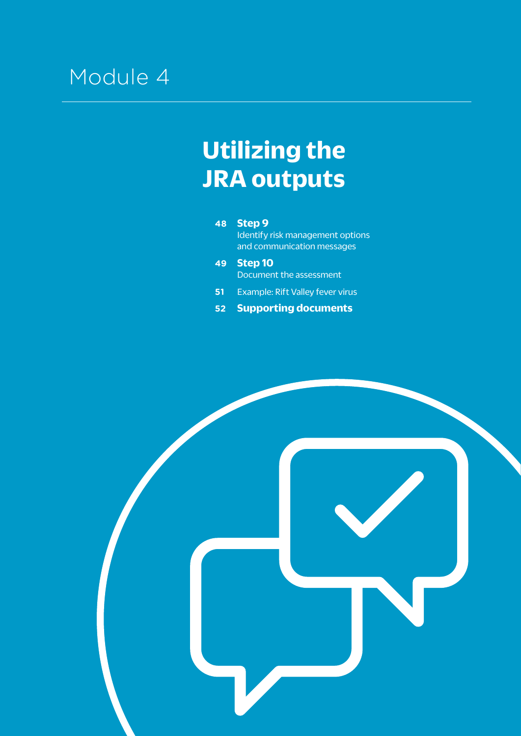# Module 4

# **Utilizing the JRA outputs**

**48 [Step 9](#page-55-0)** [Identify risk management options](#page-55-0) [and communication messages](#page-55-0)

- **49 [Step 10](#page-56-0)** [Document the assessment](#page-56-0)
- **51 [Example: Rift Valley fever](#page-58-0) virus**
- **52 [Supporting documents](#page-59-0)**

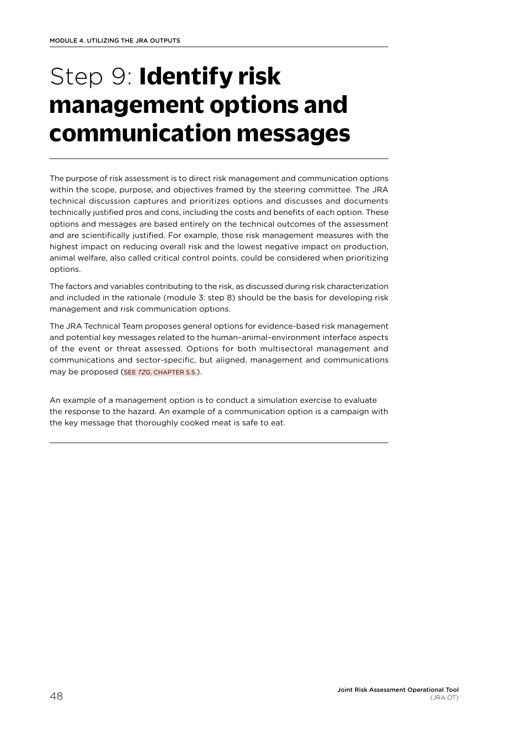# <span id="page-55-0"></span>Step 9: **Identify risk management options and communication messages**

The purpose of risk assessment is to direct risk management and communication options within the scope, purpose, and objectives framed by the steering committee. The JRA technical discussion captures and prioritizes options and discusses and documents technically justified pros and cons, including the costs and benefits of each option. These options and messages are based entirely on the technical outcomes of the assessment and are scientifically justified. For example, those risk management measures with the highest impact on reducing overall risk and the lowest negative impact on production, animal welfare, also called critical control points, could be considered when prioritizing options.

The factors and variables contributing to the risk, as discussed during risk characterization and included in the rationale (module 3: step 8) should be the basis for developing risk management and risk communication options.

The JRA Technical Team proposes general options for evidence-based risk management and potential key messages related to the human–animal–environment interface aspects of the event or threat assessed. Options for both multisectoral management and communications and sector-specific, but aligned, management and communications may be proposed (SEE *TZG*, CHAPTER 5.5.).

An example of a management option is to conduct a simulation exercise to evaluate the response to the hazard. An example of a communication option is a campaign with the key message that thoroughly cooked meat is safe to eat.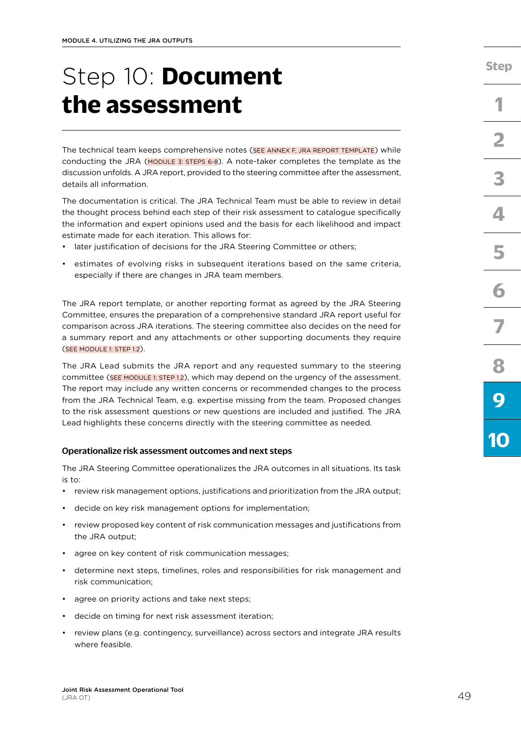# <span id="page-56-0"></span>Step 10: **Document the assessment**

The technical team keeps comprehensive notes [\(SEE ANNEX F, JRA REPORT TEMPLATE](#page-71-0)) while conducting the JRA ([MODULE 3: STEPS 6-8](#page-37-0)). A note-taker completes the template as the discussion unfolds. A JRA report, provided to the steering committee after the assessment, details all information.

The documentation is critical. The JRA Technical Team must be able to review in detail the thought process behind each step of their risk assessment to catalogue specifically the information and expert opinions used and the basis for each likelihood and impact estimate made for each iteration. This allows for:

- later iustification of decisions for the JRA Steering Committee or others;
- estimates of evolving risks in subsequent iterations based on the same criteria, especially if there are changes in JRA team members.

The JRA report template, or another reporting format as agreed by the JRA Steering Committee, ensures the preparation of a comprehensive standard JRA report useful for comparison across JRA iterations. The steering committee also decides on the need for a summary report and any attachments or other supporting documents they require ([SEE MODULE 1: STEP 1.2\)](#page-20-0).

The JRA Lead submits the JRA report and any requested summary to the steering committee [\(SEE MODULE 1: STEP 1.2](#page-20-0)), which may depend on the urgency of the assessment. The report may include any written concerns or recommended changes to the process from the JRA Technical Team, e.g. expertise missing from the team. Proposed changes to the risk assessment questions or new questions are included and justified. The JRA Lead highlights these concerns directly with the steering committee as needed.

#### Operationalize risk assessment outcomes and next steps

The JRA Steering Committee operationalizes the JRA outcomes in all situations. Its task is to:

- review risk management options, justifications and prioritization from the JRA output;
- decide on key risk management options for implementation;
- review proposed key content of risk communication messages and justifications from the JRA output;
- agree on key content of risk communication messages;
- determine next steps, timelines, roles and responsibilities for risk management and risk communication;
- agree on priority actions and take next steps;
- decide on timing for next risk assessment iteration;
- review plans (e.g. contingency, surveillance) across sectors and integrate JRA results where feasible.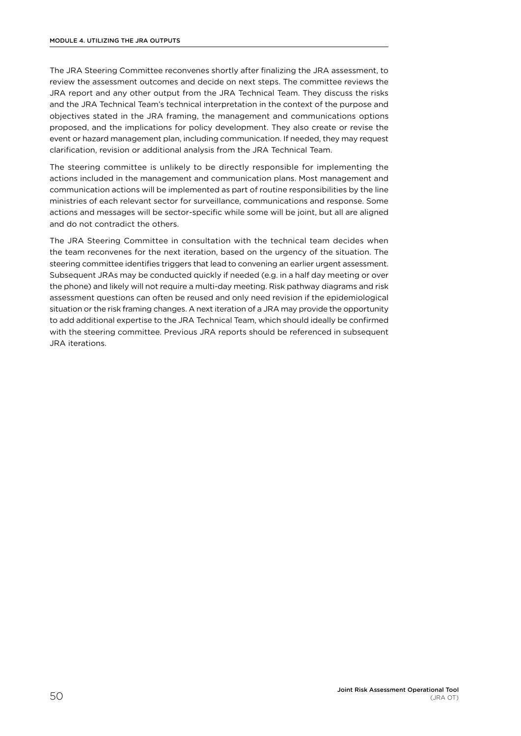The JRA Steering Committee reconvenes shortly after finalizing the JRA assessment, to review the assessment outcomes and decide on next steps. The committee reviews the JRA report and any other output from the JRA Technical Team. They discuss the risks and the JRA Technical Team's technical interpretation in the context of the purpose and objectives stated in the JRA framing, the management and communications options proposed, and the implications for policy development. They also create or revise the event or hazard management plan, including communication. If needed, they may request clarification, revision or additional analysis from the JRA Technical Team.

The steering committee is unlikely to be directly responsible for implementing the actions included in the management and communication plans. Most management and communication actions will be implemented as part of routine responsibilities by the line ministries of each relevant sector for surveillance, communications and response. Some actions and messages will be sector-specific while some will be joint, but all are aligned and do not contradict the others.

The JRA Steering Committee in consultation with the technical team decides when the team reconvenes for the next iteration, based on the urgency of the situation. The steering committee identifies triggers that lead to convening an earlier urgent assessment. Subsequent JRAs may be conducted quickly if needed (e.g. in a half day meeting or over the phone) and likely will not require a multi-day meeting. Risk pathway diagrams and risk assessment questions can often be reused and only need revision if the epidemiological situation or the risk framing changes. A next iteration of a JRA may provide the opportunity to add additional expertise to the JRA Technical Team, which should ideally be confirmed with the steering committee. Previous JRA reports should be referenced in subsequent JRA iterations.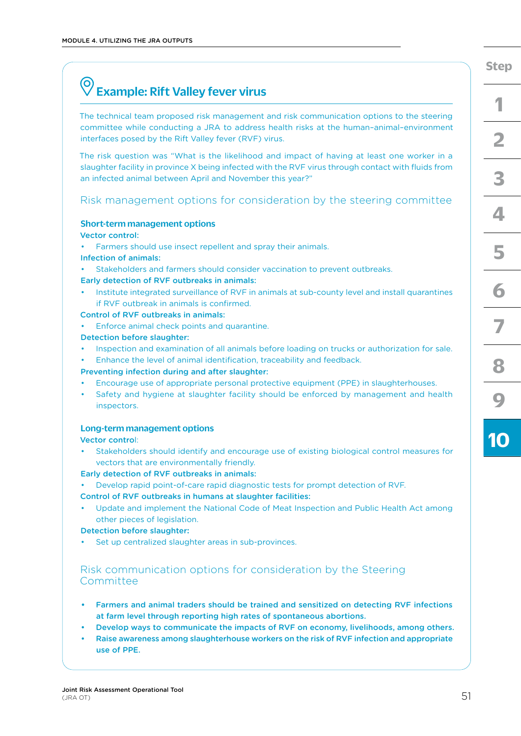# <span id="page-58-0"></span>Example: Rift Valley fever virus

The technical team proposed risk management and risk communication options to the steering committee while conducting a JRA to address health risks at the human–animal–environment interfaces posed by the Rift Valley fever (RVF) virus.

The risk question was "What is the likelihood and impact of having at least one worker in a slaughter facility in province X being infected with the RVF virus through contact with fluids from an infected animal between April and November this year?"

### Risk management options for consideration by the steering committee

#### Short-term management options

#### Vector control:

- Farmers should use insect repellent and spray their animals.
- Infection of animals:
- Stakeholders and farmers should consider vaccination to prevent outbreaks.

#### Early detection of RVF outbreaks in animals:

• Institute integrated surveillance of RVF in animals at sub-county level and install quarantines if RVF outbreak in animals is confirmed.

#### Control of RVF outbreaks in animals:

• Enforce animal check points and quarantine.

#### Detection before slaughter:

- Inspection and examination of all animals before loading on trucks or authorization for sale.
- Enhance the level of animal identification, traceability and feedback.

#### Preventing infection during and after slaughter:

- Encourage use of appropriate personal protective equipment (PPE) in slaughterhouses.
- Safety and hygiene at slaughter facility should be enforced by management and health inspectors.

#### Long-term management options

Vector control:

• Stakeholders should identify and encourage use of existing biological control measures for vectors that are environmentally friendly.

#### Early detection of RVF outbreaks in animals:

• Develop rapid point-of-care rapid diagnostic tests for prompt detection of RVF.

#### Control of RVF outbreaks in humans at slaughter facilities:

Update and implement the National Code of Meat Inspection and Public Health Act among other pieces of legislation.

#### Detection before slaughter**:**

Set up centralized slaughter areas in sub-provinces.

## Risk communication options for consideration by the Steering **Committee**

- **•** Farmers and animal traders should be trained and sensitized on detecting RVF infections at farm level through reporting high rates of spontaneous abortions.
- Develop ways to communicate the impacts of RVF on economy, livelihoods, among others.
- Raise awareness among slaughterhouse workers on the risk of RVF infection and appropriate use of PPE.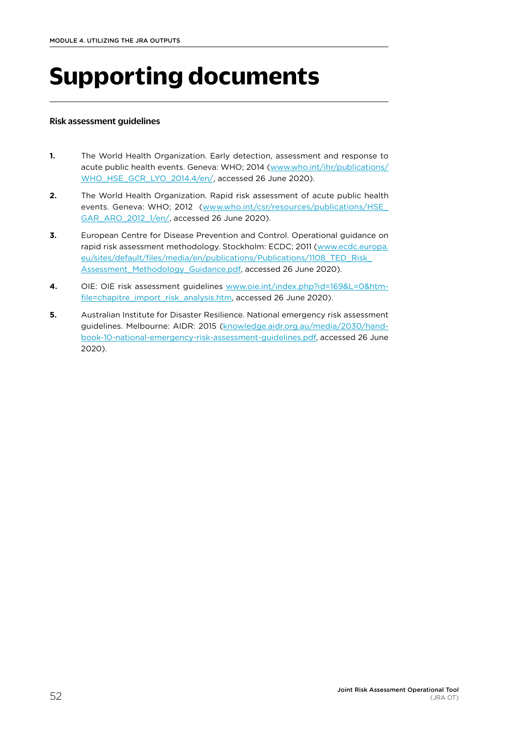# <span id="page-59-0"></span>**Supporting documents**

#### Risk assessment guidelines

- **1.** The World Health Organization. Early detection, assessment and response to acute public health events. Geneva: WHO; 2014 ([www.who.int/ihr/publications/](http://www.who.int/ihr/publications/WHO_HSE_GCR_LYO_2014.4/en/) [WHO\\_HSE\\_GCR\\_LYO\\_2014.4/en/,](http://www.who.int/ihr/publications/WHO_HSE_GCR_LYO_2014.4/en/) accessed 26 June 2020).
- **2.** The World Health Organization. Rapid risk assessment of acute public health events. Geneva: WHO; 2012 (www.who.int/csr/resources/publications/HSE [GAR\\_ARO\\_2012\\_1/en/,](http://www.who.int/csr/resources/publications/HSE_GAR_ARO_2012_1/en/) accessed 26 June 2020).
- **3.** European Centre for Disease Prevention and Control. Operational guidance on rapid risk assessment methodology. Stockholm: ECDC; 2011 ([www.ecdc.europa.](http://www.ecdc.europa.eu/sites/default/files/media/en/publications/Publications/1108_TED_Risk_Assessment_Methodology_Guidance.pdf) [eu/sites/default/files/media/en/publications/Publications/1108\\_TED\\_Risk\\_](http://www.ecdc.europa.eu/sites/default/files/media/en/publications/Publications/1108_TED_Risk_Assessment_Methodology_Guidance.pdf) [Assessment\\_Methodology\\_Guidance.pdf](http://www.ecdc.europa.eu/sites/default/files/media/en/publications/Publications/1108_TED_Risk_Assessment_Methodology_Guidance.pdf), accessed 26 June 2020).
- **4.** OIE: OIE risk assessment guidelines [www.oie.int/index.php?id=169&L=0&htm](http://www.oie.int/index.php?id=169&L=0&htmfile=chapitre_import_risk_analysis.htm)[file=chapitre\\_import\\_risk\\_analysis.htm,](http://www.oie.int/index.php?id=169&L=0&htmfile=chapitre_import_risk_analysis.htm) accessed 26 June 2020).
- **5.** Australian Institute for Disaster Resilience. National emergency risk assessment guidelines. Melbourne: AIDR: 2015 [\(knowledge.aidr.org.au/media/2030/hand](http://knowledge.aidr.org.au/media/2030/handbook-10-national-emergency-risk-assessment-guidelines.pdf)[book-10-national-emergency-risk-assessment-guidelines.pdf](http://knowledge.aidr.org.au/media/2030/handbook-10-national-emergency-risk-assessment-guidelines.pdf), accessed 26 June 2020).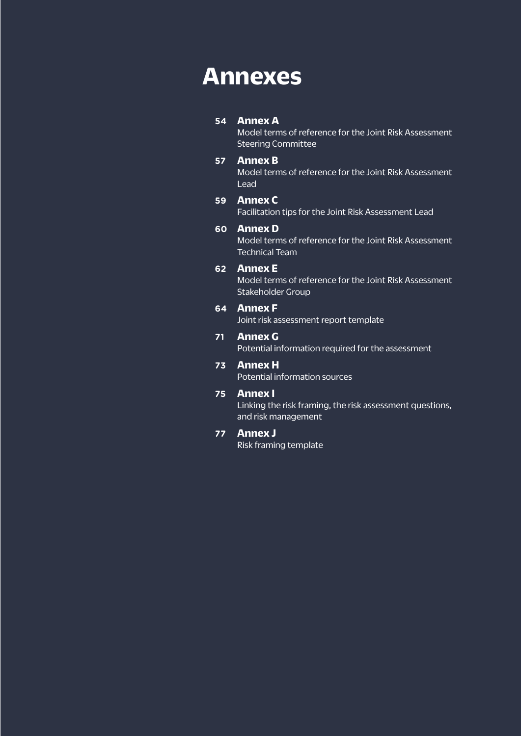# <span id="page-60-0"></span>**Annexes**

## **54 [Annex A](#page-61-0)**

[Model terms of reference for the Joint Risk Assessment](#page-61-0)  [Steering Committee](#page-61-0)

### **57 [Annex B](#page-64-0)**

[Model terms of reference for the Joint Risk Assessment](#page-64-0)  [Lead](#page-64-0)

## **59 [Annex C](#page-66-0)**

[Facilitation tips for the Joint Risk Assessment Lead](#page-66-0)

### **60 [Annex D](#page-67-0)**

[Model terms of reference for the Joint Risk Assessment](#page-67-0)  [Technical Team](#page-67-0)

### **62 [Annex E](#page-69-0)**

[Model terms of reference for the Joint Risk Assessment](#page-69-0)  [Stakeholder Group](#page-69-0)

### **64 [Annex F](#page-71-0)**

[Joint risk assessment report template](#page-71-0)

## **71 [Annex G](#page-78-0)**

[Potential information required for the assessment](#page-78-0)

## **73 [Annex H](#page-80-0)**

[Potential information sources](#page-80-0)

## **75 [Annex I](#page-82-0)**

[Linking the risk framing, the risk assessment questions,](#page-82-0)  [and risk management](#page-82-0)

### **77 [Annex J](#page-84-0)**

[Risk framing template](#page-84-0)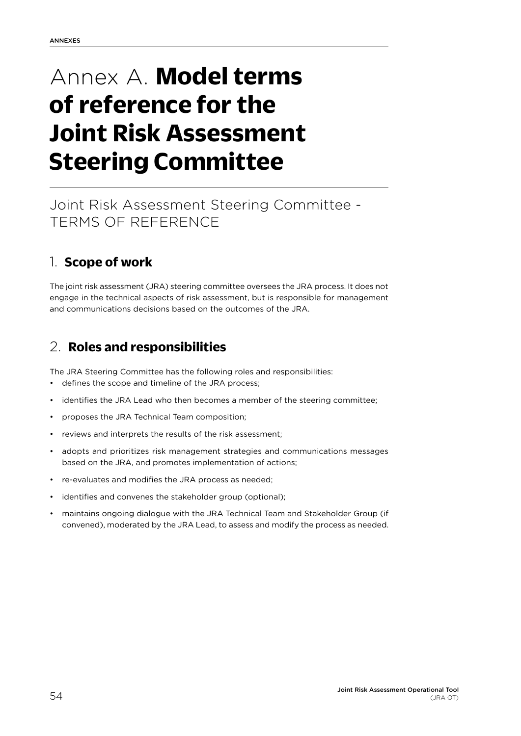# <span id="page-61-0"></span>Annex A. **Model terms of reference for the Joint Risk Assessment Steering Committee**

# Joint Risk Assessment Steering Committee - TERMS OF REFERENCE

## 1. **Scope of work**

The joint risk assessment (JRA) steering committee oversees the JRA process. It does not engage in the technical aspects of risk assessment, but is responsible for management and communications decisions based on the outcomes of the JRA.

## 2. **Roles and responsibilities**

The JRA Steering Committee has the following roles and responsibilities:

- defines the scope and timeline of the JRA process;
- identifies the JRA Lead who then becomes a member of the steering committee;
- proposes the JRA Technical Team composition;
- reviews and interprets the results of the risk assessment;
- adopts and prioritizes risk management strategies and communications messages based on the JRA, and promotes implementation of actions;
- re-evaluates and modifies the JRA process as needed;
- identifies and convenes the stakeholder group (optional);
- maintains ongoing dialogue with the JRA Technical Team and Stakeholder Group (if convened), moderated by the JRA Lead, to assess and modify the process as needed.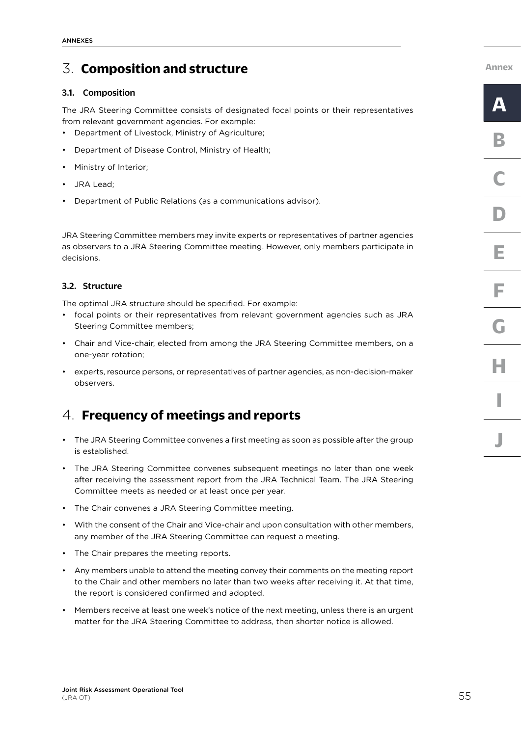## 3. **Composition and structure**

### 3.1. Composition

The JRA Steering Committee consists of designated focal points or their representatives from relevant government agencies. For example:

- Department of Livestock, Ministry of Agriculture;
- Department of Disease Control, Ministry of Health;
- Ministry of Interior;
- JRA Lead;
- Department of Public Relations (as a communications advisor).

JRA Steering Committee members may invite experts or representatives of partner agencies as observers to a JRA Steering Committee meeting. However, only members participate in decisions.

### 3.2. Structure

The optimal JRA structure should be specified. For example:

- focal points or their representatives from relevant government agencies such as JRA Steering Committee members;
- Chair and Vice-chair, elected from among the JRA Steering Committee members, on a one-year rotation;
- experts, resource persons, or representatives of partner agencies, as non-decision-maker observers.

## 4. **Frequency of meetings and reports**

- The JRA Steering Committee convenes a first meeting as soon as possible after the group is established.
- The JRA Steering Committee convenes subsequent meetings no later than one week after receiving the assessment report from the JRA Technical Team. The JRA Steering Committee meets as needed or at least once per year.
- The Chair convenes a JRA Steering Committee meeting.
- With the consent of the Chair and Vice-chair and upon consultation with other members, any member of the JRA Steering Committee can request a meeting.
- The Chair prepares the meeting reports.
- Any members unable to attend the meeting convey their comments on the meeting report to the Chair and other members no later than two weeks after receiving it. At that time, the report is considered confirmed and adopted.
- Members receive at least one week's notice of the next meeting, unless there is an urgent matter for the JRA Steering Committee to address, then shorter notice is allowed.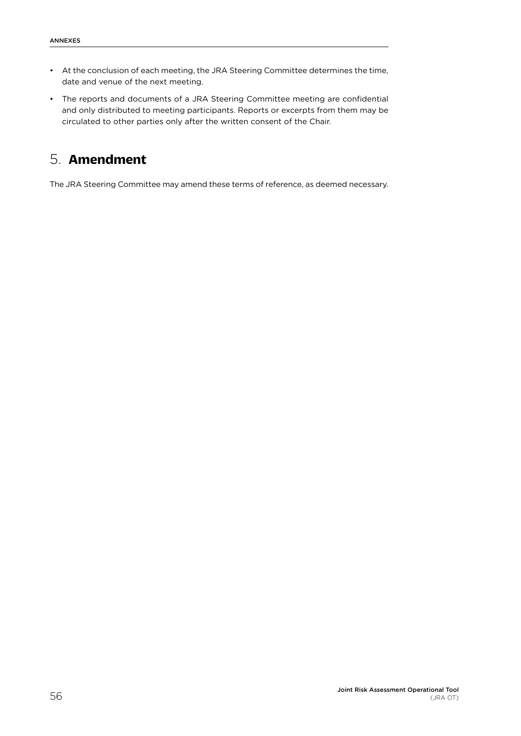- At the conclusion of each meeting, the JRA Steering Committee determines the time, date and venue of the next meeting.
- The reports and documents of a JRA Steering Committee meeting are confidential and only distributed to meeting participants. Reports or excerpts from them may be circulated to other parties only after the written consent of the Chair.

## 5. **Amendment**

The JRA Steering Committee may amend these terms of reference, as deemed necessary.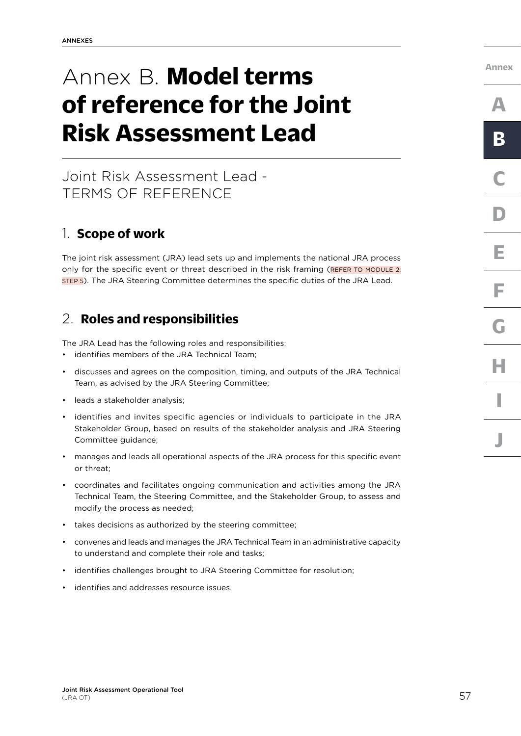# <span id="page-64-0"></span>Annex B. **Model terms of reference for the Joint Risk Assessment Lead**

## Joint Risk Assessment Lead - TERMS OF REFERENCE

## 1. **Scope of work**

The joint risk assessment (JRA) lead sets up and implements the national JRA process only for the specific event or threat described in the risk framing (REFER TO MODULE 2: STEP 5). The JRA Steering Committee determines the specific duties of the JRA Lead.

## 2. **Roles and responsibilities**

The JRA Lead has the following roles and responsibilities:

- identifies members of the JRA Technical Team;
- discusses and agrees on the composition, timing, and outputs of the JRA Technical Team, as advised by the JRA Steering Committee;
- leads a stakeholder analysis;
- identifies and invites specific agencies or individuals to participate in the JRA Stakeholder Group, based on results of the stakeholder analysis and JRA Steering Committee guidance;
- manages and leads all operational aspects of the JRA process for this specific event or threat;
- coordinates and facilitates ongoing communication and activities among the JRA Technical Team, the Steering Committee, and the Stakeholder Group, to assess and modify the process as needed;
- takes decisions as authorized by the steering committee:
- convenes and leads and manages the JRA Technical Team in an administrative capacity to understand and complete their role and tasks;
- identifies challenges brought to JRA Steering Committee for resolution;
- identifies and addresses resource issues.

**[Annex](#page-60-0)**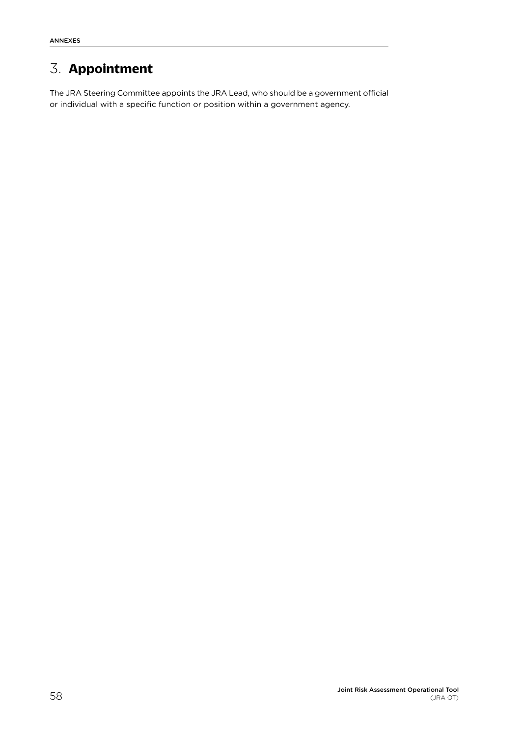# 3. **Appointment**

The JRA Steering Committee appoints the JRA Lead, who should be a government official or individual with a specific function or position within a government agency.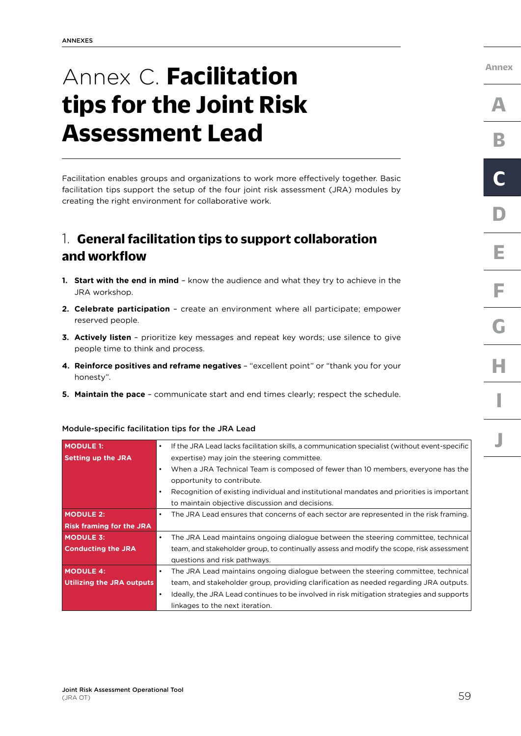# <span id="page-66-0"></span>Annex C. **Facilitation tips for the Joint Risk Assessment Lead**

Facilitation enables groups and organizations to work more effectively together. Basic facilitation tips support the setup of the four joint risk assessment (JRA) modules by creating the right environment for collaborative work.

## 1. **General facilitation tips to support collaboration and workflow**

- **1. Start with the end in mind** know the audience and what they try to achieve in the JRA workshop.
- **2. Celebrate participation** create an environment where all participate; empower reserved people.
- **3. Actively listen** prioritize key messages and repeat key words; use silence to give people time to think and process.
- **4. Reinforce positives and reframe negatives** "excellent point" or "thank you for your honesty".
- **5. Maintain the pace** communicate start and end times clearly; respect the schedule.

| <b>MODULE 1:</b>                | $\bullet$ | If the JRA Lead lacks facilitation skills, a communication specialist (without event-specific |
|---------------------------------|-----------|-----------------------------------------------------------------------------------------------|
| <b>Setting up the JRA</b>       |           | expertise) may join the steering committee.                                                   |
|                                 | $\bullet$ | When a JRA Technical Team is composed of fewer than 10 members, everyone has the              |
|                                 |           | opportunity to contribute.                                                                    |
|                                 | $\bullet$ | Recognition of existing individual and institutional mandates and priorities is important     |
|                                 |           | to maintain objective discussion and decisions.                                               |
| <b>MODULE 2:</b>                |           | The JRA Lead ensures that concerns of each sector are represented in the risk framing.        |
| <b>Risk framing for the JRA</b> |           |                                                                                               |
| <b>MODULE 3:</b>                | $\bullet$ | The JRA Lead maintains ongoing dialogue between the steering committee, technical             |
| <b>Conducting the JRA</b>       |           | team, and stakeholder group, to continually assess and modify the scope, risk assessment      |
|                                 |           | questions and risk pathways.                                                                  |
| <b>MODULE 4:</b>                | $\bullet$ | The JRA Lead maintains ongoing dialogue between the steering committee, technical             |
| Utilizing the JRA outputs       |           | team, and stakeholder group, providing clarification as needed regarding JRA outputs.         |
|                                 | $\bullet$ | Ideally, the JRA Lead continues to be involved in risk mitigation strategies and supports     |
|                                 |           | linkages to the next iteration.                                                               |

#### Module-specific facilitation tips for the JRA Lead

**[Annex](#page-60-0)**

**[A](#page-61-0)**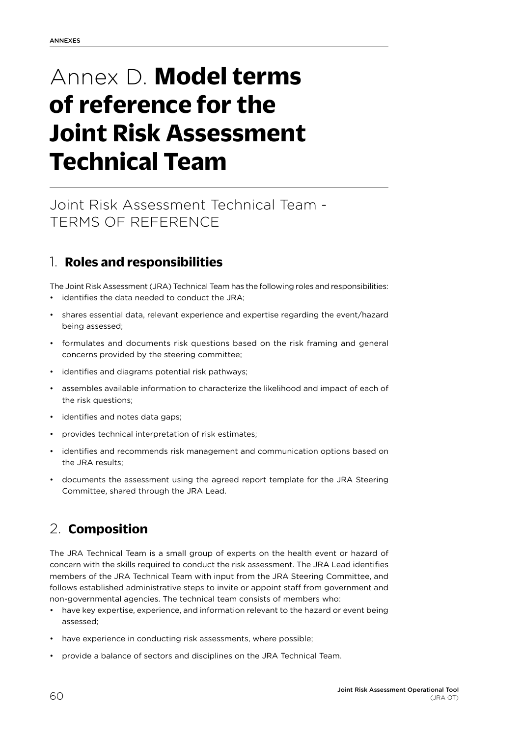# <span id="page-67-0"></span>Annex D. **Model terms of reference for the Joint Risk Assessment Technical Team**

# Joint Risk Assessment Technical Team - TERMS OF REFERENCE

## 1. **Roles and responsibilities**

The Joint Risk Assessment (JRA) Technical Team has the following roles and responsibilities:

- identifies the data needed to conduct the JRA;
- shares essential data, relevant experience and expertise regarding the event/hazard being assessed;
- formulates and documents risk questions based on the risk framing and general concerns provided by the steering committee;
- identifies and diagrams potential risk pathways;
- assembles available information to characterize the likelihood and impact of each of the risk questions;
- identifies and notes data gaps;
- provides technical interpretation of risk estimates;
- identifies and recommends risk management and communication options based on the JRA results;
- documents the assessment using the agreed report template for the JRA Steering Committee, shared through the JRA Lead.

## 2. **Composition**

The JRA Technical Team is a small group of experts on the health event or hazard of concern with the skills required to conduct the risk assessment. The JRA Lead identifies members of the JRA Technical Team with input from the JRA Steering Committee, and follows established administrative steps to invite or appoint staff from government and non-governmental agencies. The technical team consists of members who:

- have key expertise, experience, and information relevant to the hazard or event being assessed;
- have experience in conducting risk assessments, where possible;
- provide a balance of sectors and disciplines on the JRA Technical Team.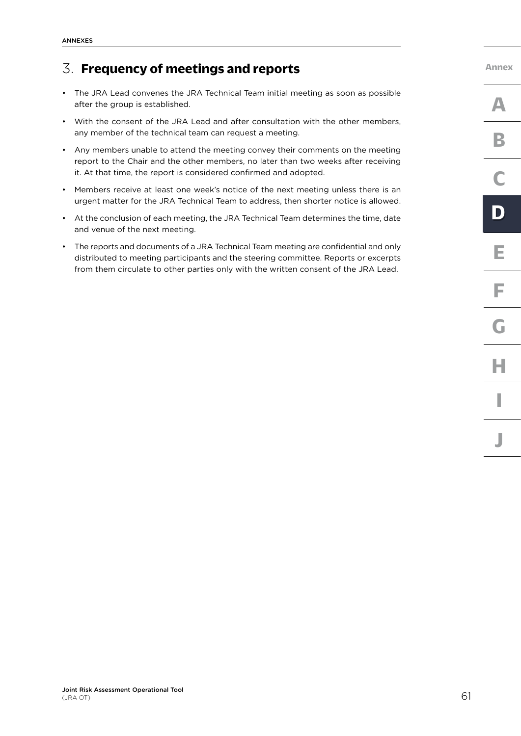## 3. **Frequency of meetings and reports**

- The JRA Lead convenes the JRA Technical Team initial meeting as soon as possible after the group is established.
- With the consent of the JRA Lead and after consultation with the other members, any member of the technical team can request a meeting.
- Any members unable to attend the meeting convey their comments on the meeting report to the Chair and the other members, no later than two weeks after receiving it. At that time, the report is considered confirmed and adopted.
- Members receive at least one week's notice of the next meeting unless there is an urgent matter for the JRA Technical Team to address, then shorter notice is allowed.
- At the conclusion of each meeting, the JRA Technical Team determines the time, date and venue of the next meeting.
- The reports and documents of a JRA Technical Team meeting are confidential and only distributed to meeting participants and the steering committee. Reports or excerpts from them circulate to other parties only with the written consent of the JRA Lead.

**[Annex](#page-60-0)**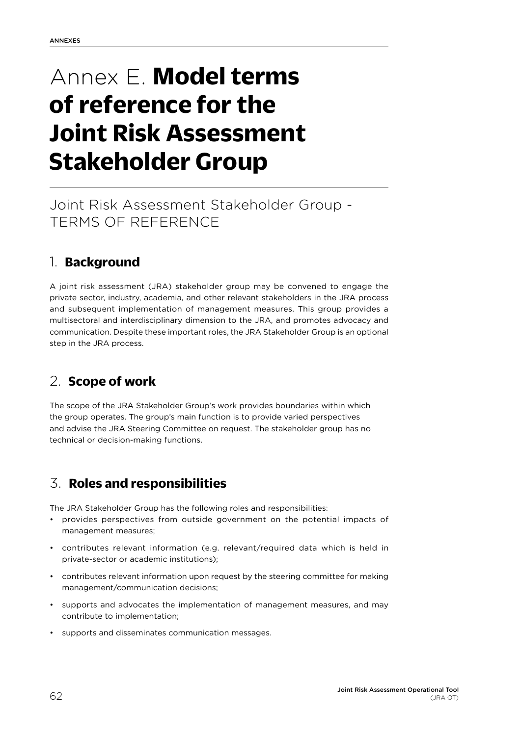# <span id="page-69-0"></span>Annex E. **Model terms of reference for the Joint Risk Assessment Stakeholder Group**

# Joint Risk Assessment Stakeholder Group - TERMS OF REFERENCE

## 1. **Background**

A joint risk assessment (JRA) stakeholder group may be convened to engage the private sector, industry, academia, and other relevant stakeholders in the JRA process and subsequent implementation of management measures. This group provides a multisectoral and interdisciplinary dimension to the JRA, and promotes advocacy and communication. Despite these important roles, the JRA Stakeholder Group is an optional step in the JRA process.

## 2. **Scope of work**

The scope of the JRA Stakeholder Group's work provides boundaries within which the group operates. The group's main function is to provide varied perspectives and advise the JRA Steering Committee on request. The stakeholder group has no technical or decision-making functions.

## 3. **Roles and responsibilities**

The JRA Stakeholder Group has the following roles and responsibilities:

- provides perspectives from outside government on the potential impacts of management measures;
- contributes relevant information (e.g. relevant/required data which is held in private-sector or academic institutions);
- contributes relevant information upon request by the steering committee for making management/communication decisions;
- supports and advocates the implementation of management measures, and may contribute to implementation;
- supports and disseminates communication messages.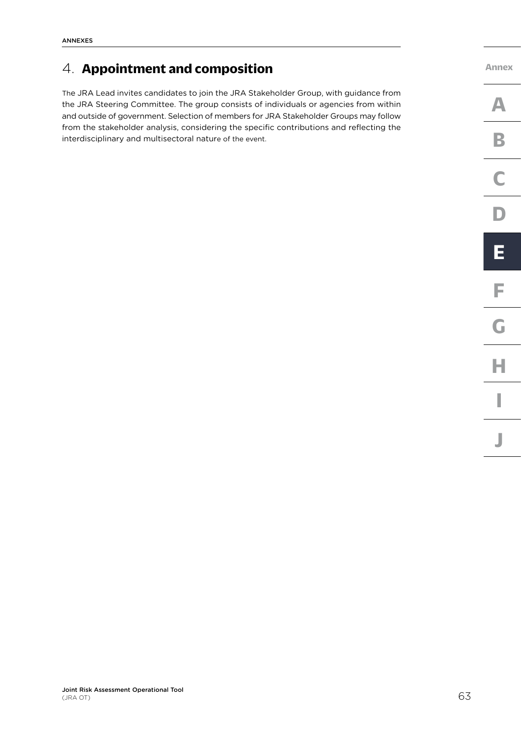## 4. **Appointment and composition**

The JRA Lead invites candidates to join the JRA Stakeholder Group, with guidance from the JRA Steering Committee. The group consists of individuals or agencies from within and outside of government. Selection of members for JRA Stakeholder Groups may follow from the stakeholder analysis, considering the specific contributions and reflecting the interdisciplinary and multisectoral nature of the event.

**[Annex](#page-60-0) [C](#page-66-0) [F](#page-71-0) [I](#page-82-0) [J](#page-84-0) [A](#page-61-0) [D](#page-67-0) [G](#page-78-0) [B](#page-64-0) [E](#page-69-0) [H](#page-80-0)**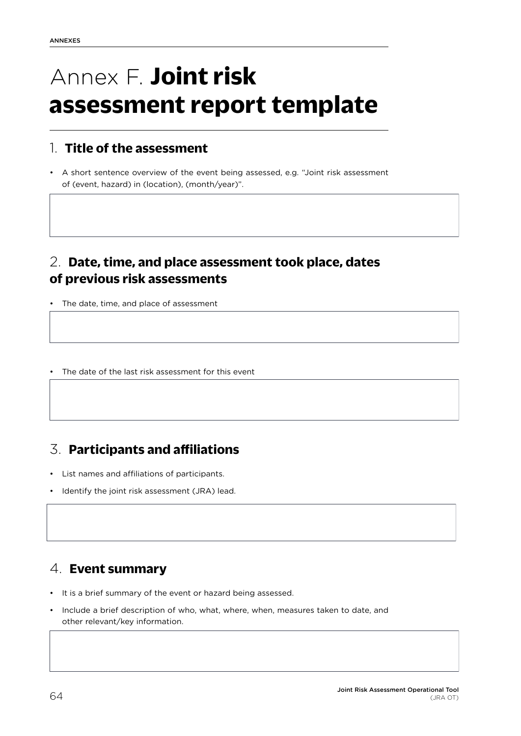# <span id="page-71-0"></span>Annex F. **Joint risk assessment report template**

## 1. **Title of the assessment**

• A short sentence overview of the event being assessed, e.g. "Joint risk assessment of (event, hazard) in (location), (month/year)".

## 2. **Date, time, and place assessment took place, dates of previous risk assessments**

- The date, time, and place of assessment
- The date of the last risk assessment for this event

## 3. **Participants and affiliations**

- List names and affiliations of participants.
- Identify the joint risk assessment (JRA) lead.

## 4. **Event summary**

- It is a brief summary of the event or hazard being assessed.
- Include a brief description of who, what, where, when, measures taken to date, and other relevant/key information.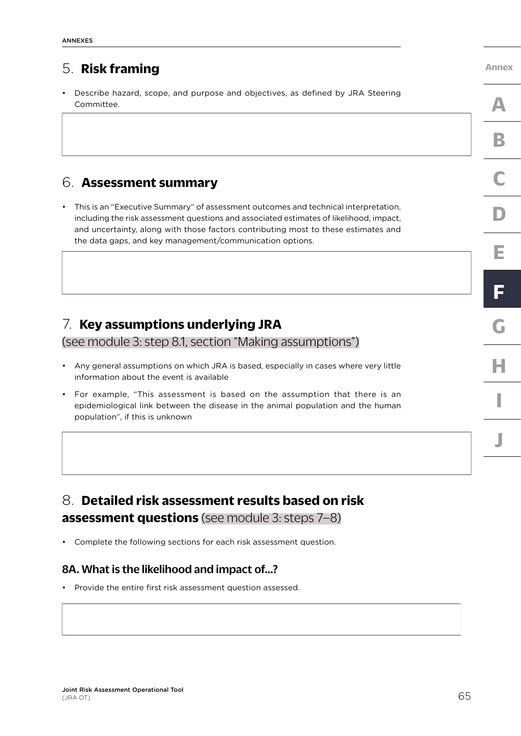## 5. **Risk framing**

• Describe hazard, scope, and purpose and objectives, as defined by JRA Steering Committee.

## 6. **Assessment summary**

• This is an "Executive Summary" of assessment outcomes and technical interpretation, including the risk assessment questions and associated estimates of likelihood, impact, and uncertainty, along with those factors contributing most to these estimates and the data gaps, and key management/communication options.

## 7. **Key assumptions underlying JRA**

[\(see module 3: step 8.1, section "Making assumptions"\)](#page-44-0) 

- Any general assumptions on which JRA is based, especially in cases where very little information about the event is available
- For example, "This assessment is based on the assumption that there is an epidemiological link between the disease in the animal population and the human population", if this is unknown

## 8. **Detailed risk assessment results based on risk assessment questions** [\(see module 3: steps 7–8\)](#page-40-0)

• Complete the following sections for each risk assessment question.

## 8A. What is the likelihood and impact of…?

• Provide the entire first risk assessment question assessed.

**[C](#page-66-0) [F](#page-71-0) F[D](#page-67-0) [E](#page-69-0)**

**[Annex](#page-60-0)**

**[A](#page-61-0)**

**[B](#page-64-0)**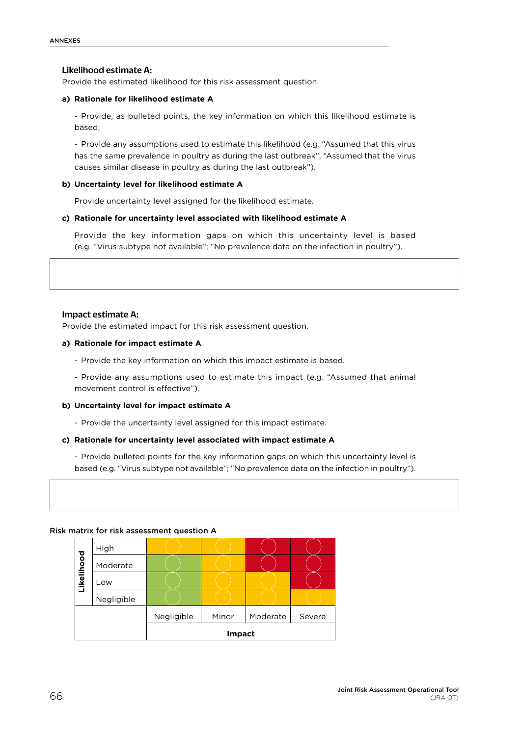## Likelihood estimate A:

Provide the estimated likelihood for this risk assessment question.

#### **a) Rationale for likelihood estimate A**

- Provide, as bulleted points, the key information on which this likelihood estimate is based;

- Provide any assumptions used to estimate this likelihood (e.g. "Assumed that this virus has the same prevalence in poultry as during the last outbreak", "Assumed that the virus causes similar disease in poultry as during the last outbreak").

#### **b) Uncertainty level for likelihood estimate A**

Provide uncertainty level assigned for the likelihood estimate.

#### **c) Rationale for uncertainty level associated with likelihood estimate A**

Provide the key information gaps on which this uncertainty level is based (e.g. "Virus subtype not available"; "No prevalence data on the infection in poultry").

#### Impact estimate A:

Provide the estimated impact for this risk assessment question.

#### **a) Rationale for impact estimate A**

- Provide the key information on which this impact estimate is based.

- Provide any assumptions used to estimate this impact (e.g. "Assumed that animal movement control is effective").

#### **b) Uncertainty level for impact estimate A**

- Provide the uncertainty level assigned for this impact estimate.

#### **c) Rationale for uncertainty level associated with impact estimate A**

- Provide bulleted points for the key information gaps on which this uncertainty level is based (e.g. "Virus subtype not available"; "No prevalence data on the infection in poultry").

#### Risk matrix for risk assessment question A

| Likelihood | High       |            |       |          |        |
|------------|------------|------------|-------|----------|--------|
|            | Moderate   |            |       |          |        |
|            | Low        |            |       |          |        |
|            | Negligible |            |       |          |        |
|            |            | Negligible | Minor | Moderate | Severe |
|            |            | Impact     |       |          |        |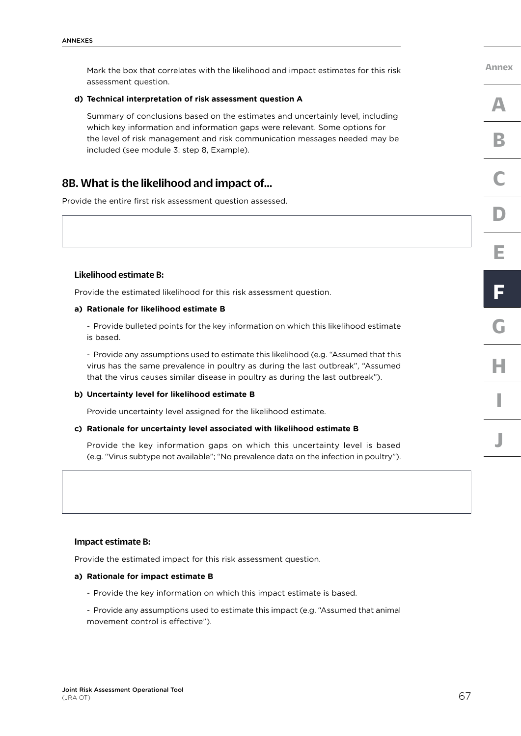Mark the box that correlates with the likelihood and impact estimates for this risk assessment question.

#### **d) Technical interpretation of risk assessment question A**

Summary of conclusions based on the estimates and uncertainly level, including which key information and information gaps were relevant. Some options for the level of risk management and risk communication messages needed may be included (see module 3: step 8, Example).

## 8B. What is the likelihood and impact of…

Provide the entire first risk assessment question assessed.

#### Likelihood estimate B:

Provide the estimated likelihood for this risk assessment question.

#### **a) Rationale for likelihood estimate B**

- Provide bulleted points for the key information on which this likelihood estimate is based.

- Provide any assumptions used to estimate this likelihood (e.g. "Assumed that this virus has the same prevalence in poultry as during the last outbreak", "Assumed that the virus causes similar disease in poultry as during the last outbreak").

#### **b) Uncertainty level for likelihood estimate B**

Provide uncertainty level assigned for the likelihood estimate.

#### **c) Rationale for uncertainty level associated with likelihood estimate B**

Provide the key information gaps on which this uncertainty level is based (e.g. "Virus subtype not available"; "No prevalence data on the infection in poultry").

#### Impact estimate B:

Provide the estimated impact for this risk assessment question.

#### **a) Rationale for impact estimate B**

- Provide the key information on which this impact estimate is based.
- Provide any assumptions used to estimate this impact (e.g. "Assumed that animal movement control is effective").

**[Annex](#page-60-0)**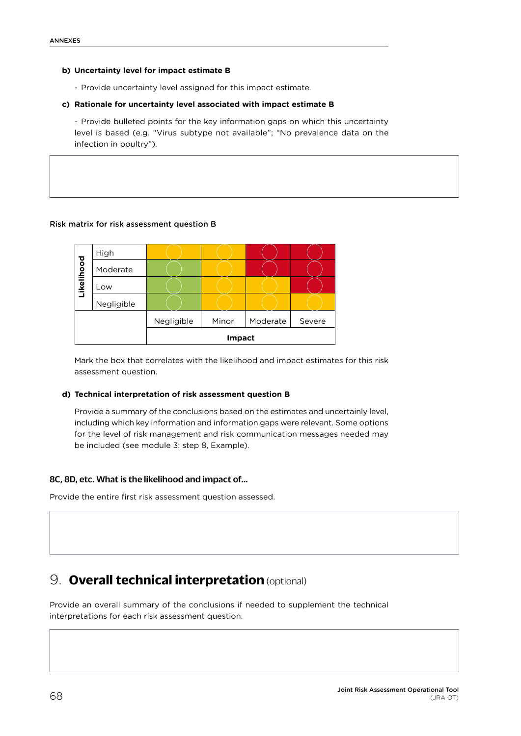### **b) Uncertainty level for impact estimate B**

- Provide uncertainty level assigned for this impact estimate.

### **c) Rationale for uncertainty level associated with impact estimate B**

- Provide bulleted points for the key information gaps on which this uncertainty level is based (e.g. "Virus subtype not available"; "No prevalence data on the infection in poultry").

## Risk matrix for risk assessment question B



Mark the box that correlates with the likelihood and impact estimates for this risk assessment question.

### **d) Technical interpretation of risk assessment question B**

Provide a summary of the conclusions based on the estimates and uncertainly level, including which key information and information gaps were relevant. Some options for the level of risk management and risk communication messages needed may be included (see module 3: step 8, Example).

## 8C, 8D, etc. What is the likelihood and impact of…

Provide the entire first risk assessment question assessed.

## 9. **Overall technical interpretation** (optional)

Provide an overall summary of the conclusions if needed to supplement the technical interpretations for each risk assessment question.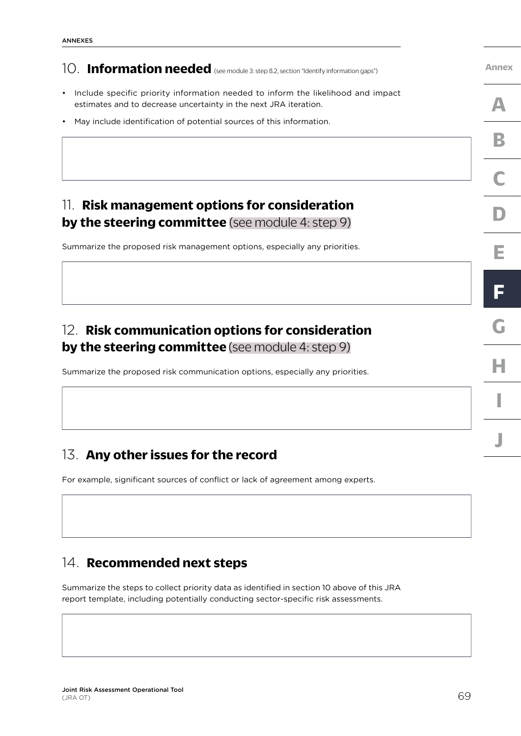# 10. **Information needed** (see module 3: step 8.2, section "Identify information gaps")

- Include specific priority information needed to inform the likelihood and impact estimates and to decrease uncertainty in the next JRA iteration.
- May include identification of potential sources of this information.

## 11. **Risk management options for consideration by the steering committee** [\(see module 4: step 9\)](#page-54-0)

Summarize the proposed risk management options, especially any priorities.

## 12. **Risk communication options for consideration by the steering committee** [\(see module 4: step 9\)](#page-55-0)

Summarize the proposed risk communication options, especially any priorities.

## 13. **Any other issues for the record**

For example, significant sources of conflict or lack of agreement among experts.

## 14. **Recommended next steps**

Summarize the steps to collect priority data as identified in section 10 above of this JRA report template, including potentially conducting sector-specific risk assessments.

**[J](#page-84-0)**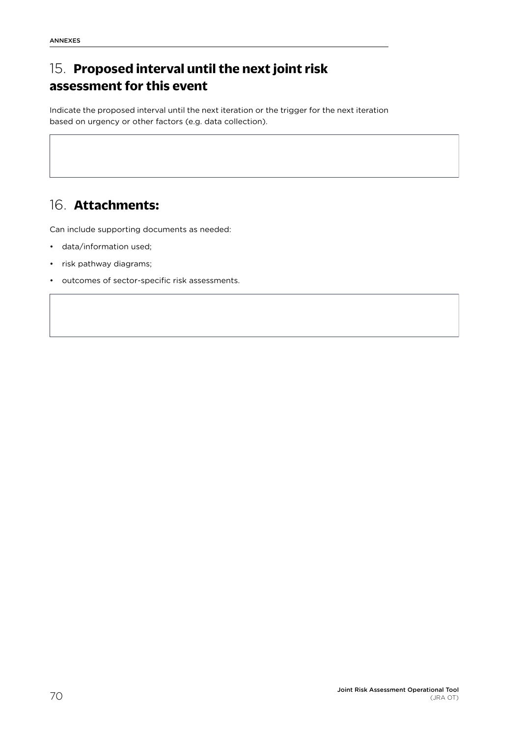# 15. **Proposed interval until the next joint risk assessment for this event**

Indicate the proposed interval until the next iteration or the trigger for the next iteration based on urgency or other factors (e.g. data collection).

## 16. **Attachments:**

Can include supporting documents as needed:

- data/information used;
- risk pathway diagrams;
- outcomes of sector-specific risk assessments.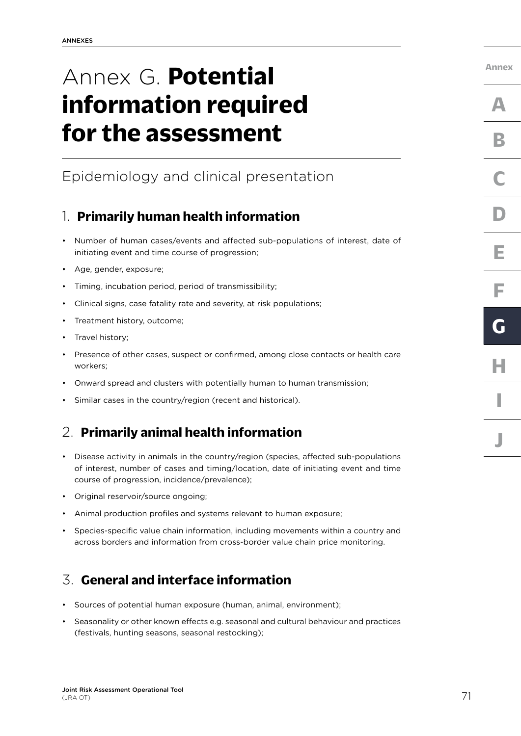# <span id="page-78-0"></span>Annex G. **Potential information required for the assessment**

# Epidemiology and clinical presentation

## 1. **Primarily human health information**

- Number of human cases/events and affected sub-populations of interest, date of initiating event and time course of progression;
- Age, gender, exposure;
- Timing, incubation period, period of transmissibility;
- Clinical signs, case fatality rate and severity, at risk populations;
- Treatment history, outcome;
- Travel history;
- Presence of other cases, suspect or confirmed, among close contacts or health care workers;
- Onward spread and clusters with potentially human to human transmission;
- Similar cases in the country/region (recent and historical).

## 2. **Primarily animal health information**

- Disease activity in animals in the country/region (species, affected sub-populations of interest, number of cases and timing/location, date of initiating event and time course of progression, incidence/prevalence);
- Original reservoir/source ongoing;
- Animal production profiles and systems relevant to human exposure;
- Species-specific value chain information, including movements within a country and across borders and information from cross-border value chain price monitoring.

## 3. **General and interface information**

- Sources of potential human exposure (human, animal, environment);
- Seasonality or other known effects e.g. seasonal and cultural behaviour and practices (festivals, hunting seasons, seasonal restocking);

**[Annex](#page-60-0)**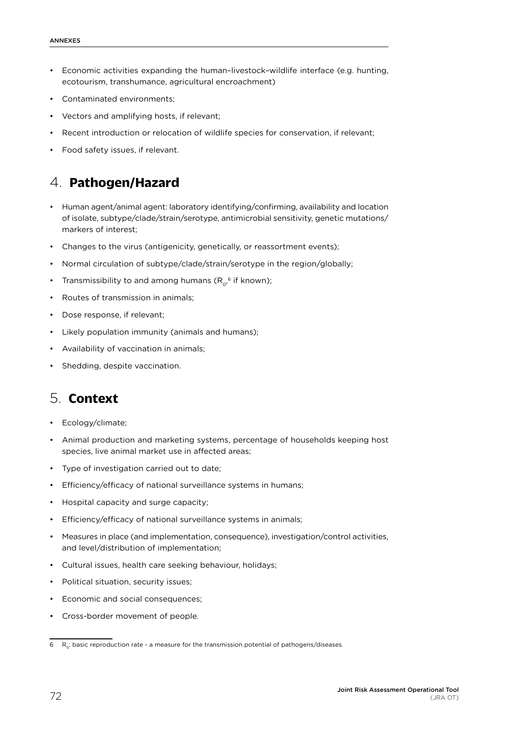- Economic activities expanding the human–livestock–wildlife interface (e.g. hunting, ecotourism, transhumance, agricultural encroachment)
- Contaminated environments;
- Vectors and amplifying hosts, if relevant;
- Recent introduction or relocation of wildlife species for conservation, if relevant;
- Food safety issues, if relevant.

## 4. **Pathogen/Hazard**

- Human agent/animal agent: laboratory identifying/confirming, availability and location of isolate, subtype/clade/strain/serotype, antimicrobial sensitivity, genetic mutations/ markers of interest;
- Changes to the virus (antigenicity, genetically, or reassortment events);
- Normal circulation of subtype/clade/strain/serotype in the region/globally;
- Transmissibility to and among humans ( $\mathsf{R}_{\mathrm{o}^\mathrm{o}}^{\mathrm{o}}$  if known);
- Routes of transmission in animals;
- Dose response, if relevant;
- Likely population immunity (animals and humans);
- Availability of vaccination in animals;
- Shedding, despite vaccination.

## 5. **Context**

- Ecology/climate;
- Animal production and marketing systems, percentage of households keeping host species, live animal market use in affected areas;
- Type of investigation carried out to date;
- Efficiency/efficacy of national surveillance systems in humans;
- Hospital capacity and surge capacity;
- Efficiency/efficacy of national surveillance systems in animals;
- Measures in place (and implementation, consequence), investigation/control activities, and level/distribution of implementation;
- Cultural issues, health care seeking behaviour, holidays;
- Political situation, security issues;
- Economic and social consequences:
- Cross-border movement of people.

 $6$  R<sub>0</sub>: basic reproduction rate - a measure for the transmission potential of pathogens/diseases.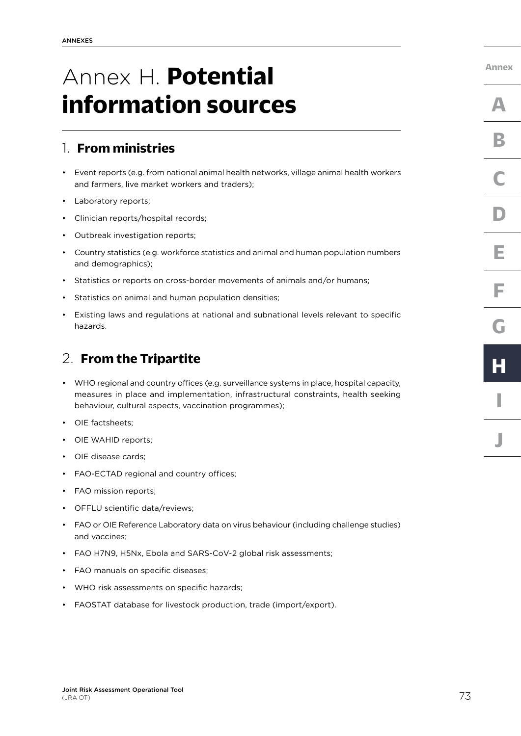# <span id="page-80-0"></span>Annex H. **Potential information sources**

## 1. **From ministries**

- Event reports (e.g. from national animal health networks, village animal health workers and farmers, live market workers and traders);
- Laboratory reports;
- Clinician reports/hospital records;
- Outbreak investigation reports;
- Country statistics (e.g. workforce statistics and animal and human population numbers and demographics);
- Statistics or reports on cross-border movements of animals and/or humans;
- Statistics on animal and human population densities;
- Existing laws and regulations at national and subnational levels relevant to specific hazards.

## 2. **From the Tripartite**

- WHO regional and country offices (e.g. surveillance systems in place, hospital capacity, measures in place and implementation, infrastructural constraints, health seeking behaviour, cultural aspects, vaccination programmes);
- OIE factsheets;
- OIE WAHID reports;
- OIE disease cards;
- FAO-ECTAD regional and country offices;
- FAO mission reports;
- OFFLU scientific data/reviews;
- FAO or OIE Reference Laboratory data on virus behaviour (including challenge studies) and vaccines;
- FAO H7N9, H5Nx, Ebola and SARS-CoV-2 global risk assessments;
- FAO manuals on specific diseases;
- WHO risk assessments on specific hazards;
- FAOSTAT database for livestock production, trade (import/export).

**[Annex](#page-60-0)**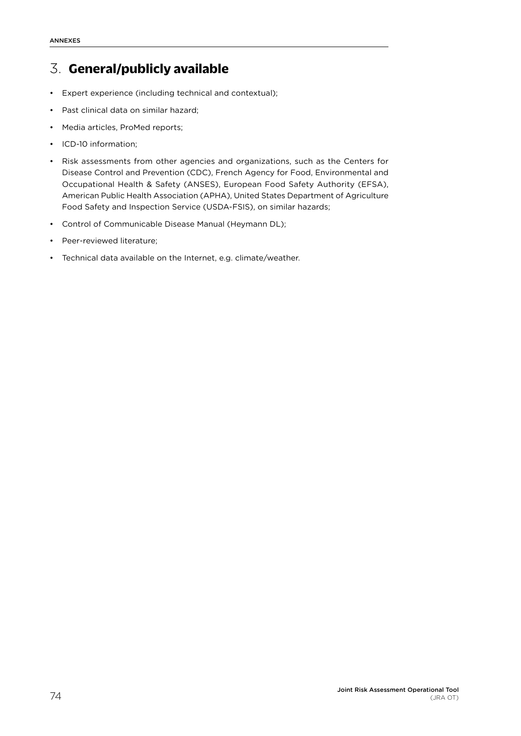## 3. **General/publicly available**

- Expert experience (including technical and contextual);
- Past clinical data on similar hazard;
- Media articles, ProMed reports;
- ICD-10 information;
- Risk assessments from other agencies and organizations, such as the Centers for Disease Control and Prevention (CDC), French Agency for Food, Environmental and Occupational Health & Safety (ANSES), European Food Safety Authority (EFSA), American Public Health Association (APHA), United States Department of Agriculture Food Safety and Inspection Service (USDA-FSIS), on similar hazards;
- Control of Communicable Disease Manual (Heymann DL);
- Peer-reviewed literature;
- Technical data available on the Internet, e.g. climate/weather.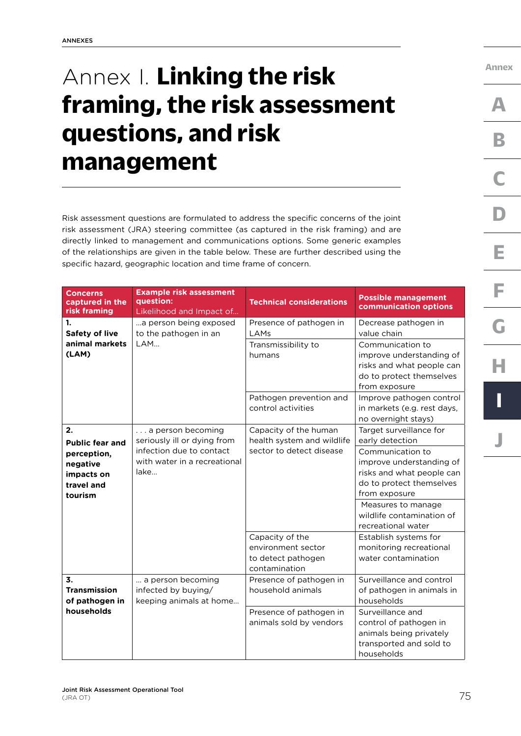# <span id="page-82-0"></span>Annex I. **Linking the risk framing, the risk assessment questions, and risk management**

Risk assessment questions are formulated to address the specific concerns of the joint risk assessment (JRA) steering committee (as captured in the risk framing) and are directly linked to management and communications options. Some generic examples of the relationships are given in the table below. These are further described using the specific hazard, geographic location and time frame of concern.

| <b>Concerns</b><br>captured in the<br>risk framing                                             | <b>Example risk assessment</b><br>question:<br>Likelihood and Impact of                                              | <b>Technical considerations</b>                                                 | <b>Possible management</b><br>communication options                                                                                                                                                                                           |
|------------------------------------------------------------------------------------------------|----------------------------------------------------------------------------------------------------------------------|---------------------------------------------------------------------------------|-----------------------------------------------------------------------------------------------------------------------------------------------------------------------------------------------------------------------------------------------|
| 1.<br><b>Safety of live</b><br>animal markets<br>(LAM)                                         | a person being exposed<br>to the pathogen in an<br>LAM                                                               | Presence of pathogen in<br>LAMs<br>Transmissibility to<br>humans                | Decrease pathogen in<br>value chain<br>Communication to<br>improve understanding of<br>risks and what people can<br>do to protect themselves<br>from exposure                                                                                 |
|                                                                                                |                                                                                                                      | Pathogen prevention and<br>control activities                                   | Improve pathogen control<br>in markets (e.g. rest days,<br>no overnight stays)                                                                                                                                                                |
| 2.<br><b>Public fear and</b><br>perception,<br>negative<br>impacts on<br>travel and<br>tourism | a person becoming<br>seriously ill or dying from<br>infection due to contact<br>with water in a recreational<br>lake | Capacity of the human<br>health system and wildlife<br>sector to detect disease | Target surveillance for<br>early detection<br>Communication to<br>improve understanding of<br>risks and what people can<br>do to protect themselves<br>from exposure<br>Measures to manage<br>wildlife contamination of<br>recreational water |
|                                                                                                |                                                                                                                      | Capacity of the<br>environment sector<br>to detect pathogen<br>contamination    | Establish systems for<br>monitoring recreational<br>water contamination                                                                                                                                                                       |
| 3.<br><b>Transmission</b><br>of pathogen in                                                    | a person becoming<br>infected by buying/<br>keeping animals at home                                                  | Presence of pathogen in<br>household animals                                    | Surveillance and control<br>of pathogen in animals in<br>households                                                                                                                                                                           |
| households                                                                                     |                                                                                                                      | Presence of pathogen in<br>animals sold by vendors                              | Surveillance and<br>control of pathogen in<br>animals being privately<br>transported and sold to<br>households                                                                                                                                |

**[Annex](#page-60-0)**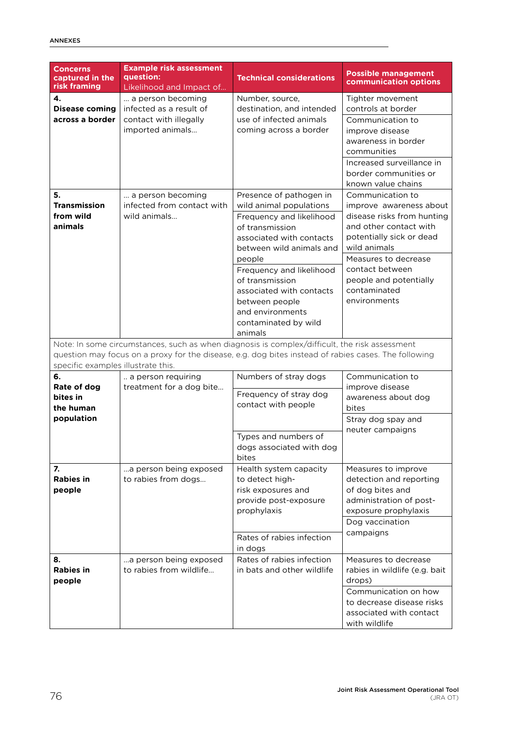| <b>Concerns</b><br>captured in the<br>risk framing                                                                                                                                                                                          | <b>Example risk assessment</b><br>question:<br>Likelihood and Impact of                    | <b>Technical considerations</b>                                                                                                                                                                                                                                                                                         | <b>Possible management</b><br>communication options                                                                                                                                                                                                  |  |  |  |  |
|---------------------------------------------------------------------------------------------------------------------------------------------------------------------------------------------------------------------------------------------|--------------------------------------------------------------------------------------------|-------------------------------------------------------------------------------------------------------------------------------------------------------------------------------------------------------------------------------------------------------------------------------------------------------------------------|------------------------------------------------------------------------------------------------------------------------------------------------------------------------------------------------------------------------------------------------------|--|--|--|--|
| $\mathbf{4}$<br><b>Disease coming</b><br>across a border                                                                                                                                                                                    | a person becoming<br>infected as a result of<br>contact with illegally<br>imported animals | Number, source,<br>destination, and intended<br>use of infected animals<br>coming across a border                                                                                                                                                                                                                       | Tighter movement<br>controls at border<br>Communication to<br>improve disease<br>awareness in border<br>communities<br>Increased surveillance in<br>border communities or<br>known value chains                                                      |  |  |  |  |
| 5.<br><b>Transmission</b><br>from wild<br>animals                                                                                                                                                                                           | a person becoming<br>infected from contact with<br>wild animals                            | Presence of pathogen in<br>wild animal populations<br>Frequency and likelihood<br>of transmission<br>associated with contacts<br>between wild animals and<br>people<br>Frequency and likelihood<br>of transmission<br>associated with contacts<br>between people<br>and environments<br>contaminated by wild<br>animals | Communication to<br>improve awareness about<br>disease risks from hunting<br>and other contact with<br>potentially sick or dead<br>wild animals<br>Measures to decrease<br>contact between<br>people and potentially<br>contaminated<br>environments |  |  |  |  |
| Note: In some circumstances, such as when diagnosis is complex/difficult, the risk assessment<br>question may focus on a proxy for the disease, e.g. dog bites instead of rabies cases. The following<br>specific examples illustrate this. |                                                                                            |                                                                                                                                                                                                                                                                                                                         |                                                                                                                                                                                                                                                      |  |  |  |  |
| 6.<br>Rate of dog<br>bites in<br>the human<br>population                                                                                                                                                                                    | a person requiring<br>treatment for a dog bite                                             | Numbers of stray dogs<br>Frequency of stray dog<br>contact with people                                                                                                                                                                                                                                                  | Communication to<br>improve disease<br>awareness about dog<br>bites<br>Stray dog spay and<br>neuter campaigns                                                                                                                                        |  |  |  |  |
|                                                                                                                                                                                                                                             |                                                                                            | Types and numbers of<br>dogs associated with dog<br>bites                                                                                                                                                                                                                                                               |                                                                                                                                                                                                                                                      |  |  |  |  |
| 7.<br><b>Rabies in</b><br>people                                                                                                                                                                                                            | a person being exposed<br>to rabies from dogs                                              | Health system capacity<br>to detect high-<br>risk exposures and<br>provide post-exposure<br>prophylaxis                                                                                                                                                                                                                 | Measures to improve<br>detection and reporting<br>of dog bites and<br>administration of post-<br>exposure prophylaxis<br>Dog vaccination<br>campaigns                                                                                                |  |  |  |  |
| 8.<br><b>Rabies in</b>                                                                                                                                                                                                                      | a person being exposed<br>to rabies from wildlife                                          | Rates of rabies infection<br>in dogs<br>Rates of rabies infection<br>in bats and other wildlife                                                                                                                                                                                                                         | Measures to decrease<br>rabies in wildlife (e.g. bait                                                                                                                                                                                                |  |  |  |  |
| people                                                                                                                                                                                                                                      |                                                                                            |                                                                                                                                                                                                                                                                                                                         | drops)<br>Communication on how<br>to decrease disease risks<br>associated with contact<br>with wildlife                                                                                                                                              |  |  |  |  |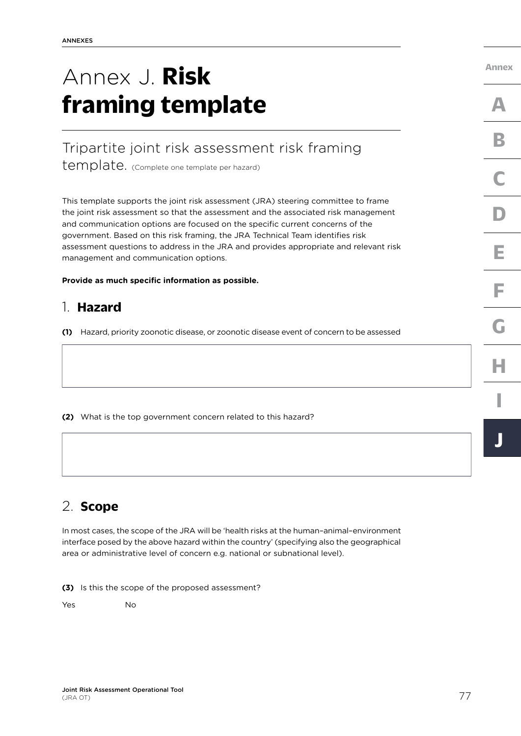# <span id="page-84-0"></span>Annex J. **Risk framing template**

# Tripartite joint risk assessment risk framing

template. (Complete one template per hazard)

This template supports the joint risk assessment (JRA) steering committee to frame the joint risk assessment so that the assessment and the associated risk management and communication options are focused on the specific current concerns of the government. Based on this risk framing, the JRA Technical Team identifies risk assessment questions to address in the JRA and provides appropriate and relevant risk management and communication options.

**Provide as much specific information as possible.** 

## 1. **Hazard**

**(1)** Hazard, priority zoonotic disease, or zoonotic disease event of concern to be assessed

**(2)** What is the top government concern related to this hazard?

# 2. **Scope**

In most cases, the scope of the JRA will be 'health risks at the human–animal–environment interface posed by the above hazard within the country' (specifying also the geographical area or administrative level of concern e.g. national or subnational level).

**(3)** Is this the scope of the proposed assessment?

Yes No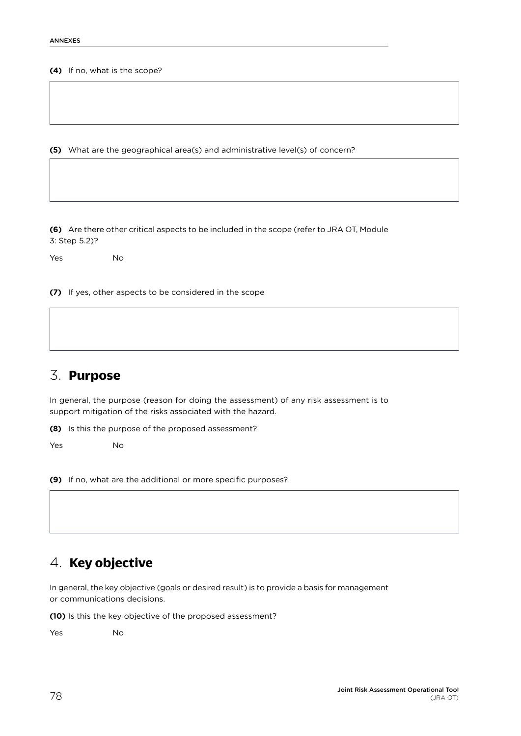#### **(4)** If no, what is the scope?

**(5)** What are the geographical area(s) and administrative level(s) of concern?

**(6)** Are there other critical aspects to be included in the scope (refer to JRA OT, Module 3: Step 5.2)?

Yes No

**(7)** If yes, other aspects to be considered in the scope

## 3. **Purpose**

In general, the purpose (reason for doing the assessment) of any risk assessment is to support mitigation of the risks associated with the hazard.

**(8)** Is this the purpose of the proposed assessment?

Yes No

**(9)** If no, what are the additional or more specific purposes?

## 4. **Key objective**

In general, the key objective (goals or desired result) is to provide a basis for management or communications decisions.

**(10)** Is this the key objective of the proposed assessment?

Yes No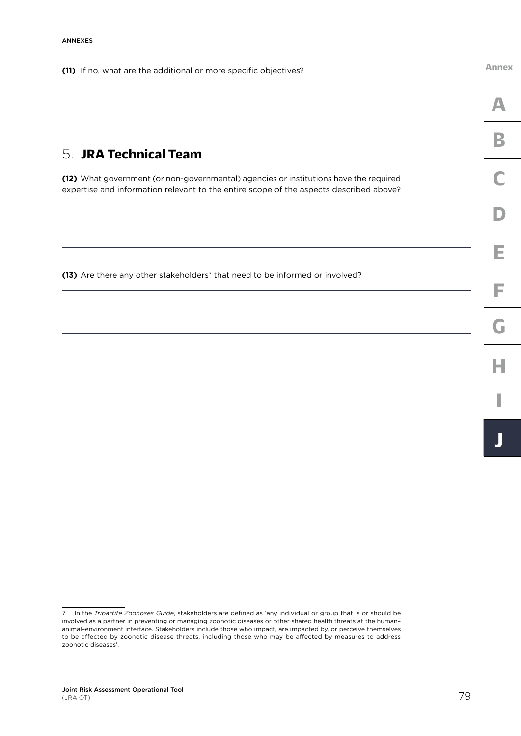**(11)** If no, what are the additional or more specific objectives?

**[Annex](#page-60-0)**

## 5. **JRA Technical Team**

**(12)** What government (or non-governmental) agencies or institutions have the required expertise and information relevant to the entire scope of the aspects described above?

(13) Are there any other stakeholders<sup>7</sup> that need to be informed or involved?

<sup>7</sup> In the *Tripartite Zoonoses Guide*, stakeholders are defined as 'any individual or group that is or should be involved as a partner in preventing or managing zoonotic diseases or other shared health threats at the human– animal–environment interface. Stakeholders include those who impact, are impacted by, or perceive themselves to be affected by zoonotic disease threats, including those who may be affected by measures to address zoonotic diseases'.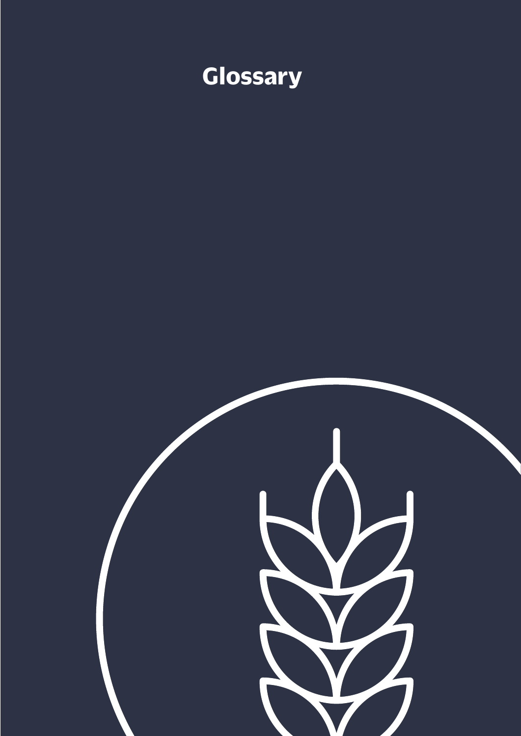

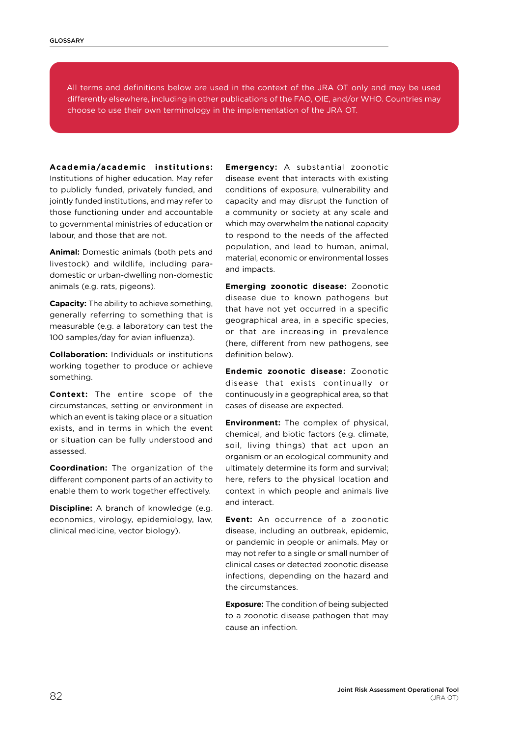All terms and definitions below are used in the context of the JRA OT only and may be used differently elsewhere, including in other publications of the FAO, OIE, and/or WHO. Countries may choose to use their own terminology in the implementation of the JRA OT.

**Academia/academic institutions:**

Institutions of higher education. May refer to publicly funded, privately funded, and jointly funded institutions, and may refer to those functioning under and accountable to governmental ministries of education or labour, and those that are not.

**Animal:** Domestic animals (both pets and livestock) and wildlife, including paradomestic or urban-dwelling non-domestic animals (e.g. rats, pigeons).

**Capacity:** The ability to achieve something, generally referring to something that is measurable (e.g. a laboratory can test the 100 samples/day for avian influenza).

**Collaboration:** Individuals or institutions working together to produce or achieve something.

**Context:** The entire scope of the circumstances, setting or environment in which an event is taking place or a situation exists, and in terms in which the event or situation can be fully understood and assessed.

**Coordination:** The organization of the different component parts of an activity to enable them to work together effectively.

**Discipline:** A branch of knowledge (e.g. economics, virology, epidemiology, law, clinical medicine, vector biology).

**Emergency:** A substantial zoonotic disease event that interacts with existing conditions of exposure, vulnerability and capacity and may disrupt the function of a community or society at any scale and which may overwhelm the national capacity to respond to the needs of the affected population, and lead to human, animal, material, economic or environmental losses and impacts.

**Emerging zoonotic disease:** Zoonotic disease due to known pathogens but that have not yet occurred in a specific geographical area, in a specific species, or that are increasing in prevalence (here, different from new pathogens, see definition below).

**Endemic zoonotic disease:** Zoonotic disease that exists continually or continuously in a geographical area, so that cases of disease are expected.

**Environment:** The complex of physical, chemical, and biotic factors (e.g. climate, soil, living things) that act upon an organism or an ecological community and ultimately determine its form and survival; here, refers to the physical location and context in which people and animals live and interact.

**Event:** An occurrence of a zoonotic disease, including an outbreak, epidemic, or pandemic in people or animals. May or may not refer to a single or small number of clinical cases or detected zoonotic disease infections, depending on the hazard and the circumstances.

**Exposure:** The condition of being subjected to a zoonotic disease pathogen that may cause an infection.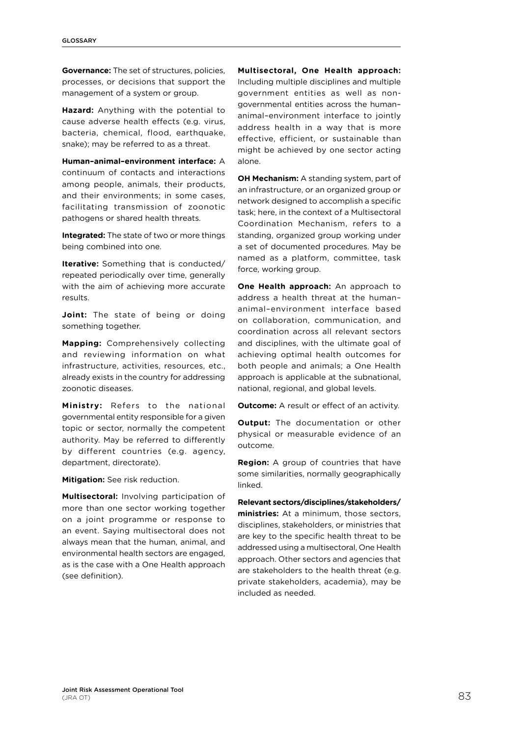**Governance:** The set of structures, policies, processes, or decisions that support the management of a system or group.

**Hazard:** Anything with the potential to cause adverse health effects (e.g. virus, bacteria, chemical, flood, earthquake, snake); may be referred to as a threat.

**Human–animal–environment interface:** A continuum of contacts and interactions among people, animals, their products, and their environments; in some cases, facilitating transmission of zoonotic pathogens or shared health threats.

**Integrated:** The state of two or more things being combined into one.

**Iterative:** Something that is conducted/ repeated periodically over time, generally with the aim of achieving more accurate results.

**Joint:** The state of being or doing something together.

**Mapping:** Comprehensively collecting and reviewing information on what infrastructure, activities, resources, etc., already exists in the country for addressing zoonotic diseases.

**Ministry:** Refers to the national governmental entity responsible for a given topic or sector, normally the competent authority. May be referred to differently by different countries (e.g. agency, department, directorate).

**Mitigation:** See risk reduction.

**Multisectoral:** Involving participation of more than one sector working together on a joint programme or response to an event. Saying multisectoral does not always mean that the human, animal, and environmental health sectors are engaged, as is the case with a One Health approach (see definition).

**Multisectoral, One Health approach:**  Including multiple disciplines and multiple government entities as well as nongovernmental entities across the human– animal–environment interface to jointly address health in a way that is more effective, efficient, or sustainable than might be achieved by one sector acting alone.

**OH Mechanism:** A standing system, part of an infrastructure, or an organized group or network designed to accomplish a specific task; here, in the context of a Multisectoral Coordination Mechanism, refers to a standing, organized group working under a set of documented procedures. May be named as a platform, committee, task force, working group.

**One Health approach:** An approach to address a health threat at the human– animal–environment interface based on collaboration, communication, and coordination across all relevant sectors and disciplines, with the ultimate goal of achieving optimal health outcomes for both people and animals; a One Health approach is applicable at the subnational, national, regional, and global levels.

**Outcome:** A result or effect of an activity.

**Output:** The documentation or other physical or measurable evidence of an outcome.

**Region:** A group of countries that have some similarities, normally geographically linked.

**Relevant sectors/disciplines/stakeholders/ ministries:** At a minimum, those sectors, disciplines, stakeholders, or ministries that are key to the specific health threat to be addressed using a multisectoral, One Health approach. Other sectors and agencies that are stakeholders to the health threat (e.g. private stakeholders, academia), may be included as needed.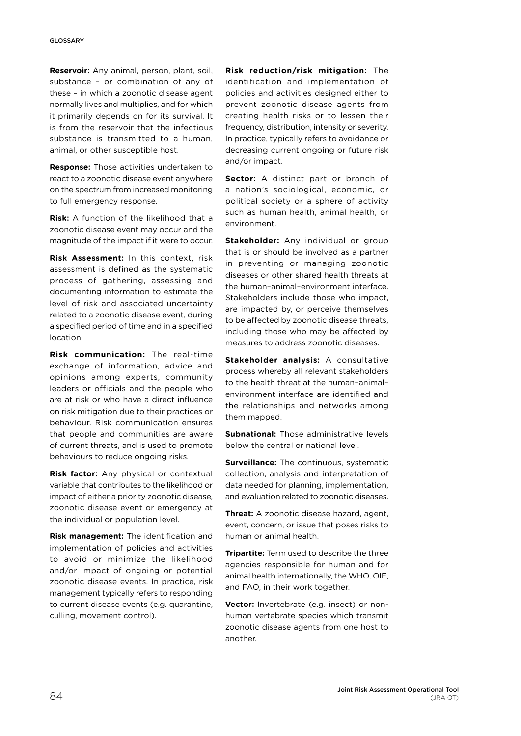**Reservoir:** Any animal, person, plant, soil, substance – or combination of any of these – in which a zoonotic disease agent normally lives and multiplies, and for which it primarily depends on for its survival. It is from the reservoir that the infectious substance is transmitted to a human, animal, or other susceptible host.

**Response:** Those activities undertaken to react to a zoonotic disease event anywhere on the spectrum from increased monitoring to full emergency response.

**Risk:** A function of the likelihood that a zoonotic disease event may occur and the magnitude of the impact if it were to occur.

**Risk Assessment:** In this context, risk assessment is defined as the systematic process of gathering, assessing and documenting information to estimate the level of risk and associated uncertainty related to a zoonotic disease event, during a specified period of time and in a specified location.

**Risk communication:** The real-time exchange of information, advice and opinions among experts, community leaders or officials and the people who are at risk or who have a direct influence on risk mitigation due to their practices or behaviour. Risk communication ensures that people and communities are aware of current threats, and is used to promote behaviours to reduce ongoing risks.

**Risk factor:** Any physical or contextual variable that contributes to the likelihood or impact of either a priority zoonotic disease, zoonotic disease event or emergency at the individual or population level.

**Risk management:** The identification and implementation of policies and activities to avoid or minimize the likelihood and/or impact of ongoing or potential zoonotic disease events. In practice, risk management typically refers to responding to current disease events (e.g. quarantine, culling, movement control).

**Risk reduction/risk mitigation:** The identification and implementation of policies and activities designed either to prevent zoonotic disease agents from creating health risks or to lessen their frequency, distribution, intensity or severity. In practice, typically refers to avoidance or decreasing current ongoing or future risk and/or impact.

**Sector:** A distinct part or branch of a nation's sociological, economic, or political society or a sphere of activity such as human health, animal health, or environment.

**Stakeholder:** Any individual or group that is or should be involved as a partner in preventing or managing zoonotic diseases or other shared health threats at the human–animal–environment interface. Stakeholders include those who impact, are impacted by, or perceive themselves to be affected by zoonotic disease threats, including those who may be affected by measures to address zoonotic diseases.

**Stakeholder analysis:** A consultative process whereby all relevant stakeholders to the health threat at the human–animal– environment interface are identified and the relationships and networks among them mapped.

**Subnational:** Those administrative levels below the central or national level.

**Surveillance:** The continuous, systematic collection, analysis and interpretation of data needed for planning, implementation, and evaluation related to zoonotic diseases.

**Threat:** A zoonotic disease hazard, agent, event, concern, or issue that poses risks to human or animal health.

**Tripartite:** Term used to describe the three agencies responsible for human and for animal health internationally, the WHO, OIE, and FAO, in their work together.

**Vector:** Invertebrate (e.g. insect) or nonhuman vertebrate species which transmit zoonotic disease agents from one host to another.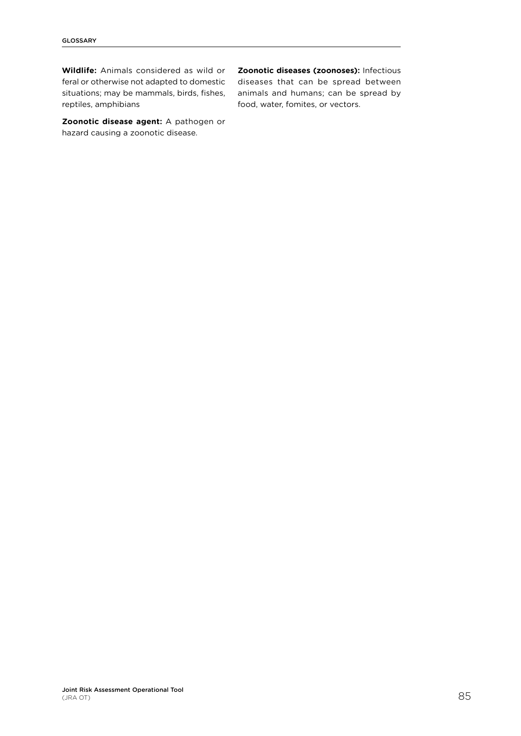**Wildlife:** Animals considered as wild or feral or otherwise not adapted to domestic situations; may be mammals, birds, fishes, reptiles, amphibians

**Zoonotic disease agent:** A pathogen or hazard causing a zoonotic disease.

**Zoonotic diseases (zoonoses):** Infectious diseases that can be spread between animals and humans; can be spread by food, water, fomites, or vectors.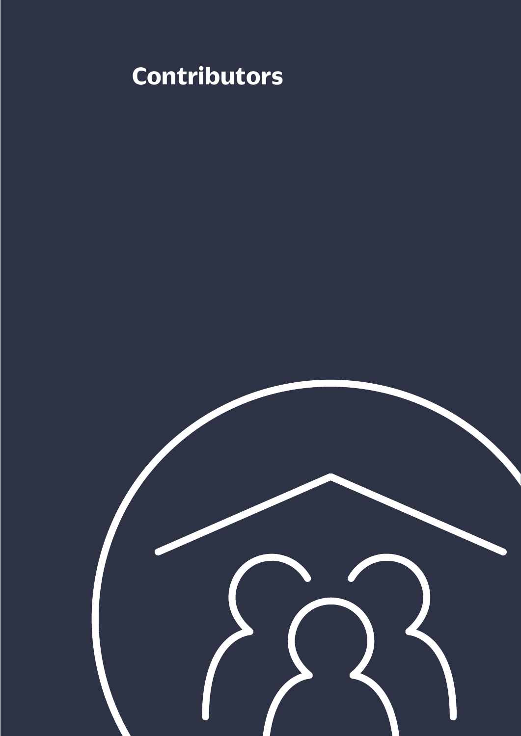# **Contributors**

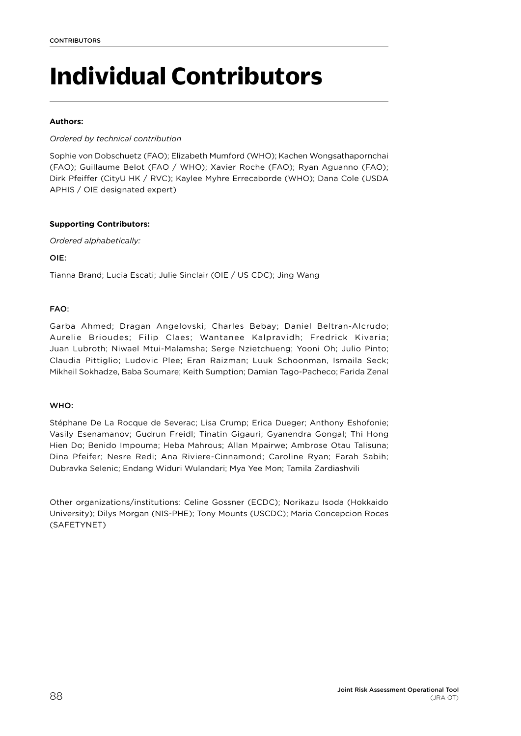# **Individual Contributors**

### **Authors:**

## *Ordered by technical contribution*

Sophie von Dobschuetz (FAO); Elizabeth Mumford (WHO); Kachen Wongsathapornchai (FAO); Guillaume Belot (FAO / WHO); Xavier Roche (FAO); Ryan Aguanno (FAO); Dirk Pfeiffer (CityU HK / RVC); Kaylee Myhre Errecaborde (WHO); Dana Cole (USDA APHIS / OIE designated expert)

## **Supporting Contributors:**

*Ordered alphabetically:* 

OIE:

Tianna Brand; Lucia Escati; Julie Sinclair (OIE / US CDC); Jing Wang

## FAO:

Garba Ahmed; Dragan Angelovski; Charles Bebay; Daniel Beltran-Alcrudo; Aurelie Brioudes; Filip Claes; Wantanee Kalpravidh; Fredrick Kivaria; Juan Lubroth; Niwael Mtui-Malamsha; Serge Nzietchueng; Yooni Oh; Julio Pinto; Claudia Pittiglio; Ludovic Plee; Eran Raizman; Luuk Schoonman, Ismaila Seck; Mikheil Sokhadze, Baba Soumare; Keith Sumption; Damian Tago-Pacheco; Farida Zenal

## WHO:

Stéphane De La Rocque de Severac; Lisa Crump; Erica Dueger; Anthony Eshofonie; Vasily Esenamanov; Gudrun Freidl; Tinatin Gigauri; Gyanendra Gongal; Thi Hong Hien Do; Benido Impouma; Heba Mahrous; Allan Mpairwe; Ambrose Otau Talisuna; Dina Pfeifer; Nesre Redi; Ana Riviere-Cinnamond; Caroline Ryan; Farah Sabih; Dubravka Selenic; Endang Widuri Wulandari; Mya Yee Mon; Tamila Zardiashvili

Other organizations/institutions: Celine Gossner (ECDC); Norikazu Isoda (Hokkaido University); Dilys Morgan (NIS-PHE); Tony Mounts (USCDC); Maria Concepcion Roces (SAFETYNET)